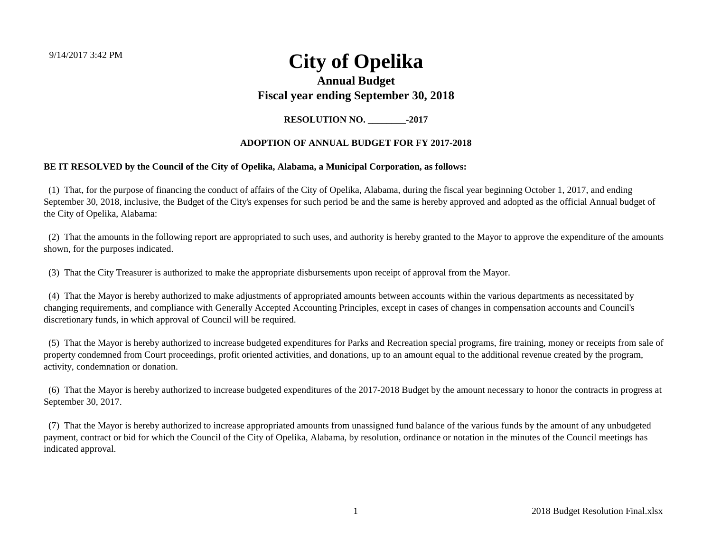9/14/2017 3:42 PM

## **City of Opelika**

#### **Annual Budget Fiscal year ending September 30, 2018**

**RESOLUTION NO.** -2017

#### **ADOPTION OF ANNUAL BUDGET FOR FY 2017-2018**

#### **BE IT RESOLVED by the Council of the City of Opelika, Alabama, a Municipal Corporation, as follows:**

 (1) That, for the purpose of financing the conduct of affairs of the City of Opelika, Alabama, during the fiscal year beginning October 1, 2017, and ending September 30, 2018, inclusive, the Budget of the City's expenses for such period be and the same is hereby approved and adopted as the official Annual budget of the City of Opelika, Alabama:

 (2) That the amounts in the following report are appropriated to such uses, and authority is hereby granted to the Mayor to approve the expenditure of the amounts shown, for the purposes indicated.

(3) That the City Treasurer is authorized to make the appropriate disbursements upon receipt of approval from the Mayor.

 (4) That the Mayor is hereby authorized to make adjustments of appropriated amounts between accounts within the various departments as necessitated by changing requirements, and compliance with Generally Accepted Accounting Principles, except in cases of changes in compensation accounts and Council's discretionary funds, in which approval of Council will be required.

 (5) That the Mayor is hereby authorized to increase budgeted expenditures for Parks and Recreation special programs, fire training, money or receipts from sale of property condemned from Court proceedings, profit oriented activities, and donations, up to an amount equal to the additional revenue created by the program, activity, condemnation or donation.

 (6) That the Mayor is hereby authorized to increase budgeted expenditures of the 2017-2018 Budget by the amount necessary to honor the contracts in progress at September 30, 2017.

 (7) That the Mayor is hereby authorized to increase appropriated amounts from unassigned fund balance of the various funds by the amount of any unbudgeted payment, contract or bid for which the Council of the City of Opelika, Alabama, by resolution, ordinance or notation in the minutes of the Council meetings has indicated approval.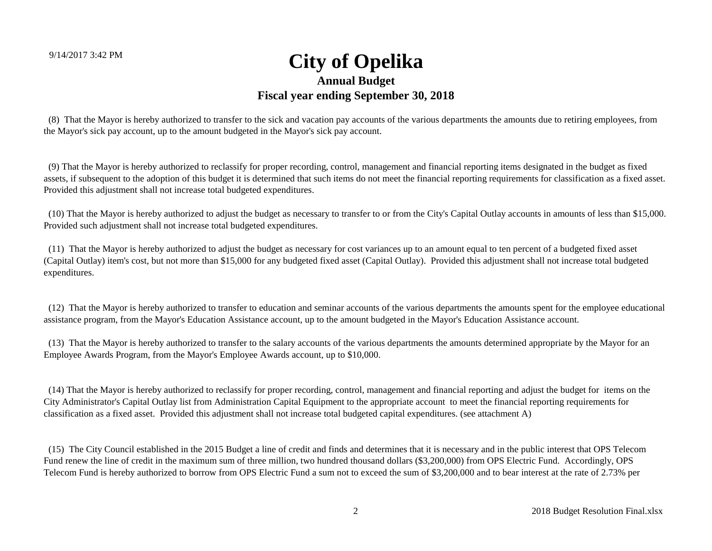(8) That the Mayor is hereby authorized to transfer to the sick and vacation pay accounts of the various departments the amounts due to retiring employees, from the Mayor's sick pay account, up to the amount budgeted in the Mayor's sick pay account.

 (9) That the Mayor is hereby authorized to reclassify for proper recording, control, management and financial reporting items designated in the budget as fixed assets, if subsequent to the adoption of this budget it is determined that such items do not meet the financial reporting requirements for classification as a fixed asset. Provided this adjustment shall not increase total budgeted expenditures.

 (10) That the Mayor is hereby authorized to adjust the budget as necessary to transfer to or from the City's Capital Outlay accounts in amounts of less than \$15,000. Provided such adjustment shall not increase total budgeted expenditures.

 (11) That the Mayor is hereby authorized to adjust the budget as necessary for cost variances up to an amount equal to ten percent of a budgeted fixed asset (Capital Outlay) item's cost, but not more than \$15,000 for any budgeted fixed asset (Capital Outlay). Provided this adjustment shall not increase total budgeted expenditures.

 (12) That the Mayor is hereby authorized to transfer to education and seminar accounts of the various departments the amounts spent for the employee educational assistance program, from the Mayor's Education Assistance account, up to the amount budgeted in the Mayor's Education Assistance account.

 (13) That the Mayor is hereby authorized to transfer to the salary accounts of the various departments the amounts determined appropriate by the Mayor for an Employee Awards Program, from the Mayor's Employee Awards account, up to \$10,000.

 (14) That the Mayor is hereby authorized to reclassify for proper recording, control, management and financial reporting and adjust the budget for items on the City Administrator's Capital Outlay list from Administration Capital Equipment to the appropriate account to meet the financial reporting requirements for classification as a fixed asset. Provided this adjustment shall not increase total budgeted capital expenditures. (see attachment A)

 (15) The City Council established in the 2015 Budget a line of credit and finds and determines that it is necessary and in the public interest that OPS Telecom Fund renew the line of credit in the maximum sum of three million, two hundred thousand dollars (\$3,200,000) from OPS Electric Fund. Accordingly, OPS Telecom Fund is hereby authorized to borrow from OPS Electric Fund a sum not to exceed the sum of \$3,200,000 and to bear interest at the rate of 2.73% per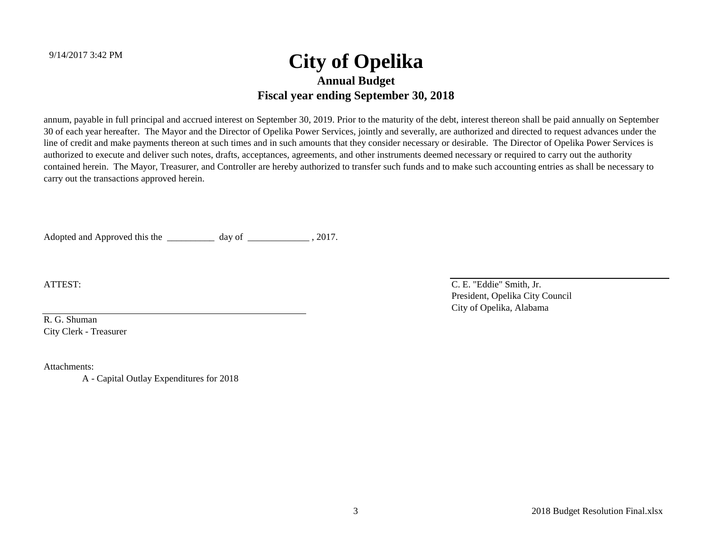annum, payable in full principal and accrued interest on September 30, 2019. Prior to the maturity of the debt, interest thereon shall be paid annually on September 30 of each year hereafter. The Mayor and the Director of Opelika Power Services, jointly and severally, are authorized and directed to request advances under the line of credit and make payments thereon at such times and in such amounts that they consider necessary or desirable. The Director of Opelika Power Services is authorized to execute and deliver such notes, drafts, acceptances, agreements, and other instruments deemed necessary or required to carry out the authority contained herein. The Mayor, Treasurer, and Controller are hereby authorized to transfer such funds and to make such accounting entries as shall be necessary to carry out the transactions approved herein.

Adopted and Approved this the \_\_\_\_\_\_\_\_\_\_\_\_ day of \_\_\_\_\_\_\_\_\_\_\_\_\_\_\_, 2017.

ATTEST:

R. G. ShumanCity Clerk - Treasurer

Attachments:

A - Capital Outlay Expenditures for 2018

 C. E. "Eddie" Smith, Jr. President, Opelika City Council City of Opelika, Alabama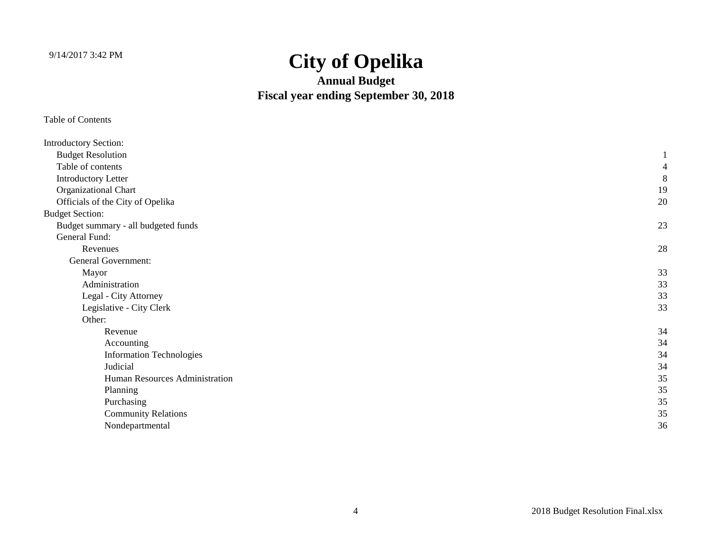**Annual Budget Fiscal year ending September 30, 2018**

| <b>Introductory Section:</b>        |    |
|-------------------------------------|----|
| <b>Budget Resolution</b>            |    |
| Table of contents                   |    |
| <b>Introductory Letter</b>          | 8  |
| Organizational Chart                | 19 |
| Officials of the City of Opelika    | 20 |
| <b>Budget Section:</b>              |    |
| Budget summary - all budgeted funds | 23 |
| General Fund:                       |    |
| Revenues                            | 28 |
| <b>General Government:</b>          |    |
| Mayor                               | 33 |
| Administration                      | 33 |
| Legal - City Attorney               | 33 |
| Legislative - City Clerk            | 33 |
| Other:                              |    |
| Revenue                             | 34 |
| Accounting                          | 34 |
| <b>Information Technologies</b>     | 34 |
| Judicial                            | 34 |
| Human Resources Administration      | 35 |
| Planning                            | 35 |
| Purchasing                          | 35 |
| <b>Community Relations</b>          | 35 |
| Nondepartmental                     | 36 |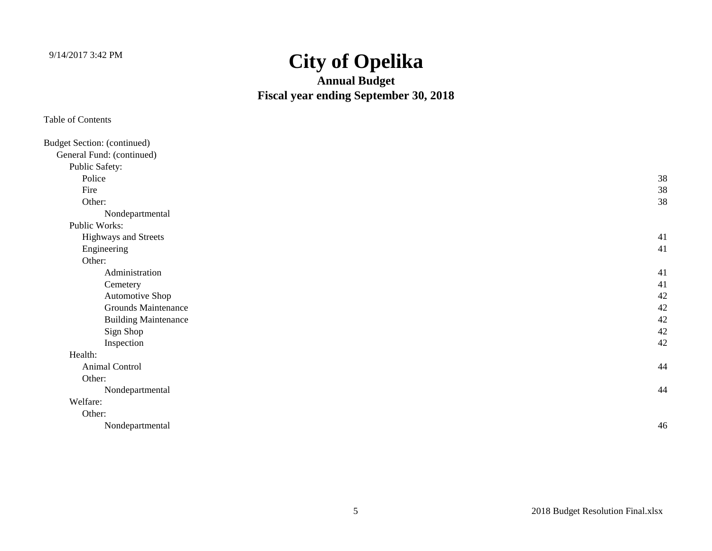**Annual Budget Fiscal year ending September 30, 2018**

| <b>Budget Section: (continued)</b> |    |
|------------------------------------|----|
| General Fund: (continued)          |    |
| Public Safety:                     |    |
| Police                             | 38 |
| Fire                               | 38 |
| Other:                             | 38 |
| Nondepartmental                    |    |
| Public Works:                      |    |
| Highways and Streets               | 41 |
| Engineering                        | 41 |
| Other:                             |    |
| Administration                     | 41 |
| Cemetery                           | 41 |
| Automotive Shop                    | 42 |
| <b>Grounds Maintenance</b>         | 42 |
| <b>Building Maintenance</b>        | 42 |
| Sign Shop                          | 42 |
| Inspection                         | 42 |
| Health:                            |    |
| Animal Control                     | 44 |
| Other:                             |    |
| Nondepartmental                    | 44 |
| Welfare:                           |    |
| Other:                             |    |
| Nondepartmental                    | 46 |
|                                    |    |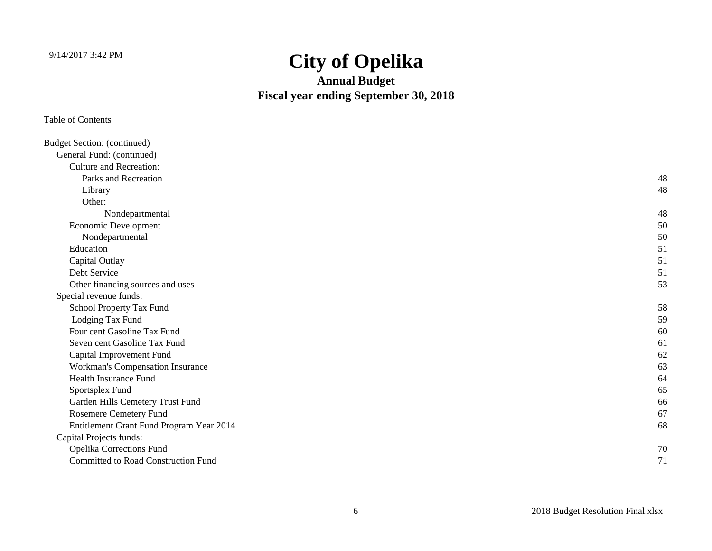**Annual Budget Fiscal year ending September 30, 2018**

| <b>Budget Section: (continued)</b>         |    |
|--------------------------------------------|----|
| General Fund: (continued)                  |    |
| <b>Culture and Recreation:</b>             |    |
| Parks and Recreation                       | 48 |
| Library                                    | 48 |
| Other:                                     |    |
| Nondepartmental                            | 48 |
| Economic Development                       | 50 |
| Nondepartmental                            | 50 |
| Education                                  | 51 |
| Capital Outlay                             | 51 |
| Debt Service                               | 51 |
| Other financing sources and uses           | 53 |
| Special revenue funds:                     |    |
| School Property Tax Fund                   | 58 |
| Lodging Tax Fund                           | 59 |
| Four cent Gasoline Tax Fund                | 60 |
| Seven cent Gasoline Tax Fund               | 61 |
| Capital Improvement Fund                   | 62 |
| Workman's Compensation Insurance           | 63 |
| <b>Health Insurance Fund</b>               | 64 |
| Sportsplex Fund                            | 65 |
| Garden Hills Cemetery Trust Fund           | 66 |
| Rosemere Cemetery Fund                     | 67 |
| Entitlement Grant Fund Program Year 2014   | 68 |
| Capital Projects funds:                    |    |
| Opelika Corrections Fund                   | 70 |
| <b>Committed to Road Construction Fund</b> | 71 |
|                                            |    |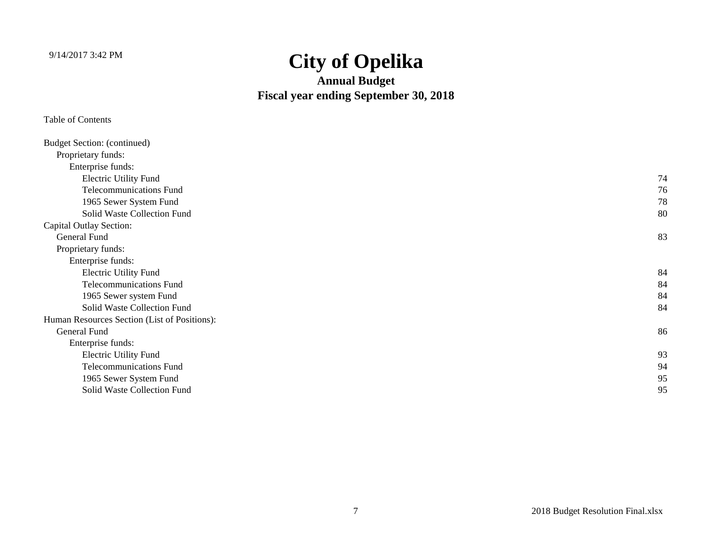**Annual Budget Fiscal year ending September 30, 2018**

| <b>Budget Section: (continued)</b>           |    |
|----------------------------------------------|----|
| Proprietary funds:                           |    |
| Enterprise funds:                            |    |
| <b>Electric Utility Fund</b>                 | 74 |
| <b>Telecommunications Fund</b>               | 76 |
| 1965 Sewer System Fund                       | 78 |
| Solid Waste Collection Fund                  | 80 |
| <b>Capital Outlay Section:</b>               |    |
| General Fund                                 | 83 |
| Proprietary funds:                           |    |
| Enterprise funds:                            |    |
| <b>Electric Utility Fund</b>                 | 84 |
| <b>Telecommunications Fund</b>               | 84 |
| 1965 Sewer system Fund                       | 84 |
| Solid Waste Collection Fund                  | 84 |
| Human Resources Section (List of Positions): |    |
| General Fund                                 | 86 |
| Enterprise funds:                            |    |
| <b>Electric Utility Fund</b>                 | 93 |
| <b>Telecommunications Fund</b>               | 94 |
| 1965 Sewer System Fund                       | 95 |
| Solid Waste Collection Fund                  | 95 |
|                                              |    |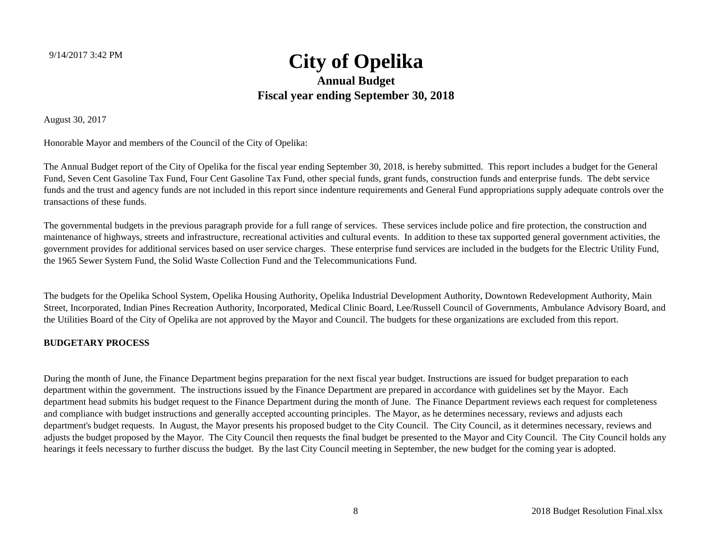August 30, 2017

Honorable Mayor and members of the Council of the City of Opelika:

The Annual Budget report of the City of Opelika for the fiscal year ending September 30, 2018, is hereby submitted. This report includes a budget for the General Fund, Seven Cent Gasoline Tax Fund, Four Cent Gasoline Tax Fund, other special funds, grant funds, construction funds and enterprise funds. The debt service funds and the trust and agency funds are not included in this report since indenture requirements and General Fund appropriations supply adequate controls over the transactions of these funds.

The governmental budgets in the previous paragraph provide for a full range of services. These services include police and fire protection, the construction and maintenance of highways, streets and infrastructure, recreational activities and cultural events. In addition to these tax supported general government activities, the government provides for additional services based on user service charges. These enterprise fund services are included in the budgets for the Electric Utility Fund, the 1965 Sewer System Fund, the Solid Waste Collection Fund and the Telecommunications Fund.

The budgets for the Opelika School System, Opelika Housing Authority, Opelika Industrial Development Authority, Downtown Redevelopment Authority, Main Street, Incorporated, Indian Pines Recreation Authority, Incorporated, Medical Clinic Board, Lee/Russell Council of Governments, Ambulance Advisory Board, and the Utilities Board of the City of Opelika are not approved by the Mayor and Council. The budgets for these organizations are excluded from this report.

#### **BUDGETARY PROCESS**

During the month of June, the Finance Department begins preparation for the next fiscal year budget. Instructions are issued for budget preparation to each department within the government. The instructions issued by the Finance Department are prepared in accordance with guidelines set by the Mayor. Each department head submits his budget request to the Finance Department during the month of June. The Finance Department reviews each request for completeness and compliance with budget instructions and generally accepted accounting principles. The Mayor, as he determines necessary, reviews and adjusts each department's budget requests. In August, the Mayor presents his proposed budget to the City Council. The City Council, as it determines necessary, reviews and adjusts the budget proposed by the Mayor. The City Council then requests the final budget be presented to the Mayor and City Council. The City Council holds any hearings it feels necessary to further discuss the budget. By the last City Council meeting in September, the new budget for the coming year is adopted.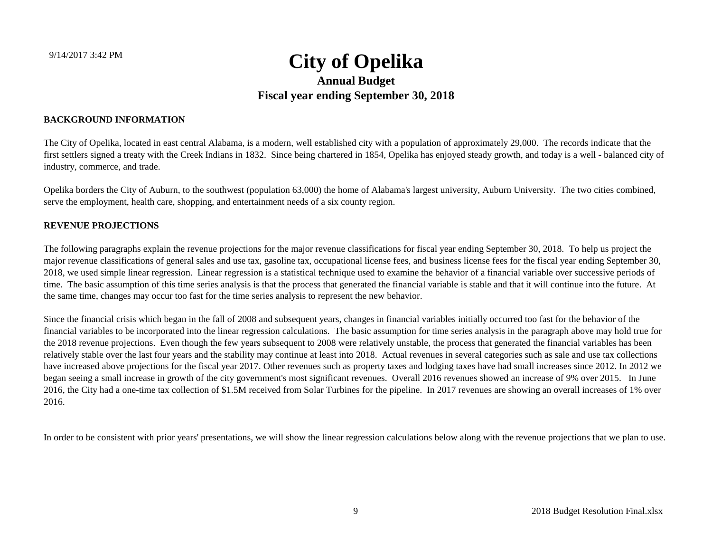#### **BACKGROUND INFORMATION**

The City of Opelika, located in east central Alabama, is a modern, well established city with a population of approximately 29,000. The records indicate that the first settlers signed a treaty with the Creek Indians in 1832. Since being chartered in 1854, Opelika has enjoyed steady growth, and today is a well - balanced city of industry, commerce, and trade.

Opelika borders the City of Auburn, to the southwest (population 63,000) the home of Alabama's largest university, Auburn University. The two cities combined, serve the employment, health care, shopping, and entertainment needs of a six county region.

#### **REVENUE PROJECTIONS**

The following paragraphs explain the revenue projections for the major revenue classifications for fiscal year ending September 30, 2018. To help us project the major revenue classifications of general sales and use tax, gasoline tax, occupational license fees, and business license fees for the fiscal year ending September 30, 2018, we used simple linear regression. Linear regression is a statistical technique used to examine the behavior of a financial variable over successive periods of time. The basic assumption of this time series analysis is that the process that generated the financial variable is stable and that it will continue into the future. At the same time, changes may occur too fast for the time series analysis to represent the new behavior.

Since the financial crisis which began in the fall of 2008 and subsequent years, changes in financial variables initially occurred too fast for the behavior of the financial variables to be incorporated into the linear regression calculations. The basic assumption for time series analysis in the paragraph above may hold true for the 2018 revenue projections. Even though the few years subsequent to 2008 were relatively unstable, the process that generated the financial variables has been relatively stable over the last four years and the stability may continue at least into 2018. Actual revenues in several categories such as sale and use tax collections have increased above projections for the fiscal year 2017. Other revenues such as property taxes and lodging taxes have had small increases since 2012. In 2012 we began seeing a small increase in growth of the city government's most significant revenues. Overall 2016 revenues showed an increase of 9% over 2015. In June 2016, the City had a one-time tax collection of \$1.5M received from Solar Turbines for the pipeline. In 2017 revenues are showing an overall increases of 1% over 2016.

In order to be consistent with prior years' presentations, we will show the linear regression calculations below along with the revenue projections that we plan to use.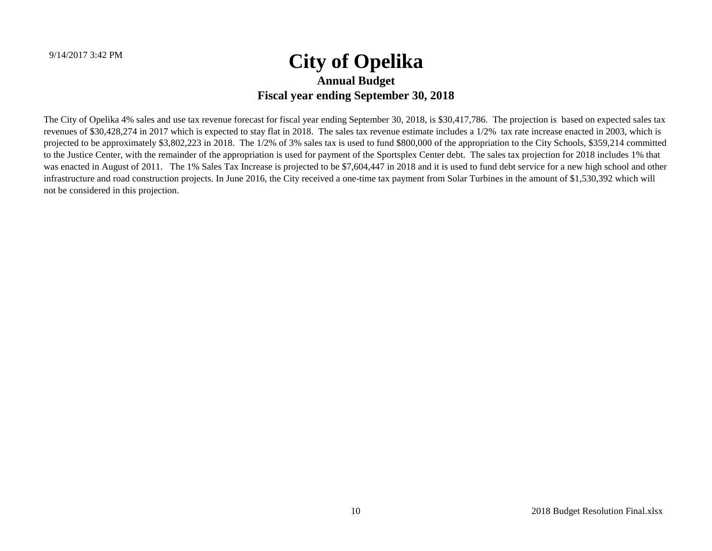The City of Opelika 4% sales and use tax revenue forecast for fiscal year ending September 30, 2018, is \$30,417,786. The projection is based on expected sales tax revenues of \$30,428,274 in 2017 which is expected to stay flat in 2018. The sales tax revenue estimate includes a 1/2% tax rate increase enacted in 2003, which is projected to be approximately \$3,802,223 in 2018. The 1/2% of 3% sales tax is used to fund \$800,000 of the appropriation to the City Schools, \$359,214 committed to the Justice Center, with the remainder of the appropriation is used for payment of the Sportsplex Center debt. The sales tax projection for 2018 includes 1% that was enacted in August of 2011. The 1% Sales Tax Increase is projected to be \$7,604,447 in 2018 and it is used to fund debt service for a new high school and other infrastructure and road construction projects. In June 2016, the City received a one-time tax payment from Solar Turbines in the amount of \$1,530,392 which will not be considered in this projection.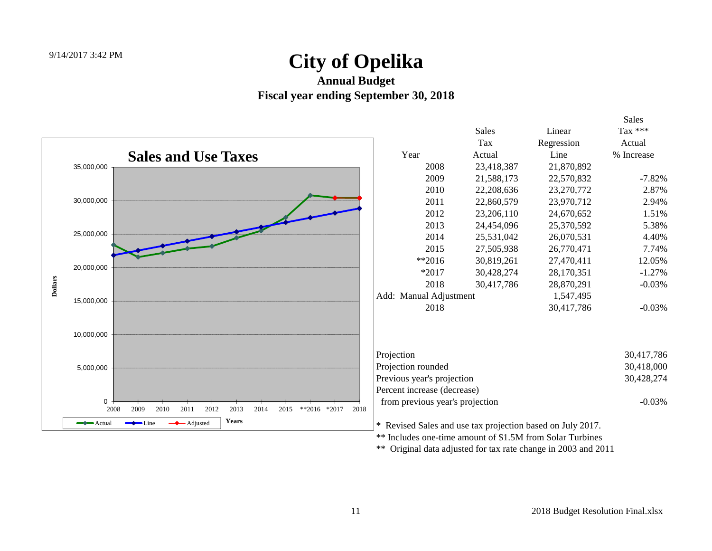#### **Annual Budget Fiscal year ending September 30, 2018**



\*\* Original data adjusted for tax rate change in 2003 and 2011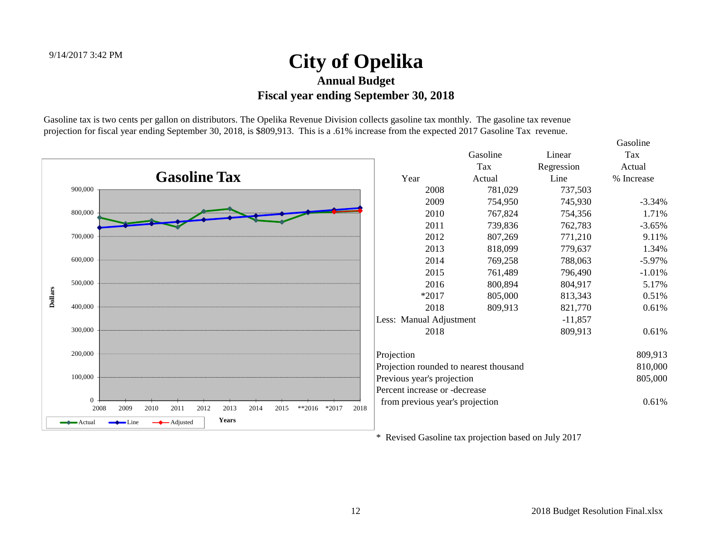Gasoline tax is two cents per gallon on distributors. The Opelika Revenue Division collects gasoline tax monthly. The gasoline tax revenue projection for fiscal year ending September 30, 2018, is \$809,913. This is a .61% increase from the expected 2017 Gasoline Tax revenue.



\* Revised Gasoline tax projection based on July 2017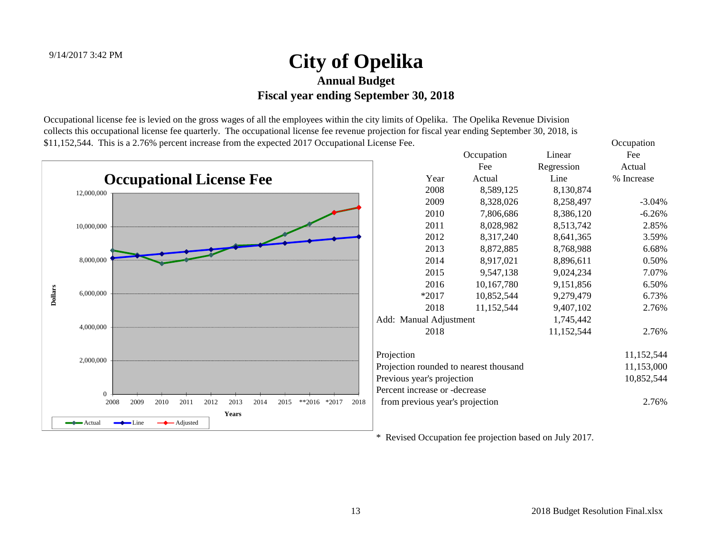Occupational license fee is levied on the gross wages of all the employees within the city limits of Opelika. The Opelika Revenue Division collects this occupational license fee quarterly. The occupational license fee revenue projection for fiscal year ending September 30, 2018, is \$11,152,544. This is a 2.76% percent increase from the expected 2017 Occupational License Fee. Occupation



\* Revised Occupation fee projection based on July 2017.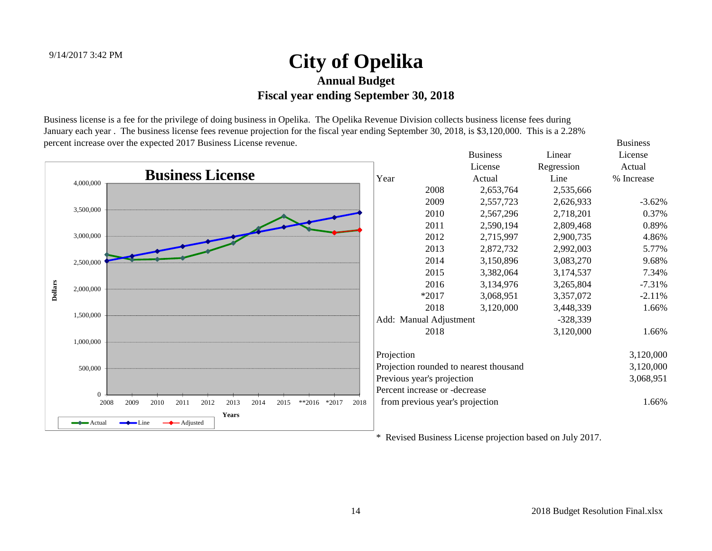Business license is a fee for the privilege of doing business in Opelika. The Opelika Revenue Division collects business license fees during January each year . The business license fees revenue projection for the fiscal year ending September 30, 2018, is \$3,120,000. This is a 2.28% percent increase over the expected 2017 Business License revenue. Business



\* Revised Business License projection based on July 2017.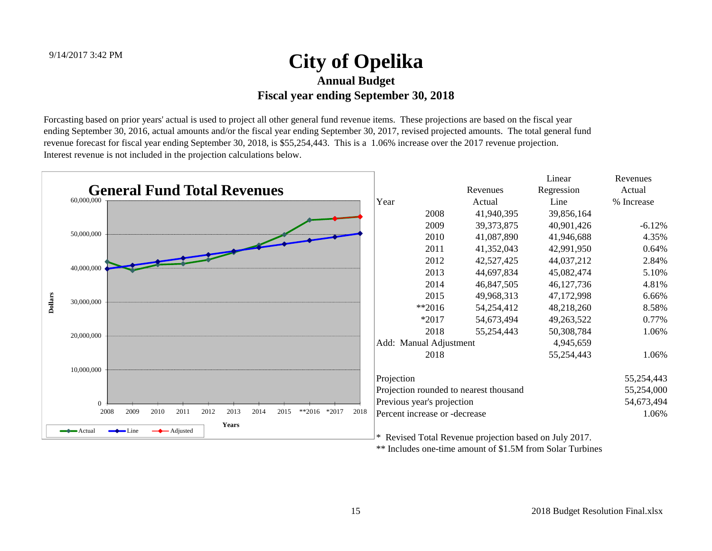Forcasting based on prior years' actual is used to project all other general fund revenue items. These projections are based on the fiscal year ending September 30, 2016, actual amounts and/or the fiscal year ending September 30, 2017, revised projected amounts. The total general fund revenue forecast for fiscal year ending September 30, 2018, is \$55,254,443. This is a 1.06% increase over the 2017 revenue projection. Interest revenue is not included in the projection calculations below.

|                | <b>General Fund Total Revenues</b>                                           |      |                                                           |              | Linear       | Revenues   |
|----------------|------------------------------------------------------------------------------|------|-----------------------------------------------------------|--------------|--------------|------------|
|                | 60,000,000                                                                   |      |                                                           | Revenues     | Regression   | Actual     |
|                |                                                                              |      | Year                                                      | Actual       | Line         | % Increase |
|                |                                                                              |      | 2008                                                      | 41,940,395   | 39,856,164   |            |
|                |                                                                              |      | 2009                                                      | 39, 373, 875 | 40,901,426   | $-6.12%$   |
|                | 50,000,000                                                                   |      | 2010                                                      | 41,087,890   | 41,946,688   | 4.35%      |
|                |                                                                              |      | 2011                                                      | 41,352,043   | 42,991,950   | 0.64%      |
|                |                                                                              |      | 2012                                                      | 42,527,425   | 44,037,212   | 2.84%      |
|                | 40,000,000                                                                   |      | 2013                                                      | 44,697,834   | 45,082,474   | 5.10%      |
|                |                                                                              |      | 2014                                                      | 46,847,505   | 46, 127, 736 | 4.81%      |
|                | 30,000,000                                                                   |      | 2015                                                      | 49,968,313   | 47,172,998   | 6.66%      |
| <b>Dollars</b> |                                                                              |      | $*2016$                                                   | 54,254,412   | 48,218,260   | 8.58%      |
|                |                                                                              |      | $*2017$                                                   | 54,673,494   | 49,263,522   | 0.77%      |
|                | 20,000,000                                                                   |      | 2018                                                      | 55,254,443   | 50,308,784   | 1.06%      |
|                |                                                                              |      | Add: Manual Adjustment                                    |              | 4,945,659    |            |
|                |                                                                              |      | 2018                                                      |              | 55,254,443   | 1.06%      |
|                | 10,000,000                                                                   |      | Projection                                                |              |              | 55,254,443 |
|                |                                                                              |      | Projection rounded to nearest thousand                    |              |              | 55,254,000 |
|                | $\Omega$                                                                     |      | Previous year's projection                                |              |              | 54,673,494 |
|                | 2008<br>2010<br>2011<br>2012<br>2013<br>2014<br>2009<br>2015<br>**2016 *2017 | 2018 | Percent increase or -decrease                             |              |              | 1.06%      |
|                | Years<br>$\longrightarrow$ Line<br>$\longrightarrow$ Actual<br>← Adjusted    |      | Revised Total Revenue projection based on July 2017.<br>∗ |              |              |            |

\*\* Includes one-time amount of \$1.5M from Solar Turbines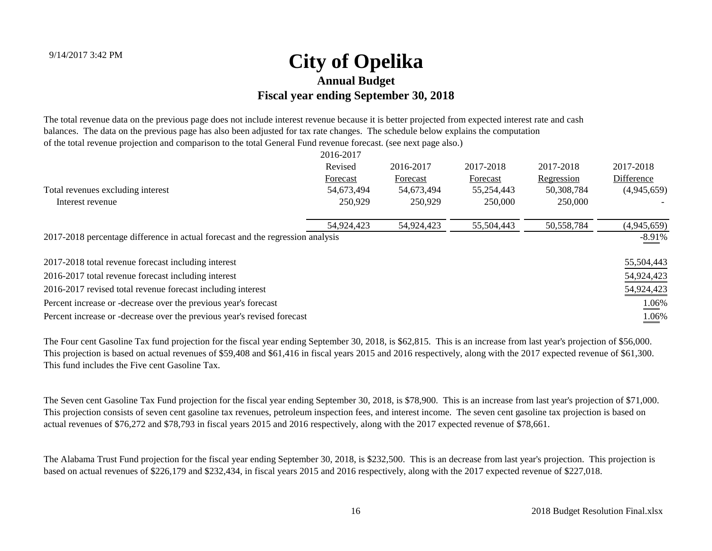The total revenue data on the previous page does not include interest revenue because it is better projected from expected interest rate and cash balances. The data on the previous page has also been adjusted for tax rate changes. The schedule below explains the computation of the total revenue projection and comparison to the total General Fund revenue forecast. (see next page also.)

|                                                                                | 2016-2017  |            |            |            |             |
|--------------------------------------------------------------------------------|------------|------------|------------|------------|-------------|
|                                                                                | Revised    | 2016-2017  | 2017-2018  | 2017-2018  | 2017-2018   |
|                                                                                | Forecast   | Forecast   | Forecast   | Regression | Difference  |
| Total revenues excluding interest                                              | 54,673,494 | 54,673,494 | 55,254,443 | 50,308,784 | (4,945,659) |
| Interest revenue                                                               | 250,929    | 250,929    | 250,000    | 250,000    |             |
|                                                                                | 54,924,423 | 54,924,423 | 55,504,443 | 50,558,784 | (4,945,659) |
| 2017-2018 percentage difference in actual forecast and the regression analysis |            |            |            |            | $-8.91%$    |
| 2017-2018 total revenue forecast including interest                            |            |            |            |            | 55,504,443  |
| 2016-2017 total revenue forecast including interest                            |            |            |            |            | 54,924,423  |
| 2016-2017 revised total revenue forecast including interest                    |            |            |            |            | 54,924,423  |
| Percent increase or -decrease over the previous year's forecast                |            |            |            |            | 1.06%       |
| Percent increase or -decrease over the previous year's revised forecast        |            |            |            |            | 1.06%       |

The Four cent Gasoline Tax fund projection for the fiscal year ending September 30, 2018, is \$62,815. This is an increase from last year's projection of \$56,000. This projection is based on actual revenues of \$59,408 and \$61,416 in fiscal years 2015 and 2016 respectively, along with the 2017 expected revenue of \$61,300. This fund includes the Five cent Gasoline Tax.

The Seven cent Gasoline Tax Fund projection for the fiscal year ending September 30, 2018, is \$78,900. This is an increase from last year's projection of \$71,000. This projection consists of seven cent gasoline tax revenues, petroleum inspection fees, and interest income. The seven cent gasoline tax projection is based on actual revenues of \$76,272 and \$78,793 in fiscal years 2015 and 2016 respectively, along with the 2017 expected revenue of \$78,661.

The Alabama Trust Fund projection for the fiscal year ending September 30, 2018, is \$232,500. This is an decrease from last year's projection. This projection is based on actual revenues of \$226,179 and \$232,434, in fiscal years 2015 and 2016 respectively, along with the 2017 expected revenue of \$227,018.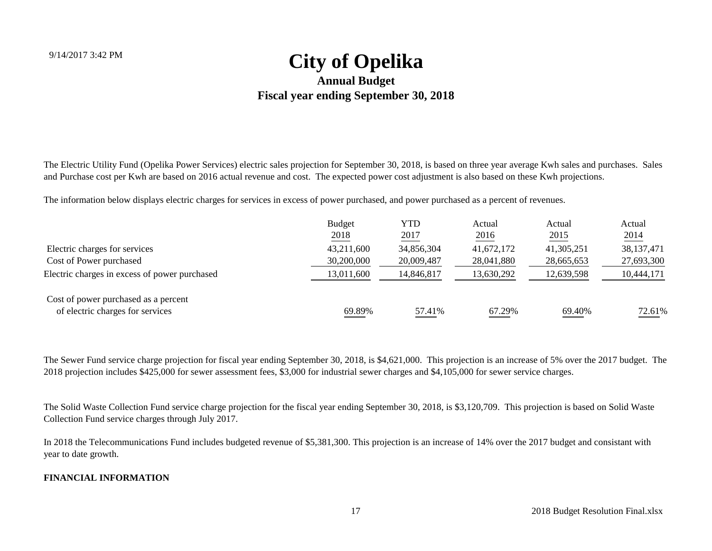The Electric Utility Fund (Opelika Power Services) electric sales projection for September 30, 2018, is based on three year average Kwh sales and purchases. Sales and Purchase cost per Kwh are based on 2016 actual revenue and cost. The expected power cost adjustment is also based on these Kwh projections.

The information below displays electric charges for services in excess of power purchased, and power purchased as a percent of revenues.

|                                               | <b>Budget</b> | YTD        | Actual     | Actual     | Actual       |
|-----------------------------------------------|---------------|------------|------------|------------|--------------|
|                                               | 2018          | 2017       | 2016       | 2015       | 2014         |
| Electric charges for services                 | 43,211,600    | 34,856,304 | 41,672,172 | 41,305,251 | 38, 137, 471 |
| Cost of Power purchased                       | 30,200,000    | 20,009,487 | 28,041,880 | 28,665,653 | 27,693,300   |
| Electric charges in excess of power purchased | 13,011,600    | 14,846,817 | 13,630,292 | 12,639,598 | 10,444,171   |
| Cost of power purchased as a percent          |               |            |            |            |              |
| of electric charges for services              | 69.89%        | 57.41%     | 67.29%     | 69.40%     | 72.61%       |

The Sewer Fund service charge projection for fiscal year ending September 30, 2018, is \$4,621,000. This projection is an increase of 5% over the 2017 budget. The 2018 projection includes \$425,000 for sewer assessment fees, \$3,000 for industrial sewer charges and \$4,105,000 for sewer service charges.

The Solid Waste Collection Fund service charge projection for the fiscal year ending September 30, 2018, is \$3,120,709. This projection is based on Solid Waste Collection Fund service charges through July 2017.

In 2018 the Telecommunications Fund includes budgeted revenue of \$5,381,300. This projection is an increase of 14% over the 2017 budget and consistant with year to date growth.

#### **FINANCIAL INFORMATION**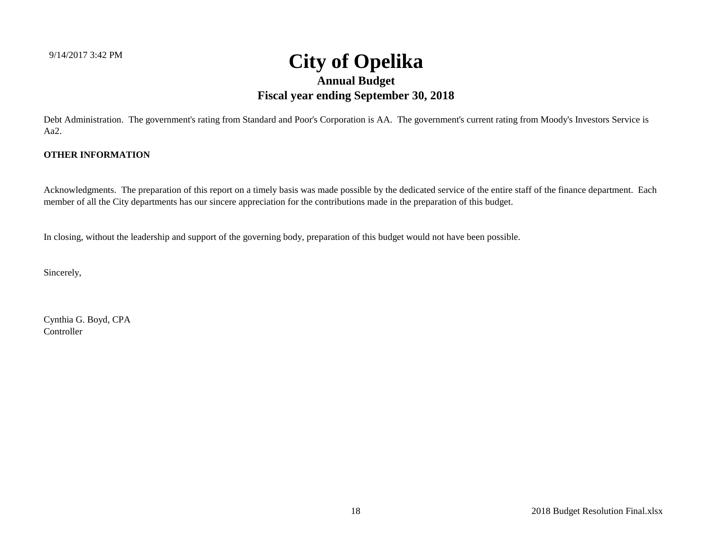Debt Administration. The government's rating from Standard and Poor's Corporation is AA. The government's current rating from Moody's Investors Service is Aa2.

#### **OTHER INFORMATION**

Acknowledgments. The preparation of this report on a timely basis was made possible by the dedicated service of the entire staff of the finance department. Each member of all the City departments has our sincere appreciation for the contributions made in the preparation of this budget.

In closing, without the leadership and support of the governing body, preparation of this budget would not have been possible.

Sincerely,

Cynthia G. Boyd, CPA Controller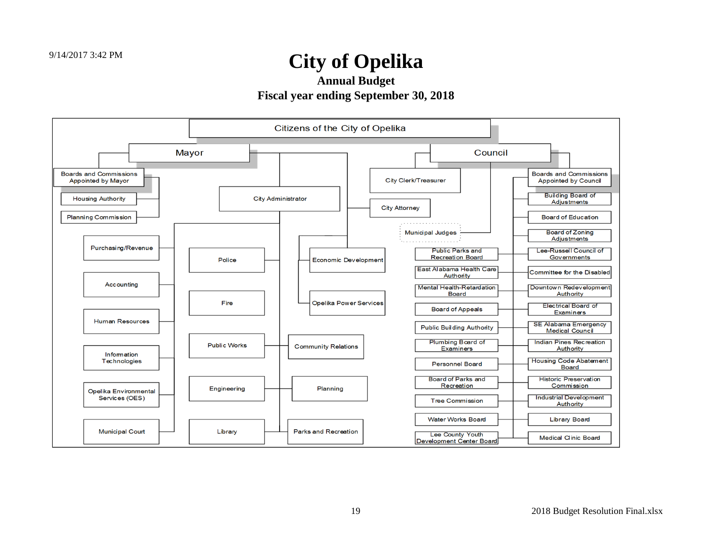**Annual Budget**

**Fiscal year ending September 30, 2018**

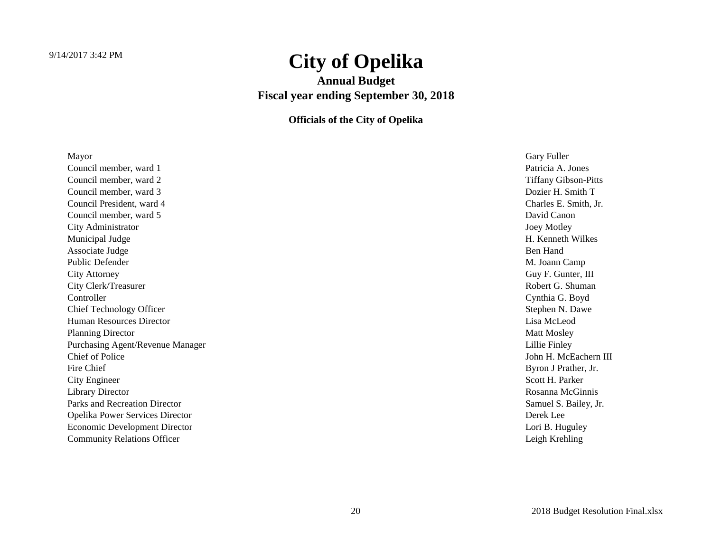**Annual Budget Fiscal year ending September 30, 2018**

**Officials of the City of Opelika**

| Mayor                                  | Gary Fuller                 |
|----------------------------------------|-----------------------------|
| Council member, ward 1                 | Patricia A. Jones           |
| Council member, ward 2                 | <b>Tiffany Gibson-Pitts</b> |
| Council member, ward 3                 | Dozier H. Smith T           |
| Council President, ward 4              | Charles E. Smith, Jr.       |
| Council member, ward 5                 | David Canon                 |
| City Administrator                     | Joey Motley                 |
| Municipal Judge                        | H. Kenneth Wilkes           |
| Associate Judge                        | Ben Hand                    |
| <b>Public Defender</b>                 | M. Joann Camp               |
| <b>City Attorney</b>                   | Guy F. Gunter, III          |
| City Clerk/Treasurer                   | Robert G. Shuman            |
| Controller                             | Cynthia G. Boyd             |
| <b>Chief Technology Officer</b>        | Stephen N. Dawe             |
| <b>Human Resources Director</b>        | Lisa McLeod                 |
| <b>Planning Director</b>               | <b>Matt Mosley</b>          |
| Purchasing Agent/Revenue Manager       | Lillie Finley               |
| Chief of Police                        | John H. McEachern III       |
| Fire Chief                             | Byron J Prather, Jr.        |
| City Engineer                          | Scott H. Parker             |
| <b>Library Director</b>                | Rosanna McGinnis            |
| Parks and Recreation Director          | Samuel S. Bailey, Jr.       |
| <b>Opelika Power Services Director</b> | Derek Lee                   |
| Economic Development Director          | Lori B. Huguley             |
| <b>Community Relations Officer</b>     | Leigh Krehling              |
|                                        |                             |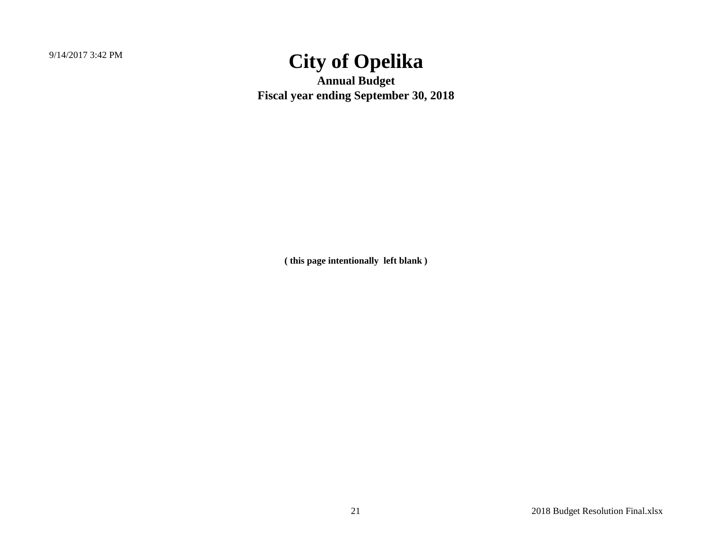9/14/2017 3:42 PM

## **City of Opelika**

**Annual Budget Fiscal year ending September 30, 2018**

**( this page intentionally left blank )**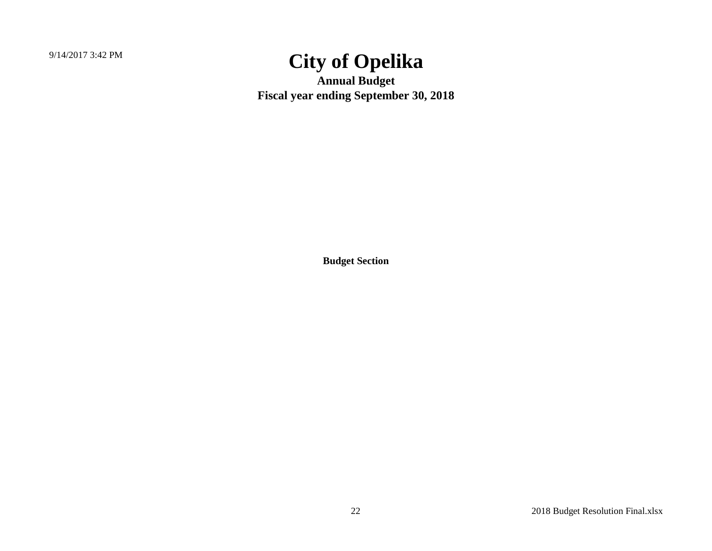9/14/2017 3:42 PM

## **City of Opelika**

**Annual Budget Fiscal year ending September 30, 2018**

**Budget Section**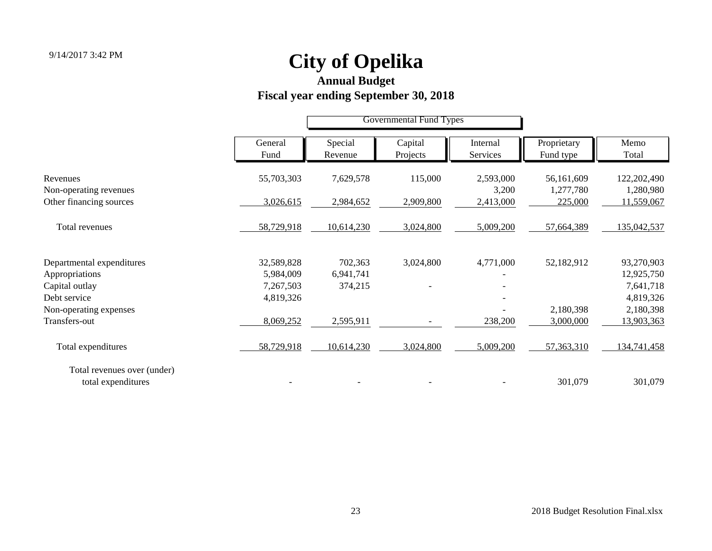#### **Annual Budget**

## **Fiscal year ending September 30, 2018**

|                                                   |                        | <b>Governmental Fund Types</b> |                     |                      |                          |                          |
|---------------------------------------------------|------------------------|--------------------------------|---------------------|----------------------|--------------------------|--------------------------|
|                                                   | General<br>Fund        | Special<br>Revenue             | Capital<br>Projects | Internal<br>Services | Proprietary<br>Fund type | Memo<br>Total            |
| Revenues<br>Non-operating revenues                | 55,703,303             | 7,629,578                      | 115,000             | 2,593,000<br>3,200   | 56,161,609<br>1,277,780  | 122,202,490<br>1,280,980 |
| Other financing sources                           | 3,026,615              | 2,984,652                      | 2,909,800           | 2,413,000            | 225,000                  | 11,559,067               |
| Total revenues                                    | 58,729,918             | 10,614,230                     | 3,024,800           | 5,009,200            | 57,664,389               | 135,042,537              |
| Departmental expenditures                         | 32,589,828             | 702,363                        | 3,024,800           | 4,771,000            | 52,182,912               | 93,270,903               |
| Appropriations<br>Capital outlay                  | 5,984,009<br>7,267,503 | 6,941,741<br>374,215           |                     |                      |                          | 12,925,750<br>7,641,718  |
| Debt service                                      | 4,819,326              |                                |                     |                      |                          | 4,819,326                |
| Non-operating expenses                            |                        |                                |                     |                      | 2,180,398                | 2,180,398                |
| Transfers-out                                     | 8,069,252              | 2,595,911                      |                     | 238,200              | 3,000,000                | 13,903,363               |
| Total expenditures                                | 58,729,918             | 10,614,230                     | 3,024,800           | 5,009,200            | 57,363,310               | 134,741,458              |
| Total revenues over (under)<br>total expenditures |                        |                                |                     |                      | 301,079                  | 301,079                  |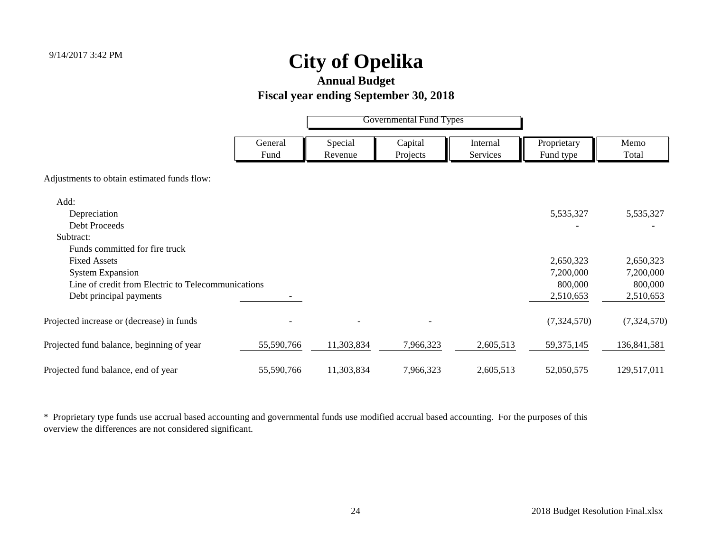**Annual Budget**

#### **Fiscal year ending September 30, 2018**

|                                                    |                 |                    | <b>Governmental Fund Types</b> |                      |                          |               |
|----------------------------------------------------|-----------------|--------------------|--------------------------------|----------------------|--------------------------|---------------|
|                                                    | General<br>Fund | Special<br>Revenue | Capital<br>Projects            | Internal<br>Services | Proprietary<br>Fund type | Memo<br>Total |
| Adjustments to obtain estimated funds flow:        |                 |                    |                                |                      |                          |               |
| Add:                                               |                 |                    |                                |                      |                          |               |
| Depreciation                                       |                 |                    |                                |                      | 5,535,327                | 5,535,327     |
| <b>Debt Proceeds</b>                               |                 |                    |                                |                      |                          |               |
| Subtract:                                          |                 |                    |                                |                      |                          |               |
| Funds committed for fire truck                     |                 |                    |                                |                      |                          |               |
| <b>Fixed Assets</b>                                |                 |                    |                                |                      | 2,650,323                | 2,650,323     |
| <b>System Expansion</b>                            |                 |                    |                                |                      | 7,200,000                | 7,200,000     |
| Line of credit from Electric to Telecommunications |                 |                    |                                |                      | 800,000                  | 800,000       |
| Debt principal payments                            |                 |                    |                                |                      | 2,510,653                | 2,510,653     |
| Projected increase or (decrease) in funds          |                 |                    |                                |                      | (7,324,570)              | (7,324,570)   |
| Projected fund balance, beginning of year          | 55,590,766      | 11,303,834         | 7,966,323                      | 2,605,513            | 59, 375, 145             | 136,841,581   |
| Projected fund balance, end of year                | 55,590,766      | 11,303,834         | 7,966,323                      | 2,605,513            | 52,050,575               | 129,517,011   |

\* Proprietary type funds use accrual based accounting and governmental funds use modified accrual based accounting. For the purposes of this overview the differences are not considered significant.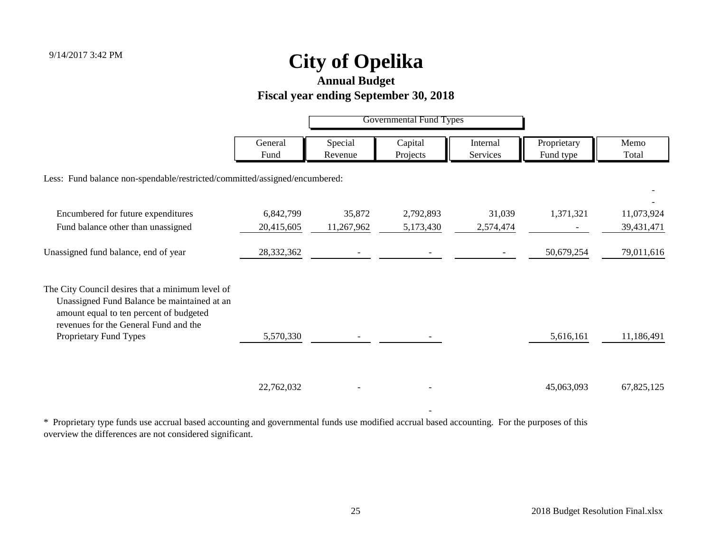**Annual Budget**

#### **Fiscal year ending September 30, 2018**

|                                                                                                                                            |                 |                    | <b>Governmental Fund Types</b> |                      |                          |               |
|--------------------------------------------------------------------------------------------------------------------------------------------|-----------------|--------------------|--------------------------------|----------------------|--------------------------|---------------|
|                                                                                                                                            | General<br>Fund | Special<br>Revenue | Capital<br>Projects            | Internal<br>Services | Proprietary<br>Fund type | Memo<br>Total |
| Less: Fund balance non-spendable/restricted/committed/assigned/encumbered:                                                                 |                 |                    |                                |                      |                          |               |
| Encumbered for future expenditures                                                                                                         | 6,842,799       | 35,872             | 2,792,893                      | 31,039               | 1,371,321                | 11,073,924    |
| Fund balance other than unassigned                                                                                                         | 20,415,605      | 11,267,962         | 5,173,430                      | 2,574,474            |                          | 39,431,471    |
| Unassigned fund balance, end of year                                                                                                       | 28,332,362      |                    |                                |                      | 50,679,254               | 79,011,616    |
| The City Council desires that a minimum level of<br>Unassigned Fund Balance be maintained at an<br>amount equal to ten percent of budgeted |                 |                    |                                |                      |                          |               |
| revenues for the General Fund and the<br>Proprietary Fund Types                                                                            | 5,570,330       |                    |                                |                      | 5,616,161                | 11,186,491    |
|                                                                                                                                            | 22,762,032      |                    |                                |                      | 45,063,093               | 67,825,125    |

\* Proprietary type funds use accrual based accounting and governmental funds use modified accrual based accounting. For the purposes of this overview the differences are not considered significant.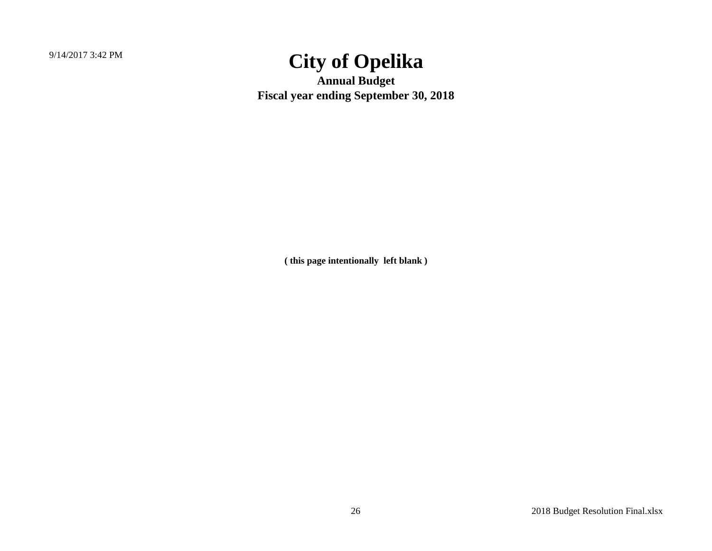9/14/2017 3:42 PM

## **City of Opelika**

**Annual Budget Fiscal year ending September 30, 2018**

**( this page intentionally left blank )**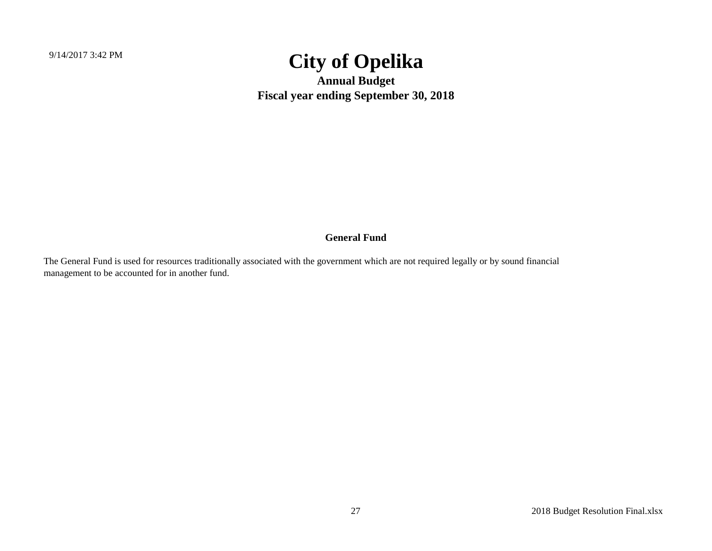**Annual Budget Fiscal year ending September 30, 2018**

#### **General Fund**

The General Fund is used for resources traditionally associated with the government which are not required legally or by sound financial management to be accounted for in another fund.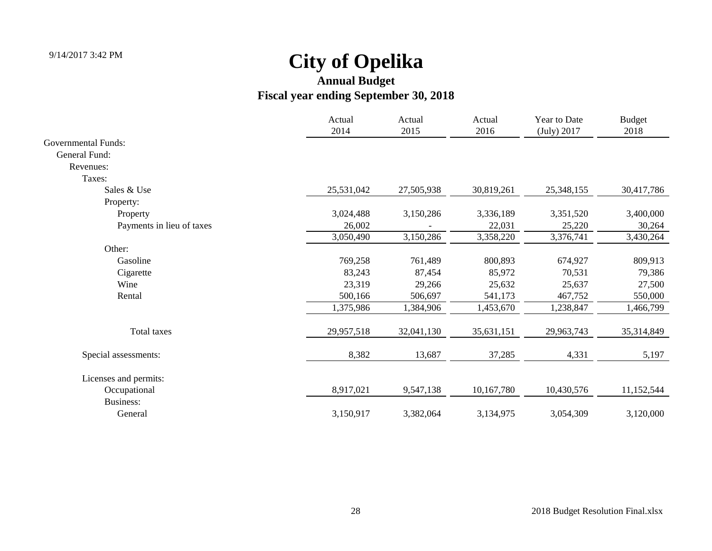|                            | Actual<br>2014 | Actual<br>2015 | Actual<br>2016 | Year to Date<br>(July) 2017 | <b>Budget</b><br>2018 |
|----------------------------|----------------|----------------|----------------|-----------------------------|-----------------------|
| <b>Governmental Funds:</b> |                |                |                |                             |                       |
| General Fund:              |                |                |                |                             |                       |
| Revenues:                  |                |                |                |                             |                       |
| Taxes:                     |                |                |                |                             |                       |
| Sales & Use                | 25,531,042     | 27,505,938     | 30,819,261     | 25,348,155                  | 30,417,786            |
| Property:                  |                |                |                |                             |                       |
| Property                   | 3,024,488      | 3,150,286      | 3,336,189      | 3,351,520                   | 3,400,000             |
| Payments in lieu of taxes  | 26,002         |                | 22,031         | 25,220                      | 30,264                |
|                            | 3,050,490      | 3,150,286      | 3,358,220      | 3,376,741                   | 3,430,264             |
| Other:                     |                |                |                |                             |                       |
| Gasoline                   | 769,258        | 761,489        | 800,893        | 674,927                     | 809,913               |
| Cigarette                  | 83,243         | 87,454         | 85,972         | 70,531                      | 79,386                |
| Wine                       | 23,319         | 29,266         | 25,632         | 25,637                      | 27,500                |
| Rental                     | 500,166        | 506,697        | 541,173        | 467,752                     | 550,000               |
|                            | 1,375,986      | 1,384,906      | 1,453,670      | 1,238,847                   | 1,466,799             |
| Total taxes                | 29,957,518     | 32,041,130     | 35,631,151     | 29,963,743                  | 35,314,849            |
| Special assessments:       | 8,382          | 13,687         | 37,285         | 4,331                       | 5,197                 |
| Licenses and permits:      |                |                |                |                             |                       |
| Occupational               | 8,917,021      | 9,547,138      | 10,167,780     | 10,430,576                  | 11,152,544            |
| Business:                  |                |                |                |                             |                       |
| General                    | 3,150,917      | 3,382,064      | 3,134,975      | 3,054,309                   | 3,120,000             |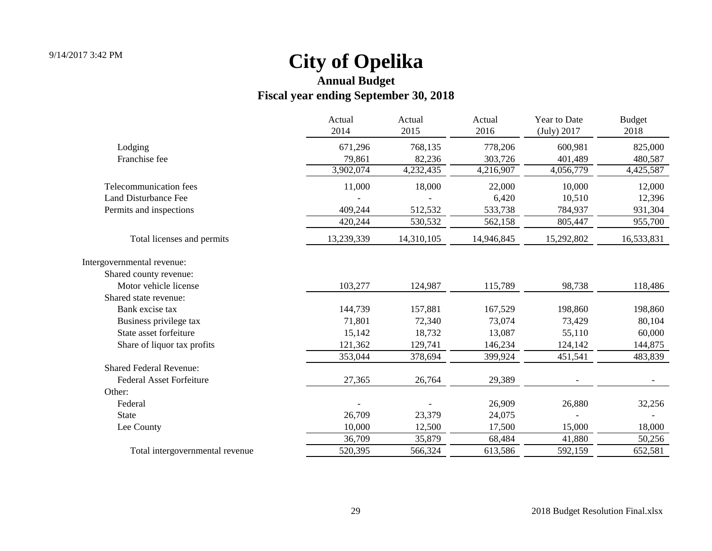|                                 | Actual<br>2014 | Actual<br>2015 | Actual<br>2016 | Year to Date<br>(July) 2017 | <b>Budget</b><br>2018 |
|---------------------------------|----------------|----------------|----------------|-----------------------------|-----------------------|
| Lodging                         | 671,296        | 768,135        | 778,206        | 600,981                     | 825,000               |
| Franchise fee                   | 79,861         | 82,236         | 303,726        | 401,489                     | 480,587               |
|                                 | 3,902,074      | 4,232,435      | 4,216,907      | 4,056,779                   | 4,425,587             |
| Telecommunication fees          | 11,000         | 18,000         | 22,000         | 10,000                      | 12,000                |
| <b>Land Disturbance Fee</b>     |                |                | 6,420          | 10,510                      | 12,396                |
| Permits and inspections         | 409,244        | 512,532        | 533,738        | 784,937                     | 931,304               |
|                                 | 420,244        | 530,532        | 562,158        | 805,447                     | 955,700               |
| Total licenses and permits      | 13,239,339     | 14,310,105     | 14,946,845     | 15,292,802                  | 16,533,831            |
| Intergovernmental revenue:      |                |                |                |                             |                       |
| Shared county revenue:          |                |                |                |                             |                       |
| Motor vehicle license           | 103,277        | 124,987        | 115,789        | 98,738                      | 118,486               |
| Shared state revenue:           |                |                |                |                             |                       |
| Bank excise tax                 | 144,739        | 157,881        | 167,529        | 198,860                     | 198,860               |
| Business privilege tax          | 71,801         | 72,340         | 73,074         | 73,429                      | 80,104                |
| State asset forfeiture          | 15,142         | 18,732         | 13,087         | 55,110                      | 60,000                |
| Share of liquor tax profits     | 121,362        | 129,741        | 146,234        | 124,142                     | 144,875               |
|                                 | 353,044        | 378,694        | 399,924        | 451,541                     | 483,839               |
| <b>Shared Federal Revenue:</b>  |                |                |                |                             |                       |
| <b>Federal Asset Forfeiture</b> | 27,365         | 26,764         | 29,389         |                             |                       |
| Other:                          |                |                |                |                             |                       |
| Federal                         |                |                | 26,909         | 26,880                      | 32,256                |
| <b>State</b>                    | 26,709         | 23,379         | 24,075         |                             |                       |
| Lee County                      | 10,000         | 12,500         | 17,500         | 15,000                      | 18,000                |
|                                 | 36,709         | 35,879         | 68,484         | 41,880                      | 50,256                |
| Total intergovernmental revenue | 520,395        | 566,324        | 613,586        | 592,159                     | 652,581               |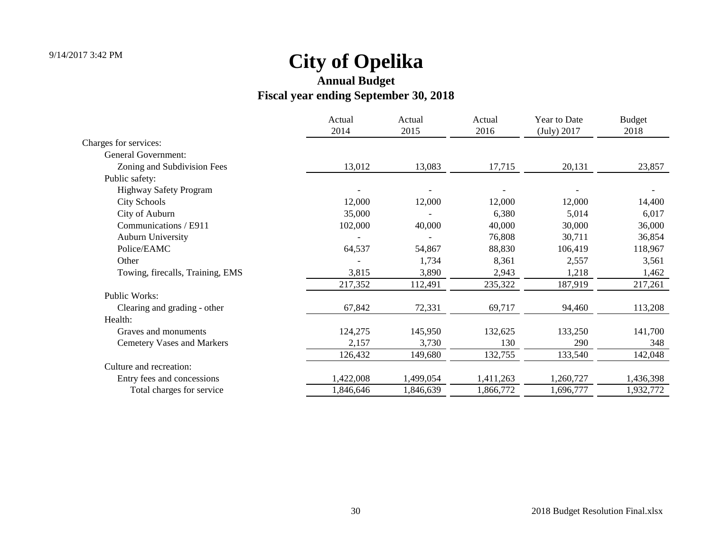|                                   | Actual<br>2014 | Actual<br>2015 | Actual<br>2016 | Year to Date<br>(July) 2017 | <b>Budget</b><br>2018 |
|-----------------------------------|----------------|----------------|----------------|-----------------------------|-----------------------|
| Charges for services:             |                |                |                |                             |                       |
| General Government:               |                |                |                |                             |                       |
| Zoning and Subdivision Fees       | 13,012         | 13,083         | 17,715         | 20,131                      | 23,857                |
| Public safety:                    |                |                |                |                             |                       |
| <b>Highway Safety Program</b>     |                |                |                |                             |                       |
| <b>City Schools</b>               | 12,000         | 12,000         | 12,000         | 12,000                      | 14,400                |
| City of Auburn                    | 35,000         |                | 6,380          | 5,014                       | 6,017                 |
| Communications / E911             | 102,000        | 40,000         | 40,000         | 30,000                      | 36,000                |
| <b>Auburn University</b>          |                |                | 76,808         | 30,711                      | 36,854                |
| Police/EAMC                       | 64,537         | 54,867         | 88,830         | 106,419                     | 118,967               |
| Other                             |                | 1,734          | 8,361          | 2,557                       | 3,561                 |
| Towing, firecalls, Training, EMS  | 3,815          | 3,890          | 2,943          | 1,218                       | 1,462                 |
|                                   | 217,352        | 112,491        | 235,322        | 187,919                     | 217,261               |
| Public Works:                     |                |                |                |                             |                       |
| Clearing and grading - other      | 67,842         | 72,331         | 69,717         | 94,460                      | 113,208               |
| Health:                           |                |                |                |                             |                       |
| Graves and monuments              | 124,275        | 145,950        | 132,625        | 133,250                     | 141,700               |
| <b>Cemetery Vases and Markers</b> | 2,157          | 3,730          | 130            | 290                         | 348                   |
|                                   | 126,432        | 149,680        | 132,755        | 133,540                     | 142,048               |
| Culture and recreation:           |                |                |                |                             |                       |
| Entry fees and concessions        | 1,422,008      | 1,499,054      | 1,411,263      | 1,260,727                   | 1,436,398             |
| Total charges for service         | 1,846,646      | 1,846,639      | 1,866,772      | 1,696,777                   | 1,932,772             |
|                                   |                |                |                |                             |                       |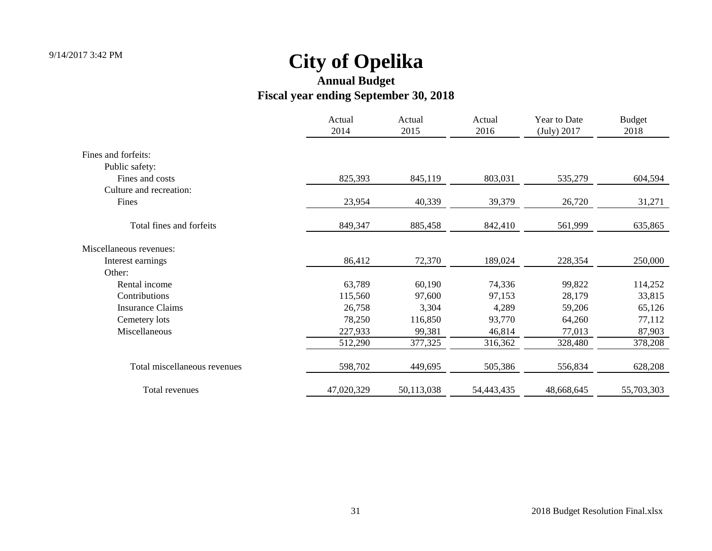|                              | Actual<br>2014 | Actual<br>2015 | Actual<br>2016 | Year to Date<br>(July) 2017 | <b>Budget</b><br>2018 |
|------------------------------|----------------|----------------|----------------|-----------------------------|-----------------------|
| Fines and forfeits:          |                |                |                |                             |                       |
| Public safety:               |                |                |                |                             |                       |
| Fines and costs              | 825,393        | 845,119        | 803,031        | 535,279                     | 604,594               |
| Culture and recreation:      |                |                |                |                             |                       |
| Fines                        | 23,954         | 40,339         | 39,379         | 26,720                      | 31,271                |
| Total fines and forfeits     | 849,347        | 885,458        | 842,410        | 561,999                     | 635,865               |
| Miscellaneous revenues:      |                |                |                |                             |                       |
| Interest earnings            | 86,412         | 72,370         | 189,024        | 228,354                     | 250,000               |
| Other:                       |                |                |                |                             |                       |
| Rental income                | 63,789         | 60,190         | 74,336         | 99,822                      | 114,252               |
| Contributions                | 115,560        | 97,600         | 97,153         | 28,179                      | 33,815                |
| <b>Insurance Claims</b>      | 26,758         | 3,304          | 4,289          | 59,206                      | 65,126                |
| Cemetery lots                | 78,250         | 116,850        | 93,770         | 64,260                      | 77,112                |
| Miscellaneous                | 227,933        | 99,381         | 46,814         | 77,013                      | 87,903                |
|                              | 512,290        | 377,325        | 316,362        | 328,480                     | 378,208               |
| Total miscellaneous revenues | 598,702        | 449,695        | 505,386        | 556,834                     | 628,208               |
| Total revenues               | 47,020,329     | 50,113,038     | 54,443,435     | 48,668,645                  | 55,703,303            |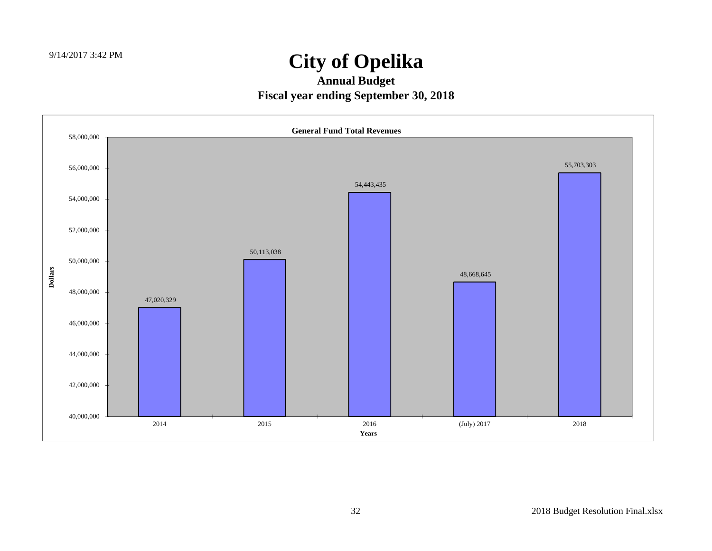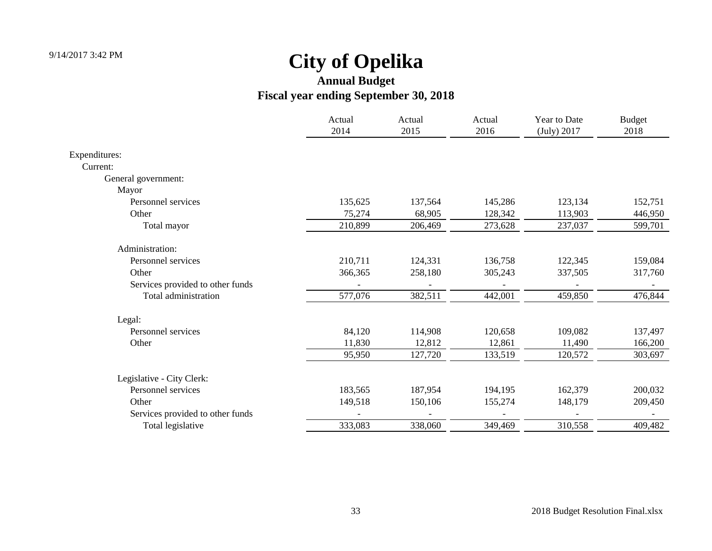|                                  | Actual<br>2014 | Actual<br>2015 | Actual<br>2016 | <b>Year to Date</b><br>(July) 2017 | <b>Budget</b><br>2018 |
|----------------------------------|----------------|----------------|----------------|------------------------------------|-----------------------|
|                                  |                |                |                |                                    |                       |
| Expenditures:                    |                |                |                |                                    |                       |
| Current:                         |                |                |                |                                    |                       |
| General government:              |                |                |                |                                    |                       |
| Mayor                            |                |                |                |                                    |                       |
| Personnel services               | 135,625        | 137,564        | 145,286        | 123,134                            | 152,751               |
| Other                            | 75,274         | 68,905         | 128,342        | 113,903                            | 446,950               |
| Total mayor                      | 210,899        | 206,469        | 273,628        | 237,037                            | 599,701               |
| Administration:                  |                |                |                |                                    |                       |
| Personnel services               | 210,711        | 124,331        | 136,758        | 122,345                            | 159,084               |
| Other                            | 366,365        | 258,180        | 305,243        | 337,505                            | 317,760               |
| Services provided to other funds |                |                |                |                                    |                       |
| Total administration             | 577,076        | 382,511        | 442,001        | 459,850                            | 476,844               |
| Legal:                           |                |                |                |                                    |                       |
| Personnel services               | 84,120         | 114,908        | 120,658        | 109,082                            | 137,497               |
| Other                            | 11,830         | 12,812         | 12,861         | 11,490                             | 166,200               |
|                                  | 95,950         | 127,720        | 133,519        | 120,572                            | 303,697               |
| Legislative - City Clerk:        |                |                |                |                                    |                       |
| Personnel services               | 183,565        | 187,954        | 194,195        | 162,379                            | 200,032               |
| Other                            | 149,518        | 150,106        | 155,274        | 148,179                            | 209,450               |
| Services provided to other funds |                |                |                |                                    |                       |
| Total legislative                | 333,083        | 338,060        | 349,469        | 310,558                            | 409,482               |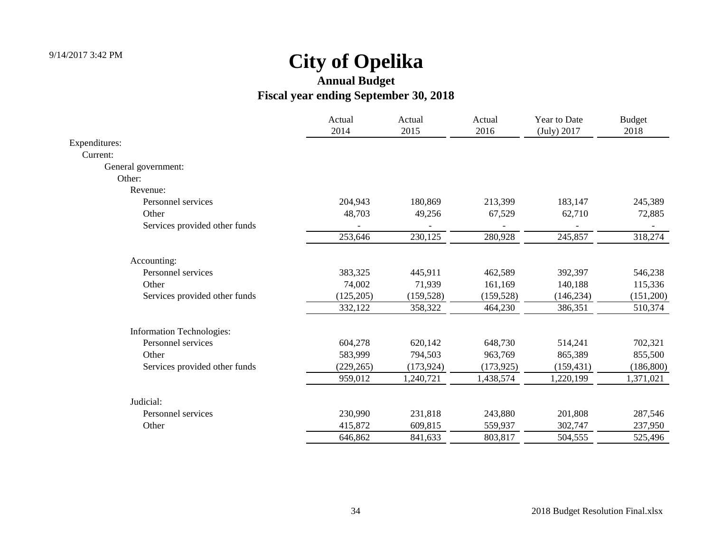|                                  | Actual<br>2014 | Actual<br>2015 | Actual<br>2016 | Year to Date<br>(July) 2017 | <b>Budget</b><br>2018 |
|----------------------------------|----------------|----------------|----------------|-----------------------------|-----------------------|
| Expenditures:                    |                |                |                |                             |                       |
| Current:                         |                |                |                |                             |                       |
| General government:              |                |                |                |                             |                       |
| Other:                           |                |                |                |                             |                       |
| Revenue:                         |                |                |                |                             |                       |
| Personnel services               | 204,943        | 180,869        | 213,399        | 183,147                     | 245,389               |
| Other                            | 48,703         | 49,256         | 67,529         | 62,710                      | 72,885                |
| Services provided other funds    |                |                |                |                             |                       |
|                                  | 253,646        | 230,125        | 280,928        | 245,857                     | 318,274               |
| Accounting:                      |                |                |                |                             |                       |
| Personnel services               | 383,325        | 445,911        | 462,589        | 392,397                     | 546,238               |
| Other                            | 74,002         | 71,939         | 161,169        | 140,188                     | 115,336               |
| Services provided other funds    | (125, 205)     | (159, 528)     | (159, 528)     | (146, 234)                  | (151,200)             |
|                                  | 332,122        | 358,322        | 464,230        | 386,351                     | 510,374               |
| <b>Information Technologies:</b> |                |                |                |                             |                       |
| Personnel services               | 604,278        | 620,142        | 648,730        | 514,241                     | 702,321               |
| Other                            | 583,999        | 794,503        | 963,769        | 865,389                     | 855,500               |
| Services provided other funds    | (229, 265)     | (173, 924)     | (173, 925)     | (159, 431)                  | (186, 800)            |
|                                  | 959,012        | 1,240,721      | 1,438,574      | 1,220,199                   | 1,371,021             |
| Judicial:                        |                |                |                |                             |                       |
| Personnel services               | 230,990        | 231,818        | 243,880        | 201,808                     | 287,546               |
| Other                            | 415,872        | 609,815        | 559,937        | 302,747                     | 237,950               |
|                                  | 646,862        | 841,633        | 803,817        | 504,555                     | 525,496               |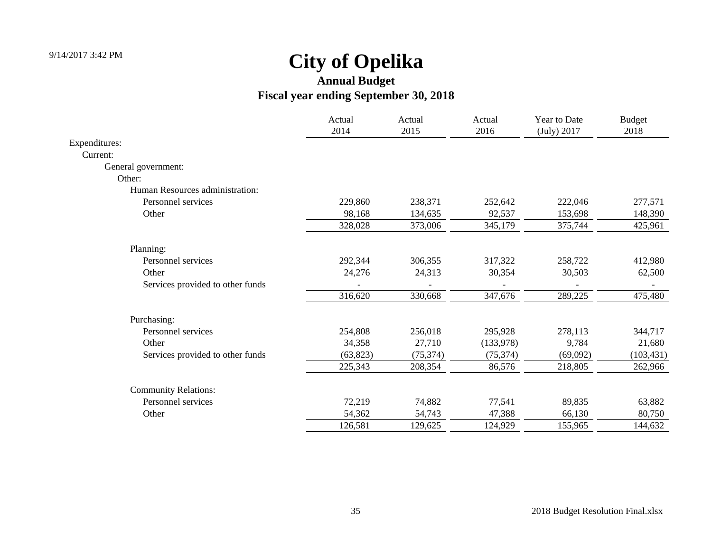|                                  | Actual<br>2014 | Actual<br>2015 | Actual<br>2016 | Year to Date<br>(July) 2017 | <b>Budget</b><br>2018 |
|----------------------------------|----------------|----------------|----------------|-----------------------------|-----------------------|
| Expenditures:                    |                |                |                |                             |                       |
| Current:                         |                |                |                |                             |                       |
| General government:              |                |                |                |                             |                       |
| Other:                           |                |                |                |                             |                       |
| Human Resources administration:  |                |                |                |                             |                       |
| Personnel services               | 229,860        | 238,371        | 252,642        | 222,046                     | 277,571               |
| Other                            | 98,168         | 134,635        | 92,537         | 153,698                     | 148,390               |
|                                  | 328,028        | 373,006        | 345,179        | 375,744                     | 425,961               |
| Planning:                        |                |                |                |                             |                       |
| Personnel services               | 292,344        | 306,355        | 317,322        | 258,722                     | 412,980               |
| Other                            | 24,276         | 24,313         | 30,354         | 30,503                      | 62,500                |
| Services provided to other funds |                |                |                |                             |                       |
|                                  | 316,620        | 330,668        | 347,676        | 289,225                     | 475,480               |
| Purchasing:                      |                |                |                |                             |                       |
| Personnel services               | 254,808        | 256,018        | 295,928        | 278,113                     | 344,717               |
| Other                            | 34,358         | 27,710         | (133,978)      | 9,784                       | 21,680                |
| Services provided to other funds | (63, 823)      | (75, 374)      | (75, 374)      | (69,092)                    | (103, 431)            |
|                                  | 225,343        | 208,354        | 86,576         | 218,805                     | 262,966               |
| <b>Community Relations:</b>      |                |                |                |                             |                       |
| Personnel services               | 72,219         | 74,882         | 77,541         | 89,835                      | 63,882                |
| Other                            | 54,362         | 54,743         | 47,388         | 66,130                      | 80,750                |
|                                  | 126,581        | 129,625        | 124,929        | 155,965                     | 144,632               |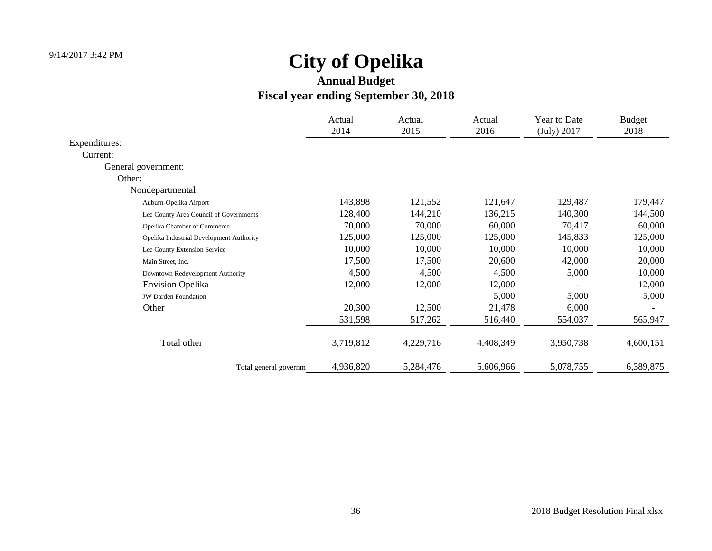|                                          | Actual    | Actual    | Actual    | Year to Date | <b>Budget</b> |
|------------------------------------------|-----------|-----------|-----------|--------------|---------------|
|                                          | 2014      | 2015      | 2016      | (July) 2017  | 2018          |
| Expenditures:                            |           |           |           |              |               |
| Current:                                 |           |           |           |              |               |
| General government:                      |           |           |           |              |               |
| Other:                                   |           |           |           |              |               |
| Nondepartmental:                         |           |           |           |              |               |
| Auburn-Opelika Airport                   | 143,898   | 121,552   | 121,647   | 129,487      | 179,447       |
| Lee County Area Council of Governments   | 128,400   | 144,210   | 136,215   | 140,300      | 144,500       |
| Opelika Chamber of Commerce              | 70,000    | 70,000    | 60,000    | 70,417       | 60,000        |
| Opelika Industrial Development Authority | 125,000   | 125,000   | 125,000   | 145,833      | 125,000       |
| Lee County Extension Service             | 10,000    | 10,000    | 10,000    | 10,000       | 10,000        |
| Main Street, Inc.                        | 17,500    | 17,500    | 20,600    | 42,000       | 20,000        |
| Downtown Redevelopment Authority         | 4,500     | 4,500     | 4,500     | 5,000        | 10,000        |
| <b>Envision Opelika</b>                  | 12,000    | 12,000    | 12,000    |              | 12,000        |
| <b>JW Darden Foundation</b>              |           |           | 5,000     | 5,000        | 5,000         |
| Other                                    | 20,300    | 12,500    | 21,478    | 6,000        |               |
|                                          | 531,598   | 517,262   | 516,440   | 554,037      | 565,947       |
| Total other                              | 3,719,812 | 4,229,716 | 4,408,349 | 3,950,738    | 4,600,151     |
| Total general governm                    | 4,936,820 | 5,284,476 | 5,606,966 | 5,078,755    | 6,389,875     |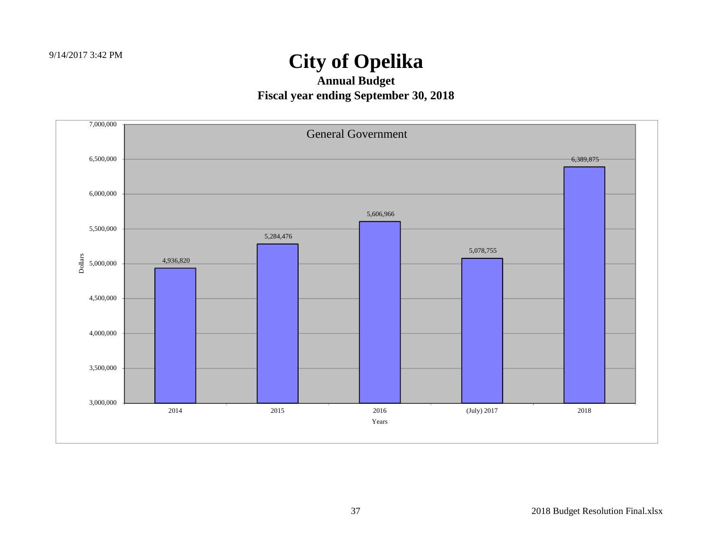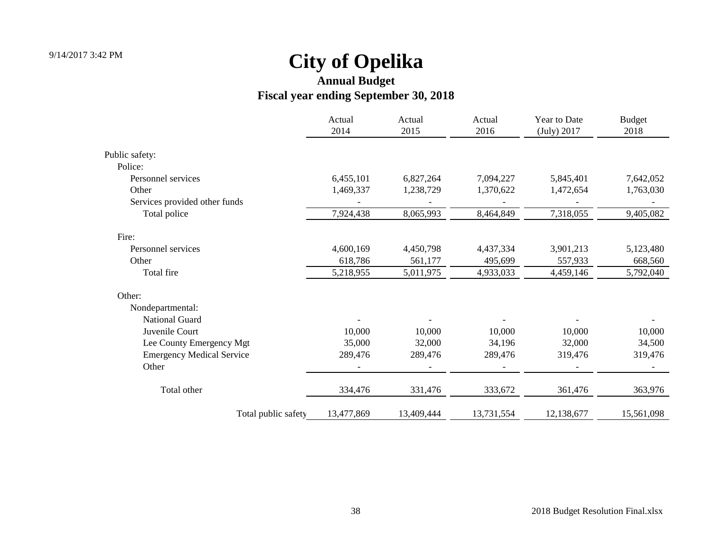|                                  | Actual<br>2014 | Actual<br>2015 | Actual<br>2016 | Year to Date<br>(July) 2017 | <b>Budget</b><br>2018 |
|----------------------------------|----------------|----------------|----------------|-----------------------------|-----------------------|
|                                  |                |                |                |                             |                       |
| Public safety:                   |                |                |                |                             |                       |
| Police:                          |                |                |                |                             |                       |
| Personnel services               | 6,455,101      | 6,827,264      | 7,094,227      | 5,845,401                   | 7,642,052             |
| Other                            | 1,469,337      | 1,238,729      | 1,370,622      | 1,472,654                   | 1,763,030             |
| Services provided other funds    |                |                |                |                             |                       |
| Total police                     | 7,924,438      | 8,065,993      | 8,464,849      | 7,318,055                   | 9,405,082             |
| Fire:                            |                |                |                |                             |                       |
| Personnel services               | 4,600,169      | 4,450,798      | 4,437,334      | 3,901,213                   | 5,123,480             |
| Other                            | 618,786        | 561,177        | 495,699        | 557,933                     | 668,560               |
| Total fire                       | 5,218,955      | 5,011,975      | 4,933,033      | 4,459,146                   | 5,792,040             |
| Other:                           |                |                |                |                             |                       |
| Nondepartmental:                 |                |                |                |                             |                       |
| <b>National Guard</b>            |                |                |                |                             |                       |
| Juvenile Court                   | 10,000         | 10,000         | 10,000         | 10,000                      | 10,000                |
| Lee County Emergency Mgt         | 35,000         | 32,000         | 34,196         | 32,000                      | 34,500                |
| <b>Emergency Medical Service</b> | 289,476        | 289,476        | 289,476        | 319,476                     | 319,476               |
| Other                            |                |                |                |                             |                       |
| Total other                      | 334,476        | 331,476        | 333,672        | 361,476                     | 363,976               |
| Total public safety              | 13,477,869     | 13,409,444     | 13,731,554     | 12,138,677                  | 15,561,098            |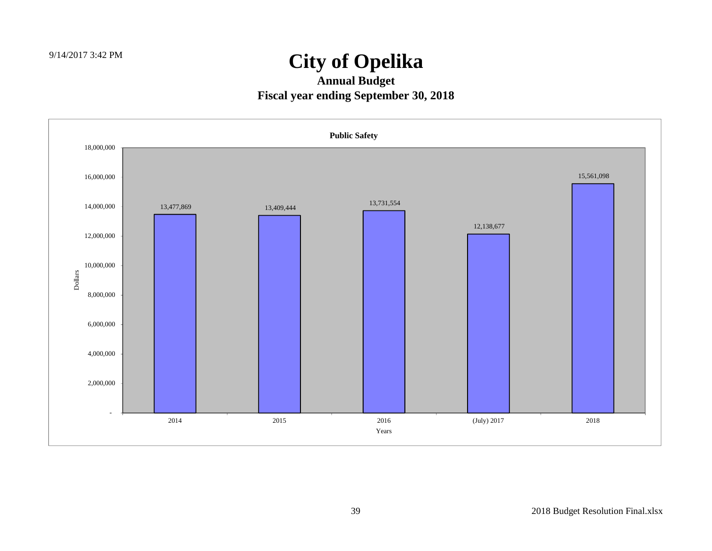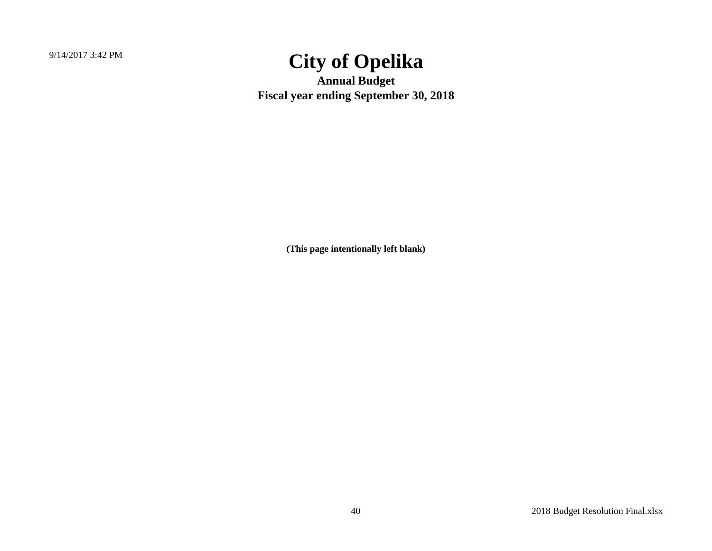9/14/2017 3:42 PM

### **City of Opelika**

**Annual Budget Fiscal year ending September 30, 2018**

**(This page intentionally left blank)**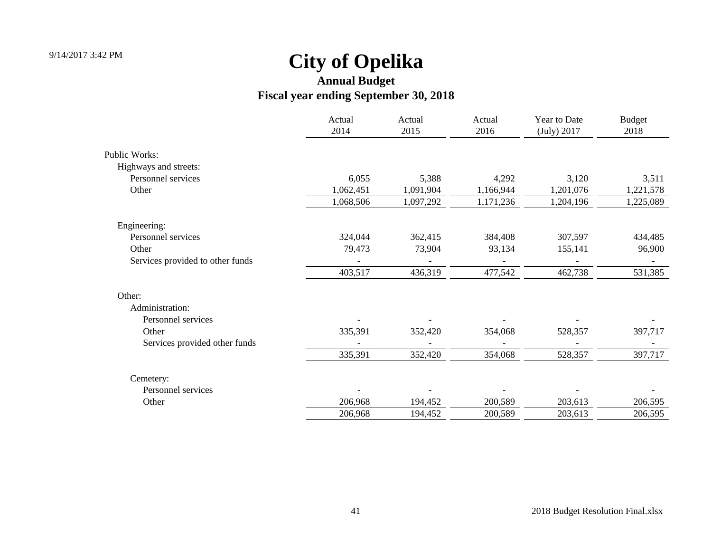|                                  | Actual<br>2014 | Actual<br>2015 | Actual<br>2016 | Year to Date<br>(July) 2017 | <b>Budget</b><br>2018 |
|----------------------------------|----------------|----------------|----------------|-----------------------------|-----------------------|
| <b>Public Works:</b>             |                |                |                |                             |                       |
| Highways and streets:            |                |                |                |                             |                       |
| Personnel services               | 6,055          | 5,388          | 4,292          | 3,120                       | 3,511                 |
| Other                            | 1,062,451      | 1,091,904      | 1,166,944      | 1,201,076                   | 1,221,578             |
|                                  | 1,068,506      | 1,097,292      | 1,171,236      | 1,204,196                   | 1,225,089             |
| Engineering:                     |                |                |                |                             |                       |
| Personnel services               | 324,044        | 362,415        | 384,408        | 307,597                     | 434,485               |
| Other                            | 79,473         | 73,904         | 93,134         | 155,141                     | 96,900                |
| Services provided to other funds |                |                |                |                             |                       |
|                                  | 403,517        | 436,319        | 477,542        | 462,738                     | 531,385               |
| Other:                           |                |                |                |                             |                       |
| Administration:                  |                |                |                |                             |                       |
| Personnel services               |                |                |                |                             |                       |
| Other                            | 335,391        | 352,420        | 354,068        | 528,357                     | 397,717               |
| Services provided other funds    |                |                |                |                             |                       |
|                                  | 335,391        | 352,420        | 354,068        | 528,357                     | 397,717               |
| Cemetery:                        |                |                |                |                             |                       |
| Personnel services               |                |                |                |                             |                       |
| Other                            | 206,968        | 194,452        | 200,589        | 203,613                     | 206,595               |
|                                  | 206,968        | 194,452        | 200,589        | 203,613                     | 206,595               |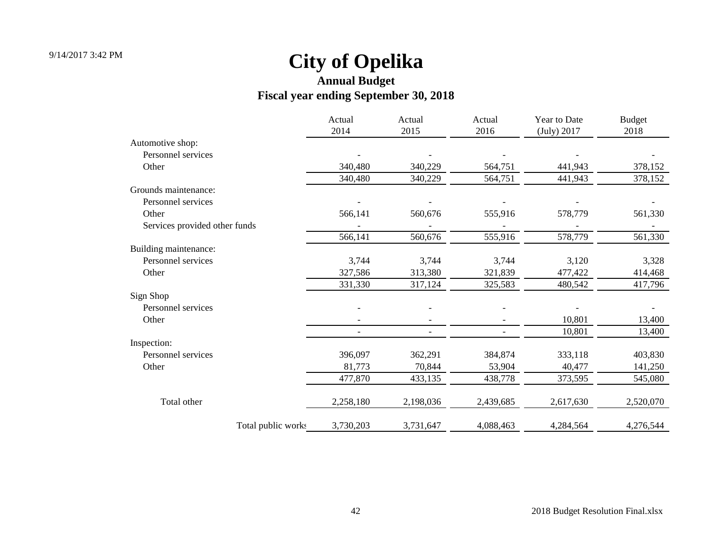|                               | Actual<br>2014 | Actual<br>2015           | Actual<br>2016 | Year to Date<br>(July) 2017 | <b>Budget</b><br>2018 |
|-------------------------------|----------------|--------------------------|----------------|-----------------------------|-----------------------|
| Automotive shop:              |                |                          |                |                             |                       |
| Personnel services            |                |                          |                |                             |                       |
| Other                         | 340,480        | 340,229                  | 564,751        | 441,943                     | 378,152               |
|                               | 340,480        | 340,229                  | 564,751        | 441,943                     | 378,152               |
| Grounds maintenance:          |                |                          |                |                             |                       |
| Personnel services            |                |                          |                |                             |                       |
| Other                         | 566,141        | 560,676                  | 555,916        | 578,779                     | 561,330               |
| Services provided other funds |                |                          |                |                             |                       |
|                               | 566,141        | 560,676                  | 555,916        | 578,779                     | 561,330               |
| Building maintenance:         |                |                          |                |                             |                       |
| Personnel services            | 3,744          | 3,744                    | 3,744          | 3,120                       | 3,328                 |
| Other                         | 327,586        | 313,380                  | 321,839        | 477,422                     | 414,468               |
|                               | 331,330        | 317,124                  | 325,583        | 480,542                     | 417,796               |
| Sign Shop                     |                |                          |                |                             |                       |
| Personnel services            |                |                          |                |                             |                       |
| Other                         |                | $\blacksquare$           |                | 10,801                      | 13,400                |
|                               |                | $\overline{\phantom{a}}$ |                | 10,801                      | 13,400                |
| Inspection:                   |                |                          |                |                             |                       |
| Personnel services            | 396,097        | 362,291                  | 384,874        | 333,118                     | 403,830               |
| Other                         | 81,773         | 70,844                   | 53,904         | 40,477                      | 141,250               |
|                               | 477,870        | 433,135                  | 438,778        | 373,595                     | 545,080               |
| Total other                   | 2,258,180      | 2,198,036                | 2,439,685      | 2,617,630                   | 2,520,070             |
| Total public works            | 3,730,203      | 3,731,647                | 4,088,463      | 4,284,564                   | 4,276,544             |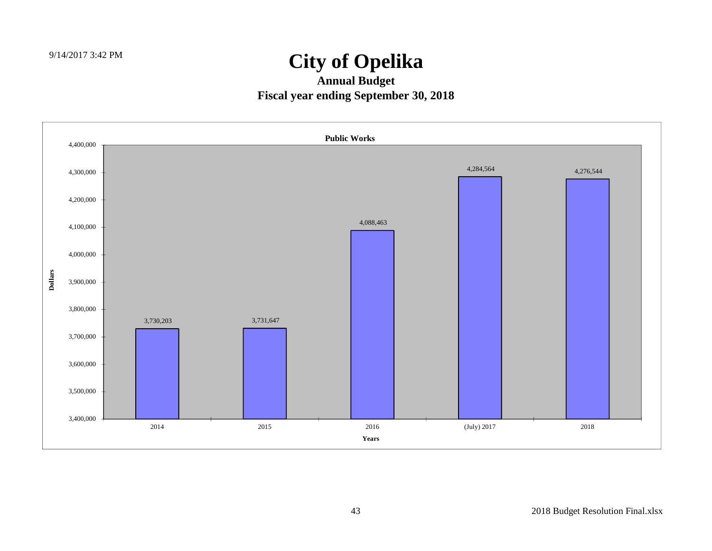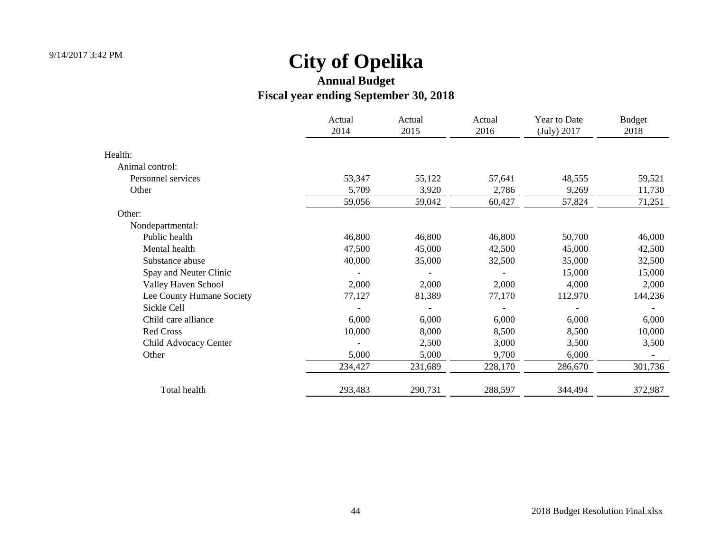|                           | Actual<br>2014 | Actual<br>2015 | Actual<br>2016 | Year to Date<br>(July) 2017 | <b>Budget</b><br>2018 |
|---------------------------|----------------|----------------|----------------|-----------------------------|-----------------------|
| Health:                   |                |                |                |                             |                       |
| Animal control:           |                |                |                |                             |                       |
| Personnel services        | 53,347         | 55,122         | 57,641         | 48,555                      | 59,521                |
| Other                     | 5,709          | 3,920          | 2,786          | 9,269                       | 11,730                |
|                           | 59,056         | 59,042         | 60,427         | 57,824                      | 71,251                |
| Other:                    |                |                |                |                             |                       |
| Nondepartmental:          |                |                |                |                             |                       |
| Public health             | 46,800         | 46,800         | 46,800         | 50,700                      | 46,000                |
| Mental health             | 47,500         | 45,000         | 42,500         | 45,000                      | 42,500                |
| Substance abuse           | 40,000         | 35,000         | 32,500         | 35,000                      | 32,500                |
| Spay and Neuter Clinic    |                |                |                | 15,000                      | 15,000                |
| Valley Haven School       | 2,000          | 2,000          | 2,000          | 4,000                       | 2,000                 |
| Lee County Humane Society | 77,127         | 81,389         | 77,170         | 112,970                     | 144,236               |
| Sickle Cell               |                |                |                |                             |                       |
| Child care alliance       | 6,000          | 6,000          | 6,000          | 6,000                       | 6,000                 |
| Red Cross                 | 10,000         | 8,000          | 8,500          | 8,500                       | 10,000                |
| Child Advocacy Center     |                | 2,500          | 3,000          | 3,500                       | 3,500                 |
| Other                     | 5,000          | 5,000          | 9,700          | 6,000                       |                       |
|                           | 234,427        | 231,689        | 228,170        | 286,670                     | 301,736               |
| Total health              | 293,483        | 290,731        | 288,597        | 344,494                     | 372,987               |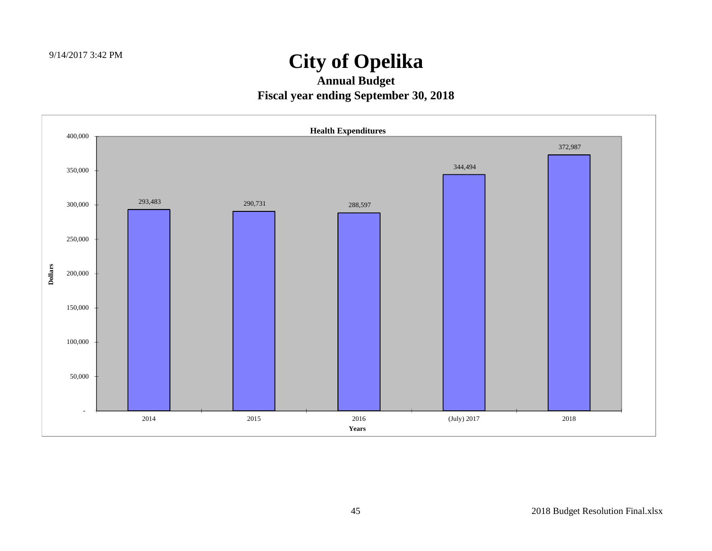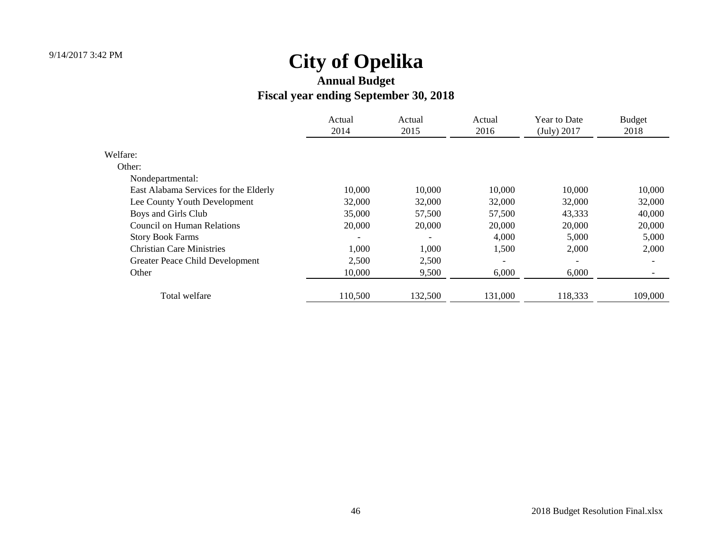|                                       | Actual<br>2014 | Actual<br>2015 | Actual<br>2016 | Year to Date<br>(July) 2017 | <b>Budget</b><br>2018 |
|---------------------------------------|----------------|----------------|----------------|-----------------------------|-----------------------|
| Welfare:                              |                |                |                |                             |                       |
| Other:                                |                |                |                |                             |                       |
| Nondepartmental:                      |                |                |                |                             |                       |
| East Alabama Services for the Elderly | 10,000         | 10,000         | 10,000         | 10,000                      | 10,000                |
| Lee County Youth Development          | 32,000         | 32,000         | 32,000         | 32,000                      | 32,000                |
| Boys and Girls Club                   | 35,000         | 57,500         | 57,500         | 43,333                      | 40,000                |
| Council on Human Relations            | 20,000         | 20,000         | 20,000         | 20,000                      | 20,000                |
| <b>Story Book Farms</b>               |                |                | 4,000          | 5,000                       | 5,000                 |
| <b>Christian Care Ministries</b>      | 1,000          | 1,000          | 1,500          | 2,000                       | 2,000                 |
| Greater Peace Child Development       | 2,500          | 2,500          |                | $\overline{\phantom{0}}$    |                       |
| Other                                 | 10,000         | 9,500          | 6,000          | 6,000                       |                       |
| Total welfare                         | 110,500        | 132,500        | 131,000        | 118,333                     | 109,000               |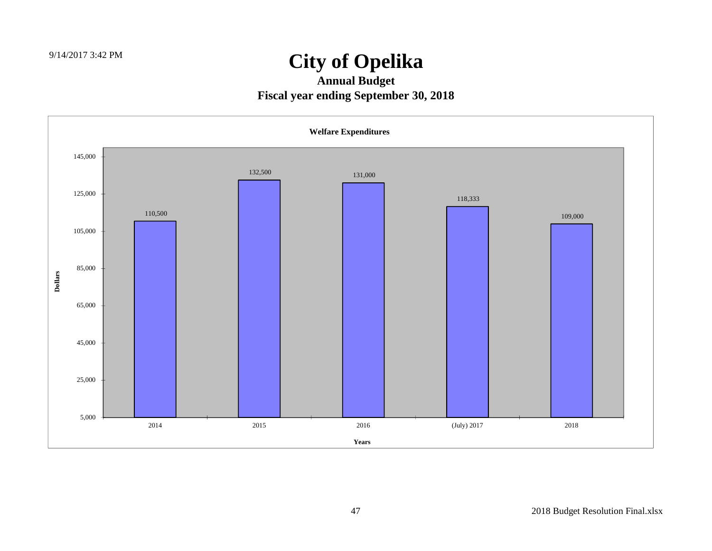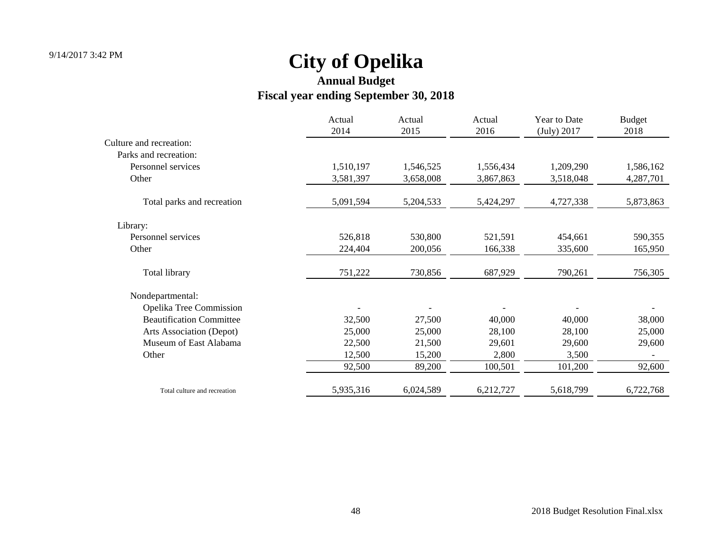|                                 | Actual<br>2014 | Actual<br>2015 | Actual<br>2016 | Year to Date<br>(July) 2017 | <b>Budget</b><br>2018 |
|---------------------------------|----------------|----------------|----------------|-----------------------------|-----------------------|
| Culture and recreation:         |                |                |                |                             |                       |
| Parks and recreation:           |                |                |                |                             |                       |
| Personnel services              | 1,510,197      | 1,546,525      | 1,556,434      | 1,209,290                   | 1,586,162             |
| Other                           | 3,581,397      | 3,658,008      | 3,867,863      | 3,518,048                   | 4,287,701             |
| Total parks and recreation      | 5,091,594      | 5,204,533      | 5,424,297      | 4,727,338                   | 5,873,863             |
| Library:                        |                |                |                |                             |                       |
| Personnel services              | 526,818        | 530,800        | 521,591        | 454,661                     | 590,355               |
| Other                           | 224,404        | 200,056        | 166,338        | 335,600                     | 165,950               |
| Total library                   | 751,222        | 730,856        | 687,929        | 790,261                     | 756,305               |
| Nondepartmental:                |                |                |                |                             |                       |
| Opelika Tree Commission         |                |                |                |                             |                       |
| <b>Beautification Committee</b> | 32,500         | 27,500         | 40,000         | 40,000                      | 38,000                |
| Arts Association (Depot)        | 25,000         | 25,000         | 28,100         | 28,100                      | 25,000                |
| Museum of East Alabama          | 22,500         | 21,500         | 29,601         | 29,600                      | 29,600                |
| Other                           | 12,500         | 15,200         | 2,800          | 3,500                       |                       |
|                                 | 92,500         | 89,200         | 100,501        | 101,200                     | 92,600                |
| Total culture and recreation    | 5,935,316      | 6,024,589      | 6,212,727      | 5,618,799                   | 6,722,768             |
|                                 |                |                |                |                             |                       |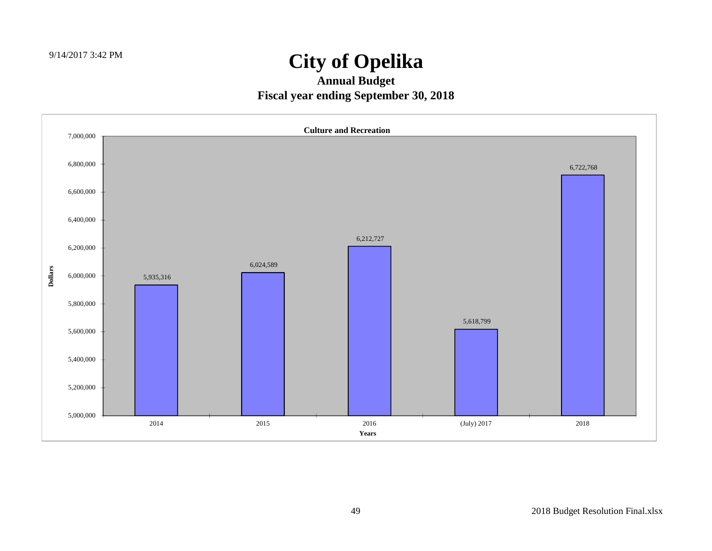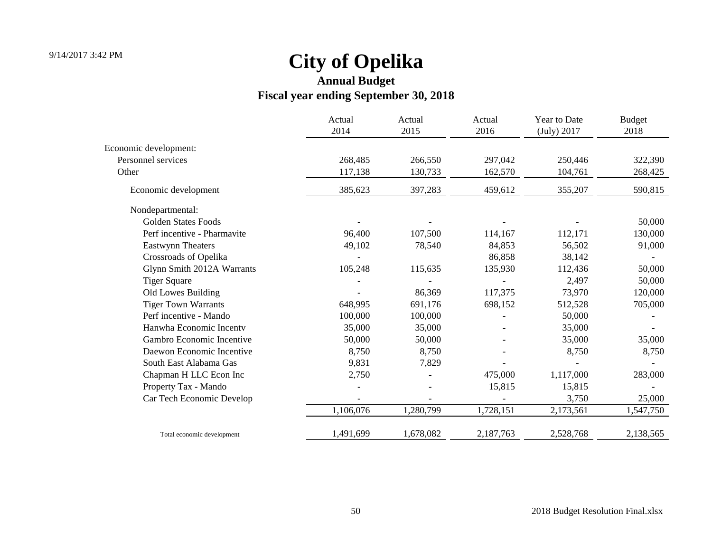|                             | Actual<br>2014 | Actual<br>2015 | Actual<br>2016 | Year to Date<br>(July) 2017 | <b>Budget</b><br>2018 |
|-----------------------------|----------------|----------------|----------------|-----------------------------|-----------------------|
| Economic development:       |                |                |                |                             |                       |
| Personnel services          | 268,485        | 266,550        | 297,042        | 250,446                     | 322,390               |
| Other                       | 117,138        | 130,733        | 162,570        | 104,761                     | 268,425               |
| Economic development        | 385,623        | 397,283        | 459,612        | 355,207                     | 590,815               |
| Nondepartmental:            |                |                |                |                             |                       |
| <b>Golden States Foods</b>  |                |                |                |                             | 50,000                |
| Perf incentive - Pharmavite | 96,400         | 107,500        | 114,167        | 112,171                     | 130,000               |
| Eastwynn Theaters           | 49,102         | 78,540         | 84,853         | 56,502                      | 91,000                |
| Crossroads of Opelika       |                |                | 86,858         | 38,142                      |                       |
| Glynn Smith 2012A Warrants  | 105,248        | 115,635        | 135,930        | 112,436                     | 50,000                |
| <b>Tiger Square</b>         |                |                |                | 2,497                       | 50,000                |
| Old Lowes Building          |                | 86,369         | 117,375        | 73,970                      | 120,000               |
| <b>Tiger Town Warrants</b>  | 648,995        | 691,176        | 698,152        | 512,528                     | 705,000               |
| Perf incentive - Mando      | 100,000        | 100,000        |                | 50,000                      |                       |
| Hanwha Economic Incenty     | 35,000         | 35,000         |                | 35,000                      |                       |
| Gambro Economic Incentive   | 50,000         | 50,000         |                | 35,000                      | 35,000                |
| Daewon Economic Incentive   | 8,750          | 8,750          |                | 8,750                       | 8,750                 |
| South East Alabama Gas      | 9,831          | 7,829          |                |                             |                       |
| Chapman H LLC Econ Inc      | 2,750          |                | 475,000        | 1,117,000                   | 283,000               |
| Property Tax - Mando        |                |                | 15,815         | 15,815                      |                       |
| Car Tech Economic Develop   |                |                |                | 3,750                       | 25,000                |
|                             | 1,106,076      | 1,280,799      | 1,728,151      | 2,173,561                   | 1,547,750             |
| Total economic development  | 1,491,699      | 1,678,082      | 2,187,763      | 2,528,768                   | 2,138,565             |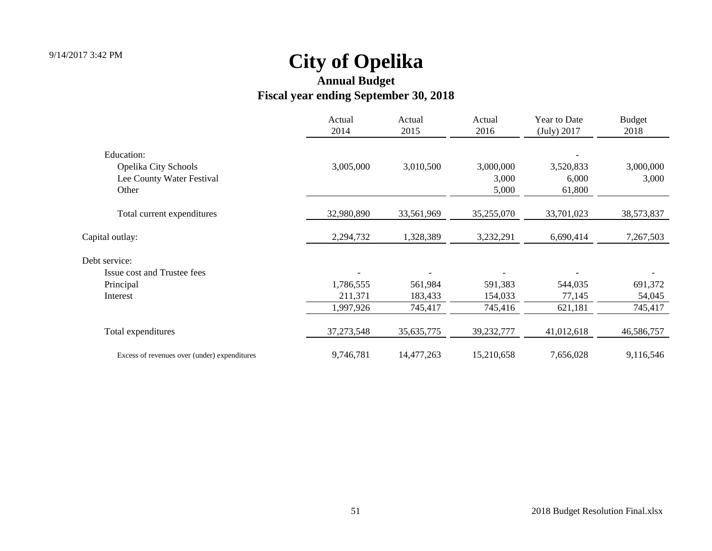|                                                          | Actual<br>2014 | Actual<br>2015 | Actual<br>2016     | Year to Date<br>(July) 2017 | <b>Budget</b><br>2018 |
|----------------------------------------------------------|----------------|----------------|--------------------|-----------------------------|-----------------------|
| Education:                                               |                |                |                    |                             |                       |
| <b>Opelika City Schools</b><br>Lee County Water Festival | 3,005,000      | 3,010,500      | 3,000,000<br>3,000 | 3,520,833<br>6,000          | 3,000,000<br>3,000    |
| Other                                                    |                |                | 5,000              | 61,800                      |                       |
| Total current expenditures                               | 32,980,890     | 33,561,969     | 35,255,070         | 33,701,023                  | 38,573,837            |
| Capital outlay:                                          | 2,294,732      | 1,328,389      | 3,232,291          | 6,690,414                   | 7,267,503             |
| Debt service:                                            |                |                |                    |                             |                       |
| Issue cost and Trustee fees                              |                |                |                    |                             |                       |
| Principal                                                | 1,786,555      | 561,984        | 591,383            | 544,035                     | 691,372               |
| Interest                                                 | 211,371        | 183,433        | 154,033            | 77,145                      | 54,045                |
|                                                          | 1,997,926      | 745,417        | 745,416            | 621,181                     | 745,417               |
| Total expenditures                                       | 37, 273, 548   | 35, 635, 775   | 39,232,777         | 41,012,618                  | 46,586,757            |
| Excess of revenues over (under) expenditures             | 9,746,781      | 14,477,263     | 15,210,658         | 7,656,028                   | 9,116,546             |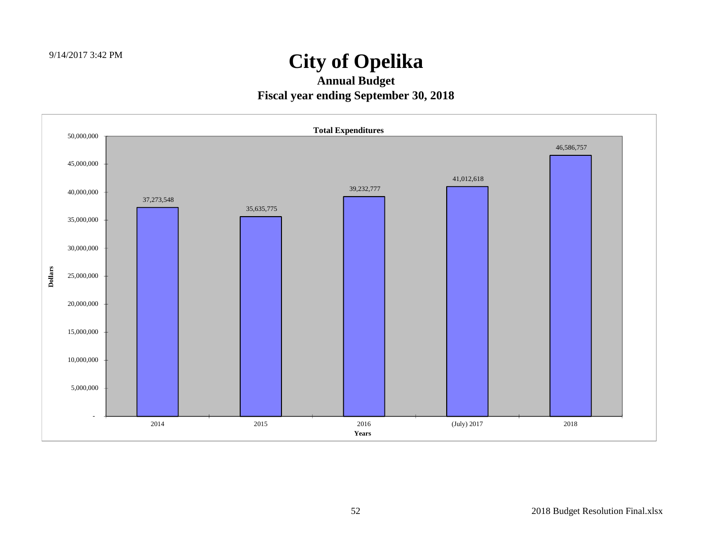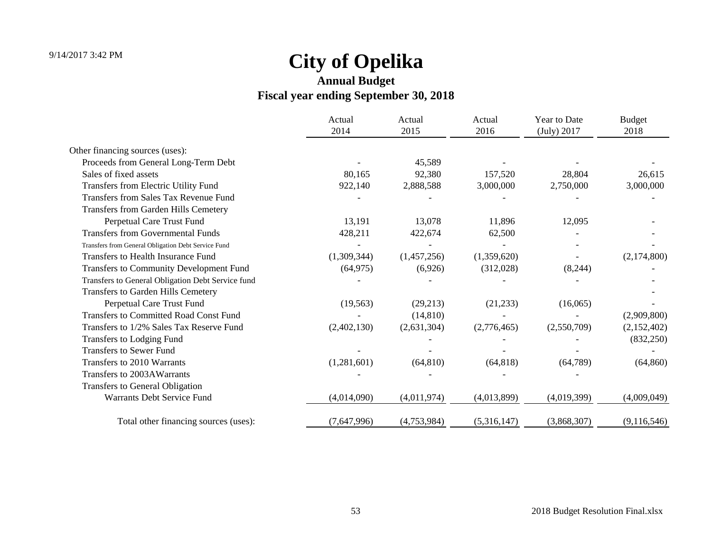|                                                     | Actual<br>2014 | Actual<br>2015 | Actual<br>2016 | Year to Date<br>(July) 2017 | <b>Budget</b><br>2018 |
|-----------------------------------------------------|----------------|----------------|----------------|-----------------------------|-----------------------|
| Other financing sources (uses):                     |                |                |                |                             |                       |
| Proceeds from General Long-Term Debt                |                | 45,589         |                |                             |                       |
| Sales of fixed assets                               | 80,165         | 92,380         | 157,520        | 28,804                      | 26,615                |
| Transfers from Electric Utility Fund                | 922,140        | 2,888,588      | 3,000,000      | 2,750,000                   | 3,000,000             |
| Transfers from Sales Tax Revenue Fund               |                |                |                |                             |                       |
| Transfers from Garden Hills Cemetery                |                |                |                |                             |                       |
| Perpetual Care Trust Fund                           | 13,191         | 13,078         | 11,896         | 12,095                      |                       |
| <b>Transfers from Governmental Funds</b>            | 428,211        | 422,674        | 62,500         |                             |                       |
| Transfers from General Obligation Debt Service Fund |                |                |                |                             |                       |
| Transfers to Health Insurance Fund                  | (1,309,344)    | (1,457,256)    | (1,359,620)    |                             | (2,174,800)           |
| <b>Transfers to Community Development Fund</b>      | (64, 975)      | (6,926)        | (312,028)      | (8,244)                     |                       |
| Transfers to General Obligation Debt Service fund   |                |                |                |                             |                       |
| <b>Transfers to Garden Hills Cemetery</b>           |                |                |                |                             |                       |
| Perpetual Care Trust Fund                           | (19, 563)      | (29,213)       | (21, 233)      | (16,065)                    |                       |
| <b>Transfers to Committed Road Const Fund</b>       |                | (14, 810)      |                |                             | (2,909,800)           |
| Transfers to 1/2% Sales Tax Reserve Fund            | (2,402,130)    | (2,631,304)    | (2,776,465)    | (2,550,709)                 | (2,152,402)           |
| Transfers to Lodging Fund                           |                |                |                |                             | (832, 250)            |
| <b>Transfers to Sewer Fund</b>                      |                |                |                |                             |                       |
| Transfers to 2010 Warrants                          | (1,281,601)    | (64, 810)      | (64, 818)      | (64, 789)                   | (64, 860)             |
| Transfers to 2003AWarrants                          |                |                |                |                             |                       |
| <b>Transfers to General Obligation</b>              |                |                |                |                             |                       |
| Warrants Debt Service Fund                          | (4,014,090)    | (4,011,974)    | (4,013,899)    | (4,019,399)                 | (4,009,049)           |
| Total other financing sources (uses):               | (7,647,996)    | (4,753,984)    | (5,316,147)    | (3,868,307)                 | (9,116,546)           |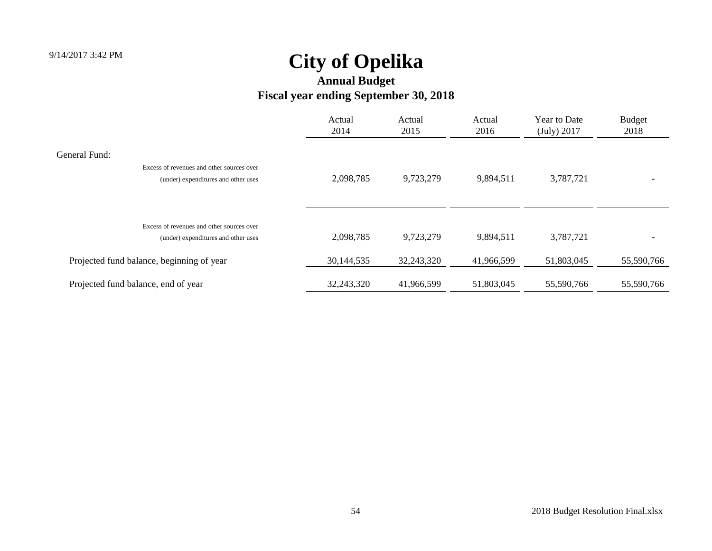|                                                                                                   | Actual<br>2014 | Actual<br>2015 | Actual<br>2016 | Year to Date<br>(July) 2017 | <b>Budget</b><br>2018 |
|---------------------------------------------------------------------------------------------------|----------------|----------------|----------------|-----------------------------|-----------------------|
| General Fund:<br>Excess of revenues and other sources over<br>(under) expenditures and other uses | 2,098,785      | 9,723,279      | 9,894,511      | 3,787,721                   |                       |
| Excess of revenues and other sources over<br>(under) expenditures and other uses                  | 2,098,785      | 9,723,279      | 9,894,511      | 3,787,721                   |                       |
| Projected fund balance, beginning of year                                                         | 30,144,535     | 32,243,320     | 41,966,599     | 51,803,045                  | 55,590,766            |
| Projected fund balance, end of year                                                               | 32,243,320     | 41,966,599     | 51,803,045     | 55,590,766                  | 55,590,766            |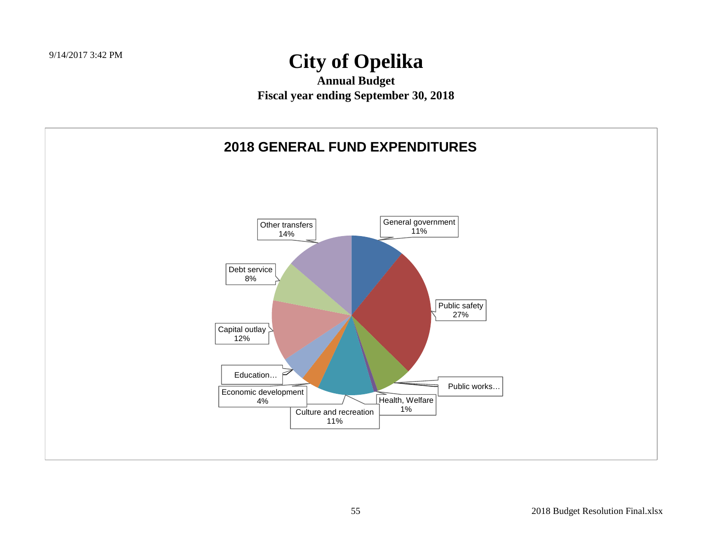**Annual Budget Fiscal year ending September 30, 2018**

#### **2018 GENERAL FUND EXPENDITURES**

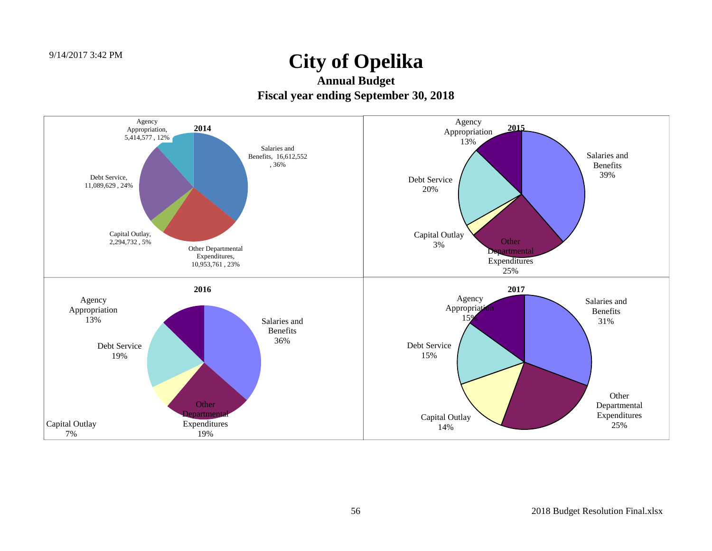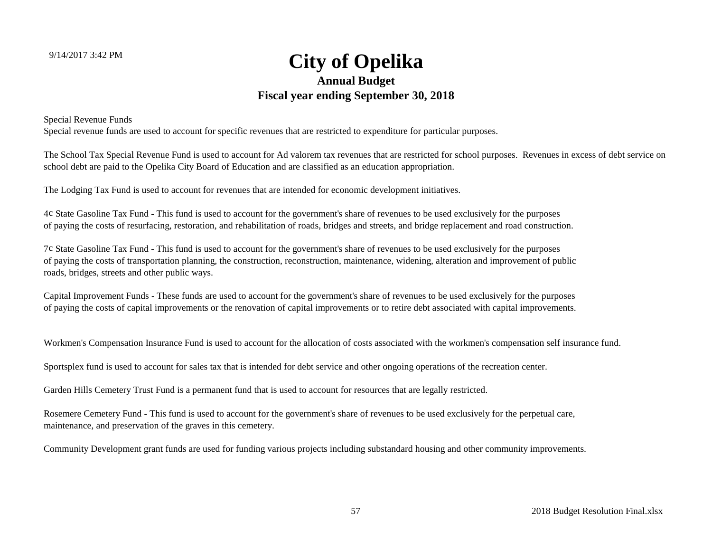#### **City of Opelika Annual Budget Fiscal year ending September 30, 2018**

Special Revenue Funds

Special revenue funds are used to account for specific revenues that are restricted to expenditure for particular purposes.

The School Tax Special Revenue Fund is used to account for Ad valorem tax revenues that are restricted for school purposes. Revenues in excess of debt service on school debt are paid to the Opelika City Board of Education and are classified as an education appropriation.

The Lodging Tax Fund is used to account for revenues that are intended for economic development initiatives.

4¢ State Gasoline Tax Fund - This fund is used to account for the government's share of revenues to be used exclusively for the purposes of paying the costs of resurfacing, restoration, and rehabilitation of roads, bridges and streets, and bridge replacement and road construction.

7¢ State Gasoline Tax Fund - This fund is used to account for the government's share of revenues to be used exclusively for the purposes of paying the costs of transportation planning, the construction, reconstruction, maintenance, widening, alteration and improvement of public roads, bridges, streets and other public ways.

Capital Improvement Funds - These funds are used to account for the government's share of revenues to be used exclusively for the purposes of paying the costs of capital improvements or the renovation of capital improvements or to retire debt associated with capital improvements.

Workmen's Compensation Insurance Fund is used to account for the allocation of costs associated with the workmen's compensation self insurance fund.

Sportsplex fund is used to account for sales tax that is intended for debt service and other ongoing operations of the recreation center.

Garden Hills Cemetery Trust Fund is a permanent fund that is used to account for resources that are legally restricted.

Rosemere Cemetery Fund - This fund is used to account for the government's share of revenues to be used exclusively for the perpetual care, maintenance, and preservation of the graves in this cemetery.

Community Development grant funds are used for funding various projects including substandard housing and other community improvements.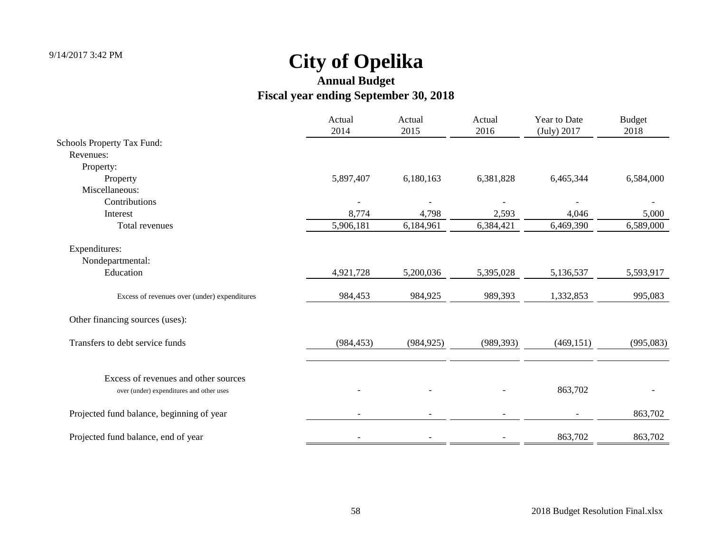|                                                                                  | Actual<br>2014 | Actual<br>2015 | Actual<br>2016 | Year to Date<br>(July) 2017 | <b>Budget</b><br>2018 |
|----------------------------------------------------------------------------------|----------------|----------------|----------------|-----------------------------|-----------------------|
| <b>Schools Property Tax Fund:</b>                                                |                |                |                |                             |                       |
| Revenues:                                                                        |                |                |                |                             |                       |
| Property:                                                                        |                |                |                |                             |                       |
| Property                                                                         | 5,897,407      | 6,180,163      | 6,381,828      | 6,465,344                   | 6,584,000             |
| Miscellaneous:                                                                   |                |                |                |                             |                       |
| Contributions                                                                    |                |                |                |                             |                       |
| Interest                                                                         | 8,774          | 4,798          | 2,593          | 4,046                       | 5,000                 |
| Total revenues                                                                   | 5,906,181      | 6,184,961      | 6,384,421      | 6,469,390                   | 6,589,000             |
| Expenditures:                                                                    |                |                |                |                             |                       |
| Nondepartmental:                                                                 |                |                |                |                             |                       |
| Education                                                                        | 4,921,728      | 5,200,036      | 5,395,028      | 5,136,537                   | 5,593,917             |
| Excess of revenues over (under) expenditures                                     | 984,453        | 984,925        | 989,393        | 1,332,853                   | 995,083               |
| Other financing sources (uses):                                                  |                |                |                |                             |                       |
| Transfers to debt service funds                                                  | (984, 453)     | (984, 925)     | (989, 393)     | (469, 151)                  | (995,083)             |
|                                                                                  |                |                |                |                             |                       |
| Excess of revenues and other sources<br>over (under) expenditures and other uses |                |                |                | 863,702                     |                       |
|                                                                                  |                |                |                |                             |                       |
| Projected fund balance, beginning of year                                        |                |                |                |                             | 863,702               |
| Projected fund balance, end of year                                              |                |                |                | 863,702                     | 863,702               |
|                                                                                  |                |                |                |                             |                       |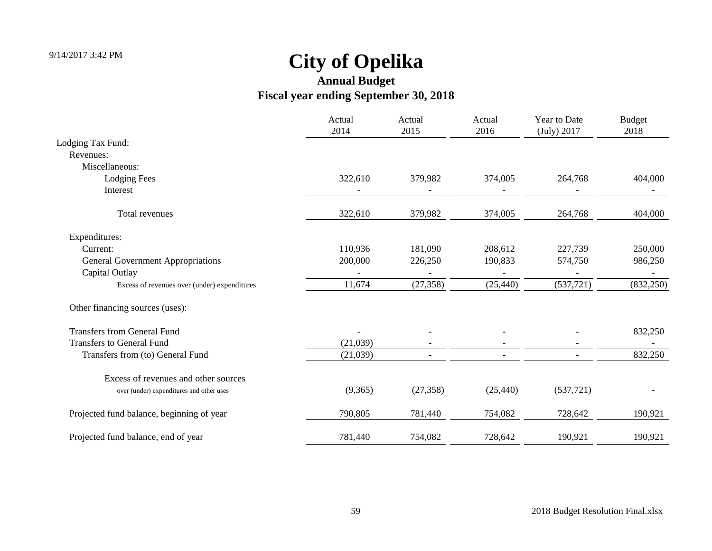|                                              | Actual<br>2014 | Actual<br>2015 | Actual<br>2016 | Year to Date<br>(July) 2017 | <b>Budget</b><br>2018 |
|----------------------------------------------|----------------|----------------|----------------|-----------------------------|-----------------------|
| Lodging Tax Fund:                            |                |                |                |                             |                       |
| Revenues:                                    |                |                |                |                             |                       |
| Miscellaneous:                               |                |                |                |                             |                       |
| <b>Lodging Fees</b>                          | 322,610        | 379,982        | 374,005        | 264,768                     | 404,000               |
| Interest                                     |                |                |                |                             |                       |
| Total revenues                               | 322,610        | 379,982        | 374,005        | 264,768                     | 404,000               |
| Expenditures:                                |                |                |                |                             |                       |
| Current:                                     | 110,936        | 181,090        | 208,612        | 227,739                     | 250,000               |
| <b>General Government Appropriations</b>     | 200,000        | 226,250        | 190,833        | 574,750                     | 986,250               |
| Capital Outlay                               |                |                |                |                             |                       |
| Excess of revenues over (under) expenditures | 11,674         | (27, 358)      | (25, 440)      | (537, 721)                  | (832, 250)            |
| Other financing sources (uses):              |                |                |                |                             |                       |
| <b>Transfers from General Fund</b>           |                |                |                |                             | 832,250               |
| <b>Transfers to General Fund</b>             | (21,039)       |                |                |                             |                       |
| Transfers from (to) General Fund             | (21,039)       |                |                |                             | 832,250               |
| Excess of revenues and other sources         |                |                |                |                             |                       |
| over (under) expenditures and other uses     | (9,365)        | (27, 358)      | (25, 440)      | (537,721)                   |                       |
| Projected fund balance, beginning of year    | 790,805        | 781,440        | 754,082        | 728,642                     | 190,921               |
| Projected fund balance, end of year          | 781,440        | 754,082        | 728,642        | 190,921                     | 190,921               |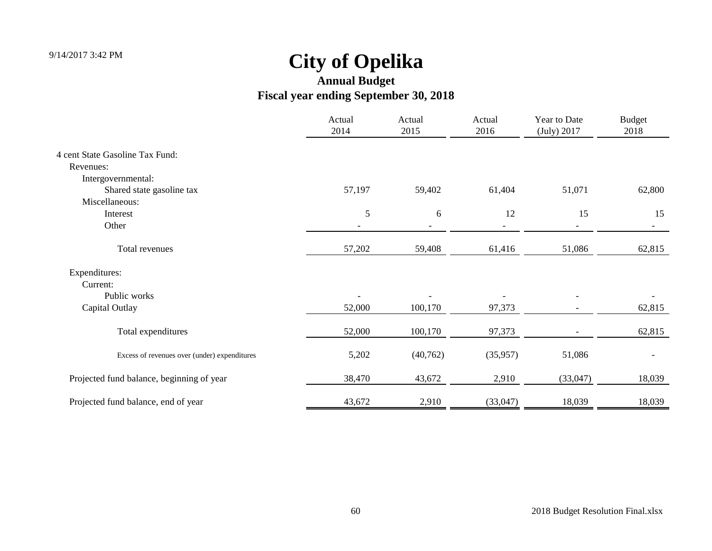|                                              | Actual<br>2014 | Actual<br>2015 | Actual<br>2016 | Year to Date<br>(July) 2017 | <b>Budget</b><br>2018 |
|----------------------------------------------|----------------|----------------|----------------|-----------------------------|-----------------------|
| 4 cent State Gasoline Tax Fund:              |                |                |                |                             |                       |
| Revenues:                                    |                |                |                |                             |                       |
| Intergovernmental:                           |                |                |                |                             |                       |
| Shared state gasoline tax                    | 57,197         | 59,402         | 61,404         | 51,071                      | 62,800                |
| Miscellaneous:                               |                |                |                |                             |                       |
| Interest                                     | 5              | 6              | 12             | 15                          | 15                    |
| Other                                        |                |                |                |                             |                       |
| Total revenues                               | 57,202         | 59,408         | 61,416         | 51,086                      | 62,815                |
| Expenditures:                                |                |                |                |                             |                       |
| Current:                                     |                |                |                |                             |                       |
| Public works                                 |                |                |                |                             |                       |
| Capital Outlay                               | 52,000         | 100,170        | 97,373         |                             | 62,815                |
| Total expenditures                           | 52,000         | 100,170        | 97,373         |                             | 62,815                |
| Excess of revenues over (under) expenditures | 5,202          | (40, 762)      | (35,957)       | 51,086                      |                       |
| Projected fund balance, beginning of year    | 38,470         | 43,672         | 2,910          | (33,047)                    | 18,039                |
| Projected fund balance, end of year          | 43,672         | 2,910          | (33,047)       | 18,039                      | 18,039                |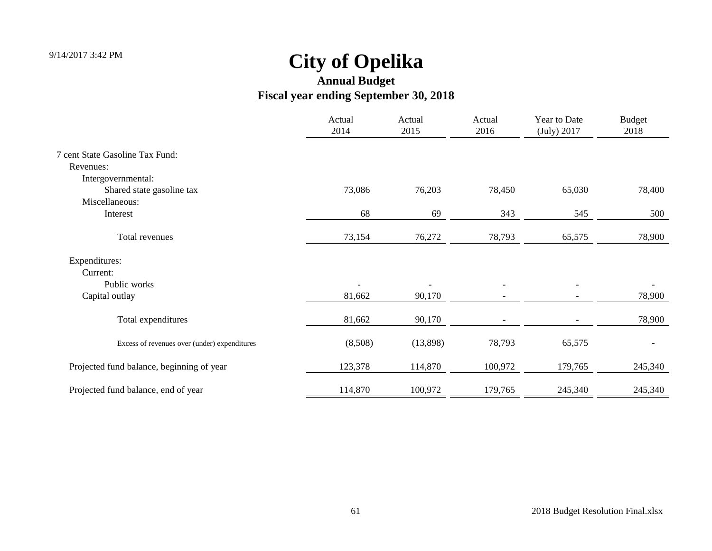|                                              | Actual<br>2014 | Actual<br>2015 | Actual<br>2016 | Year to Date<br>(July) 2017 | <b>Budget</b><br>2018 |
|----------------------------------------------|----------------|----------------|----------------|-----------------------------|-----------------------|
| 7 cent State Gasoline Tax Fund:              |                |                |                |                             |                       |
| Revenues:                                    |                |                |                |                             |                       |
| Intergovernmental:                           |                |                |                |                             |                       |
| Shared state gasoline tax                    | 73,086         | 76,203         | 78,450         | 65,030                      | 78,400                |
| Miscellaneous:                               |                |                |                |                             |                       |
| Interest                                     | 68             | 69             | 343            | 545                         | 500                   |
| Total revenues                               | 73,154         | 76,272         | 78,793         | 65,575                      | 78,900                |
| Expenditures:                                |                |                |                |                             |                       |
| Current:                                     |                |                |                |                             |                       |
| Public works                                 |                |                |                |                             |                       |
| Capital outlay                               | 81,662         | 90,170         |                |                             | 78,900                |
| Total expenditures                           | 81,662         | 90,170         |                |                             | 78,900                |
| Excess of revenues over (under) expenditures | (8,508)        | (13,898)       | 78,793         | 65,575                      |                       |
| Projected fund balance, beginning of year    | 123,378        | 114,870        | 100,972        | 179,765                     | 245,340               |
| Projected fund balance, end of year          | 114,870        | 100,972        | 179,765        | 245,340                     | 245,340               |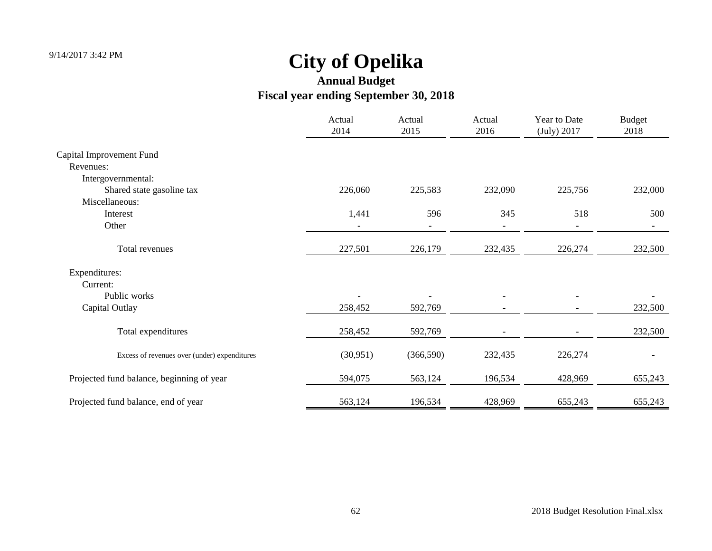|                                              | Actual<br>2014 | Actual<br>2015 | Actual<br>2016 | Year to Date<br>(July) 2017 | <b>Budget</b><br>2018 |
|----------------------------------------------|----------------|----------------|----------------|-----------------------------|-----------------------|
| Capital Improvement Fund                     |                |                |                |                             |                       |
| Revenues:                                    |                |                |                |                             |                       |
| Intergovernmental:                           |                |                |                |                             |                       |
| Shared state gasoline tax                    | 226,060        | 225,583        | 232,090        | 225,756                     | 232,000               |
| Miscellaneous:                               |                |                |                |                             |                       |
| Interest                                     | 1,441          | 596            | 345            | 518                         | 500                   |
| Other                                        |                |                |                |                             |                       |
| Total revenues                               | 227,501        | 226,179        | 232,435        | 226,274                     | 232,500               |
| Expenditures:                                |                |                |                |                             |                       |
| Current:                                     |                |                |                |                             |                       |
| Public works                                 |                |                |                |                             |                       |
| Capital Outlay                               | 258,452        | 592,769        |                |                             | 232,500               |
| Total expenditures                           | 258,452        | 592,769        |                |                             | 232,500               |
| Excess of revenues over (under) expenditures | (30, 951)      | (366, 590)     | 232,435        | 226,274                     |                       |
| Projected fund balance, beginning of year    | 594,075        | 563,124        | 196,534        | 428,969                     | 655,243               |
| Projected fund balance, end of year          | 563,124        | 196,534        | 428,969        | 655,243                     | 655,243               |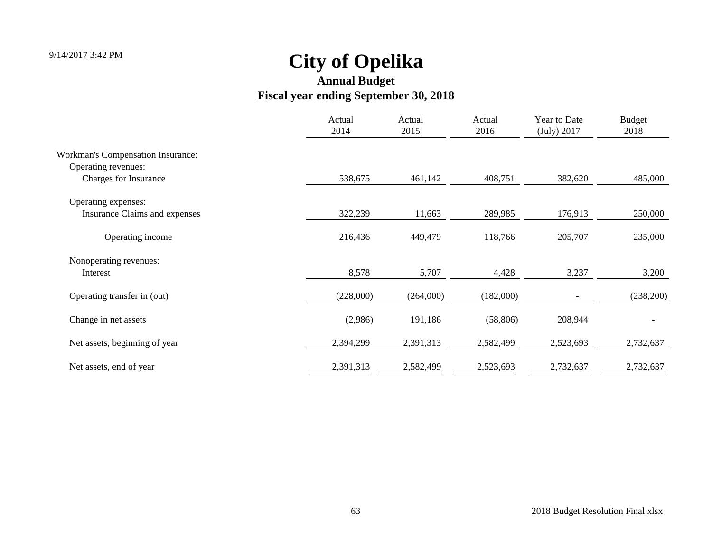|                                          | Actual<br>2014 | Actual<br>2015 | Actual<br>2016 | Year to Date<br>(July) 2017 | <b>Budget</b><br>2018 |
|------------------------------------------|----------------|----------------|----------------|-----------------------------|-----------------------|
| <b>Workman's Compensation Insurance:</b> |                |                |                |                             |                       |
| Operating revenues:                      |                |                |                |                             |                       |
| Charges for Insurance                    | 538,675        | 461,142        | 408,751        | 382,620                     | 485,000               |
| Operating expenses:                      |                |                |                |                             |                       |
| Insurance Claims and expenses            | 322,239        | 11,663         | 289,985        | 176,913                     | 250,000               |
| Operating income                         | 216,436        | 449,479        | 118,766        | 205,707                     | 235,000               |
| Nonoperating revenues:                   |                |                |                |                             |                       |
| Interest                                 | 8,578          | 5,707          | 4,428          | 3,237                       | 3,200                 |
| Operating transfer in (out)              | (228,000)      | (264,000)      | (182,000)      |                             | (238,200)             |
| Change in net assets                     | (2,986)        | 191,186        | (58, 806)      | 208,944                     |                       |
| Net assets, beginning of year            | 2,394,299      | 2,391,313      | 2,582,499      | 2,523,693                   | 2,732,637             |
| Net assets, end of year                  | 2,391,313      | 2,582,499      | 2,523,693      | 2,732,637                   | 2,732,637             |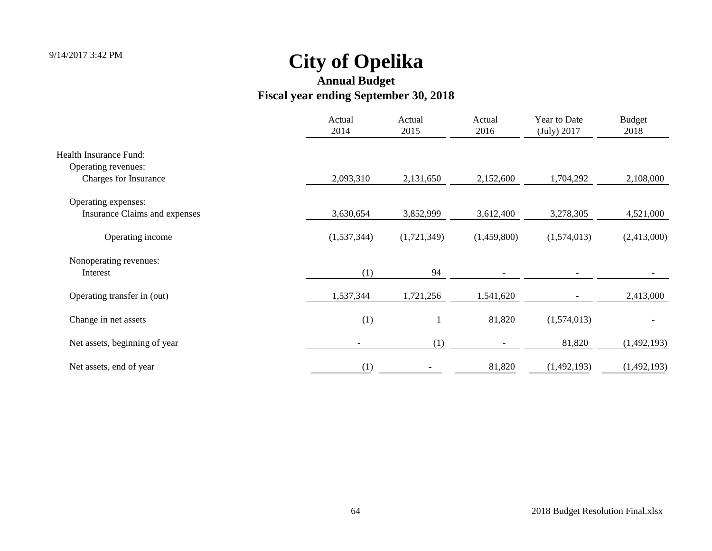|                                      | Actual<br>2014 | Actual<br>2015 | Actual<br>2016 | Year to Date<br>(July) 2017 | <b>Budget</b><br>2018 |
|--------------------------------------|----------------|----------------|----------------|-----------------------------|-----------------------|
| Health Insurance Fund:               |                |                |                |                             |                       |
| Operating revenues:                  |                |                |                |                             |                       |
| Charges for Insurance                | 2,093,310      | 2,131,650      | 2,152,600      | 1,704,292                   | 2,108,000             |
| Operating expenses:                  |                |                |                |                             |                       |
| <b>Insurance Claims and expenses</b> | 3,630,654      | 3,852,999      | 3,612,400      | 3,278,305                   | 4,521,000             |
| Operating income                     | (1,537,344)    | (1,721,349)    | (1,459,800)    | (1,574,013)                 | (2,413,000)           |
| Nonoperating revenues:               |                |                |                |                             |                       |
| Interest                             | (1)            | 94             |                |                             |                       |
| Operating transfer in (out)          | 1,537,344      | 1,721,256      | 1,541,620      |                             | 2,413,000             |
| Change in net assets                 | (1)            |                | 81,820         | (1,574,013)                 |                       |
| Net assets, beginning of year        |                | (1)            |                | 81,820                      | (1,492,193)           |
| Net assets, end of year              | (1)            |                | 81,820         | (1,492,193)                 | (1,492,193)           |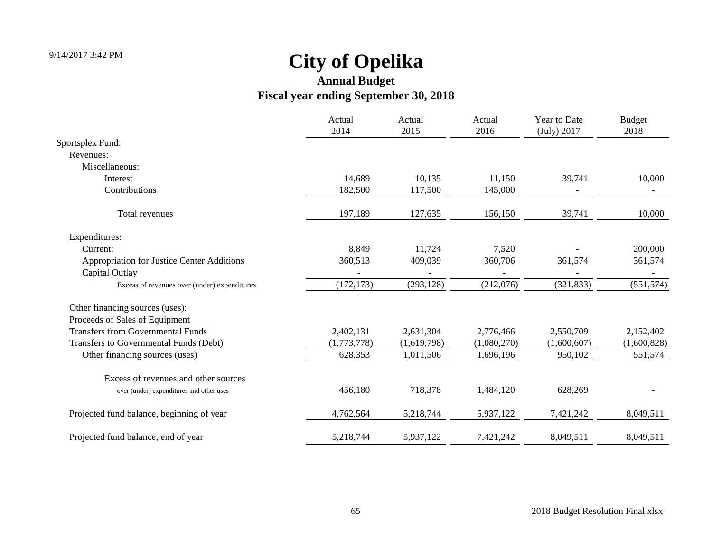|                                              | Actual<br>2014 | Actual<br>2015 | Actual<br>2016 | <b>Year to Date</b><br>(July) 2017 | <b>Budget</b><br>2018    |
|----------------------------------------------|----------------|----------------|----------------|------------------------------------|--------------------------|
| Sportsplex Fund:                             |                |                |                |                                    |                          |
| Revenues:                                    |                |                |                |                                    |                          |
| Miscellaneous:                               |                |                |                |                                    |                          |
| Interest                                     | 14,689         | 10,135         | 11,150         | 39,741                             | 10,000                   |
| Contributions                                | 182,500        | 117,500        | 145,000        |                                    | $\overline{\phantom{a}}$ |
| Total revenues                               | 197,189        | 127,635        | 156,150        | 39,741                             | 10,000                   |
| Expenditures:                                |                |                |                |                                    |                          |
| Current:                                     | 8,849          | 11,724         | 7,520          |                                    | 200,000                  |
| Appropriation for Justice Center Additions   | 360,513        | 409,039        | 360,706        | 361,574                            | 361,574                  |
| Capital Outlay                               |                |                |                |                                    |                          |
| Excess of revenues over (under) expenditures | (172, 173)     | (293, 128)     | (212,076)      | (321, 833)                         | (551, 574)               |
| Other financing sources (uses):              |                |                |                |                                    |                          |
| Proceeds of Sales of Equipment               |                |                |                |                                    |                          |
| <b>Transfers from Governmental Funds</b>     | 2,402,131      | 2,631,304      | 2,776,466      | 2,550,709                          | 2,152,402                |
| Transfers to Governmental Funds (Debt)       | (1,773,778)    | (1,619,798)    | (1,080,270)    | (1,600,607)                        | (1,600,828)              |
| Other financing sources (uses)               | 628,353        | 1,011,506      | 1,696,196      | 950,102                            | 551,574                  |
| Excess of revenues and other sources         |                |                |                |                                    |                          |
| over (under) expenditures and other uses     | 456,180        | 718,378        | 1,484,120      | 628,269                            |                          |
| Projected fund balance, beginning of year    | 4,762,564      | 5,218,744      | 5,937,122      | 7,421,242                          | 8,049,511                |
| Projected fund balance, end of year          | 5,218,744      | 5,937,122      | 7,421,242      | 8,049,511                          | 8,049,511                |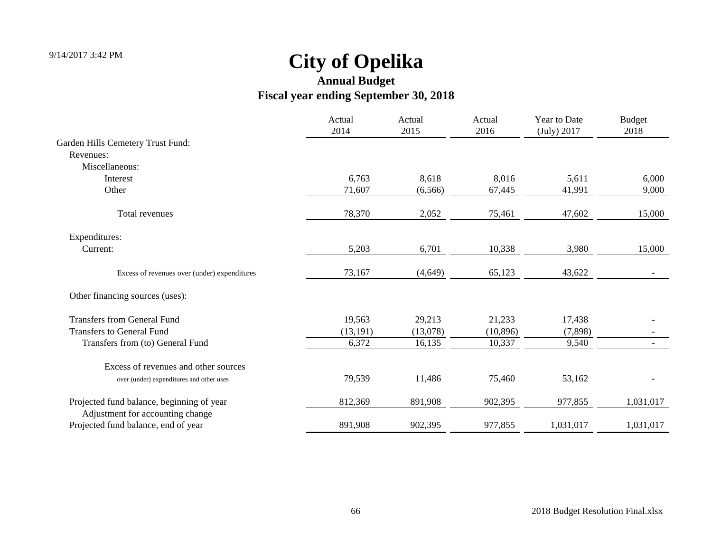| (July) 2017 |           |
|-------------|-----------|
|             |           |
|             |           |
|             |           |
| 5,611       | 6,000     |
| 41,991      | 9,000     |
| 47,602      | 15,000    |
|             |           |
| 3,980       | 15,000    |
| 43,622      |           |
|             |           |
| 17,438      |           |
| (7,898)     |           |
| 9,540       |           |
|             |           |
| 53,162      |           |
| 977,855     | 1,031,017 |
|             | 1,031,017 |
|             | 1,031,017 |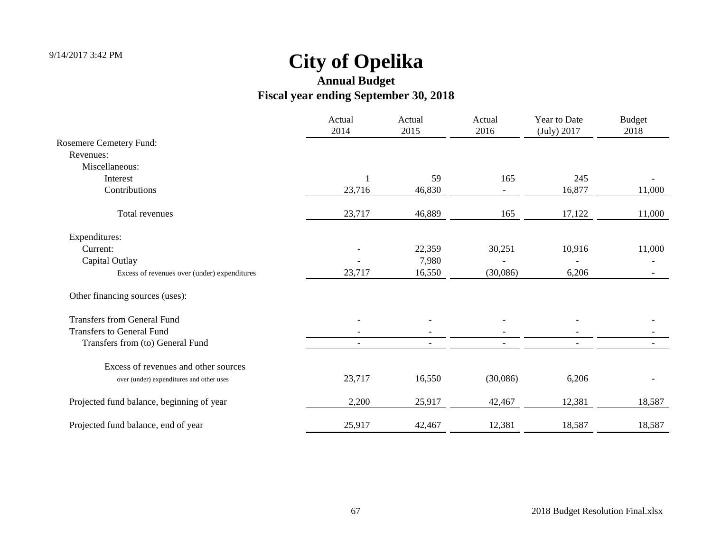|                                              | Actual<br>2014 | Actual<br>2015           | Actual<br>2016 | Year to Date<br>(July) 2017 | <b>Budget</b><br>2018 |
|----------------------------------------------|----------------|--------------------------|----------------|-----------------------------|-----------------------|
| Rosemere Cemetery Fund:                      |                |                          |                |                             |                       |
| Revenues:                                    |                |                          |                |                             |                       |
| Miscellaneous:                               |                |                          |                |                             |                       |
| Interest                                     |                | 59                       | 165            | 245                         |                       |
| Contributions                                | 23,716         | 46,830                   |                | 16,877                      | 11,000                |
| Total revenues                               | 23,717         | 46,889                   | 165            | 17,122                      | 11,000                |
| Expenditures:                                |                |                          |                |                             |                       |
| Current:                                     |                | 22,359                   | 30,251         | 10,916                      | 11,000                |
| Capital Outlay                               |                | 7,980                    |                |                             |                       |
| Excess of revenues over (under) expenditures | 23,717         | 16,550                   | (30,086)       | 6,206                       |                       |
| Other financing sources (uses):              |                |                          |                |                             |                       |
| <b>Transfers from General Fund</b>           |                |                          |                |                             |                       |
| <b>Transfers to General Fund</b>             |                |                          |                |                             |                       |
| Transfers from (to) General Fund             |                | $\overline{\phantom{a}}$ |                |                             |                       |
| Excess of revenues and other sources         |                |                          |                |                             |                       |
| over (under) expenditures and other uses     | 23,717         | 16,550                   | (30,086)       | 6,206                       |                       |
| Projected fund balance, beginning of year    | 2,200          | 25,917                   | 42,467         | 12,381                      | 18,587                |
| Projected fund balance, end of year          | 25,917         | 42,467                   | 12,381         | 18,587                      | 18,587                |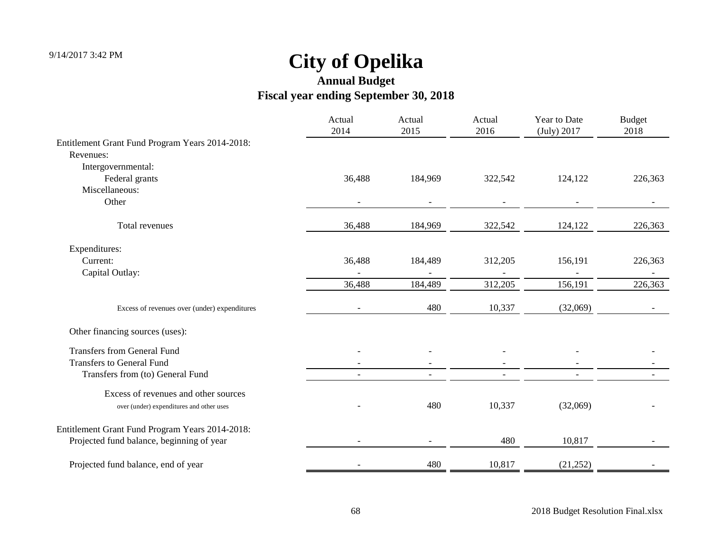|                                                 | Actual<br>2014           | Actual<br>2015           | Actual<br>2016 | Year to Date<br>(July) 2017 | <b>Budget</b><br>2018 |
|-------------------------------------------------|--------------------------|--------------------------|----------------|-----------------------------|-----------------------|
| Entitlement Grant Fund Program Years 2014-2018: |                          |                          |                |                             |                       |
| Revenues:                                       |                          |                          |                |                             |                       |
| Intergovernmental:                              |                          |                          |                |                             |                       |
| Federal grants                                  | 36,488                   | 184,969                  | 322,542        | 124,122                     | 226,363               |
| Miscellaneous:                                  |                          |                          |                |                             |                       |
| Other                                           |                          |                          |                |                             |                       |
| Total revenues                                  | 36,488                   | 184,969                  | 322,542        | 124,122                     | 226,363               |
| Expenditures:                                   |                          |                          |                |                             |                       |
| Current:                                        | 36,488                   | 184,489                  | 312,205        | 156,191                     | 226,363               |
| Capital Outlay:                                 |                          |                          |                |                             |                       |
|                                                 | 36,488                   | 184,489                  | 312,205        | 156,191                     | 226,363               |
| Excess of revenues over (under) expenditures    | $\overline{\phantom{a}}$ | 480                      | 10,337         | (32,069)                    |                       |
| Other financing sources (uses):                 |                          |                          |                |                             |                       |
| <b>Transfers from General Fund</b>              |                          |                          |                |                             |                       |
| <b>Transfers to General Fund</b>                |                          |                          |                |                             |                       |
| Transfers from (to) General Fund                |                          | $\overline{\phantom{a}}$ |                | $\overline{\phantom{a}}$    |                       |
| Excess of revenues and other sources            |                          |                          |                |                             |                       |
| over (under) expenditures and other uses        |                          | 480                      | 10,337         | (32,069)                    |                       |
| Entitlement Grant Fund Program Years 2014-2018: |                          |                          |                |                             |                       |
| Projected fund balance, beginning of year       |                          |                          | 480            | 10,817                      |                       |
| Projected fund balance, end of year             |                          | 480                      | 10,817         | (21, 252)                   |                       |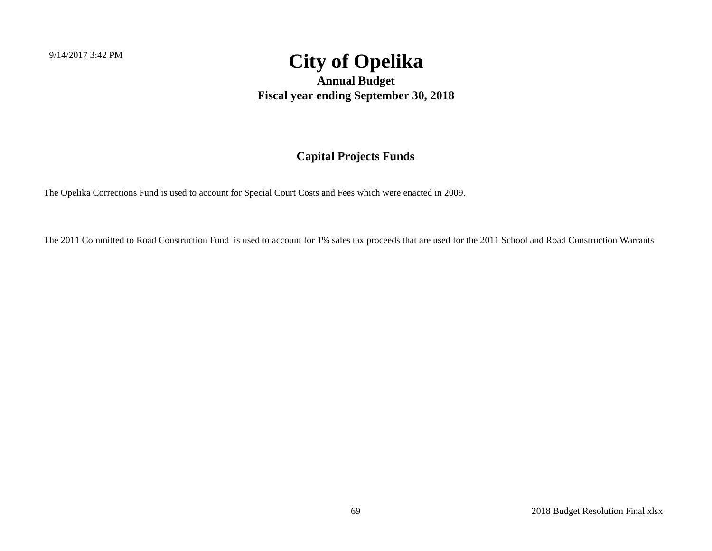**Annual Budget Fiscal year ending September 30, 2018**

#### **Capital Projects Funds**

The Opelika Corrections Fund is used to account for Special Court Costs and Fees which were enacted in 2009.

The 2011 Committed to Road Construction Fund is used to account for 1% sales tax proceeds that are used for the 2011 School and Road Construction Warrants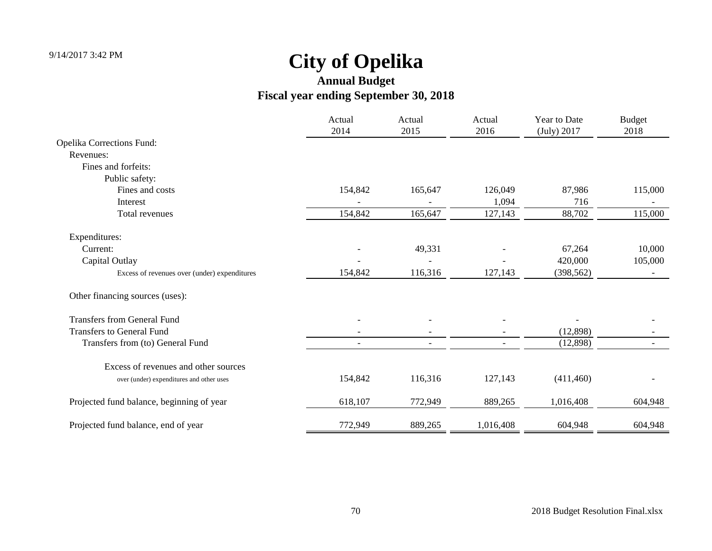|                                              | Actual<br>2014 | Actual<br>2015           | Actual<br>2016 | Year to Date<br>(July) 2017 | <b>Budget</b><br>2018 |
|----------------------------------------------|----------------|--------------------------|----------------|-----------------------------|-----------------------|
| <b>Opelika Corrections Fund:</b>             |                |                          |                |                             |                       |
| Revenues:                                    |                |                          |                |                             |                       |
| Fines and forfeits:                          |                |                          |                |                             |                       |
| Public safety:                               |                |                          |                |                             |                       |
| Fines and costs                              | 154,842        | 165,647                  | 126,049        | 87,986                      | 115,000               |
| Interest                                     |                |                          | 1,094          | 716                         |                       |
| Total revenues                               | 154,842        | 165,647                  | 127,143        | 88,702                      | 115,000               |
| Expenditures:                                |                |                          |                |                             |                       |
| Current:                                     |                | 49,331                   |                | 67,264                      | 10,000                |
| Capital Outlay                               |                |                          |                | 420,000                     | 105,000               |
| Excess of revenues over (under) expenditures | 154,842        | 116,316                  | 127,143        | (398, 562)                  |                       |
| Other financing sources (uses):              |                |                          |                |                             |                       |
| <b>Transfers from General Fund</b>           |                |                          |                |                             |                       |
| <b>Transfers to General Fund</b>             |                |                          |                | (12,898)                    |                       |
| Transfers from (to) General Fund             |                | $\overline{\phantom{a}}$ |                | (12,898)                    |                       |
| Excess of revenues and other sources         |                |                          |                |                             |                       |
| over (under) expenditures and other uses     | 154,842        | 116,316                  | 127,143        | (411, 460)                  |                       |
| Projected fund balance, beginning of year    | 618,107        | 772,949                  | 889,265        | 1,016,408                   | 604,948               |
| Projected fund balance, end of year          | 772,949        | 889,265                  | 1,016,408      | 604,948                     | 604,948               |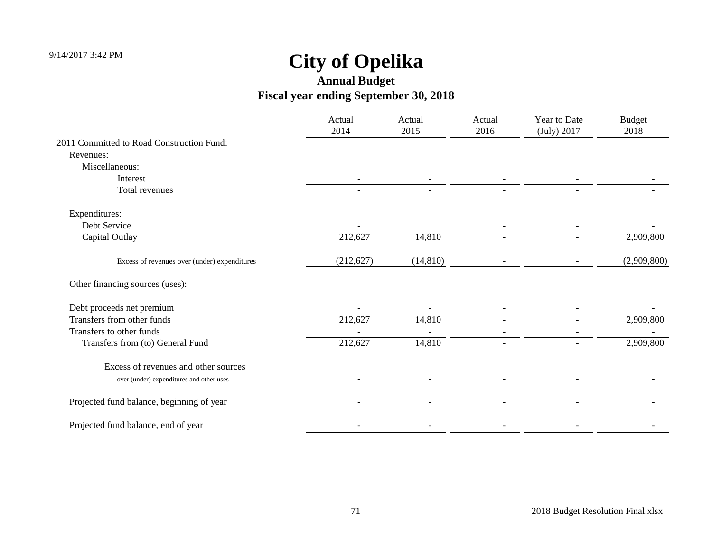|                                              | Actual<br>2014 | Actual<br>2015 | Actual<br>2016 | Year to Date<br>(July) 2017 | <b>Budget</b><br>2018 |
|----------------------------------------------|----------------|----------------|----------------|-----------------------------|-----------------------|
| 2011 Committed to Road Construction Fund:    |                |                |                |                             |                       |
| Revenues:                                    |                |                |                |                             |                       |
| Miscellaneous:                               |                |                |                |                             |                       |
| Interest                                     |                |                |                |                             |                       |
| Total revenues                               |                | $\blacksquare$ |                |                             |                       |
| Expenditures:                                |                |                |                |                             |                       |
| Debt Service                                 |                |                |                |                             |                       |
| Capital Outlay                               | 212,627        | 14,810         |                |                             | 2,909,800             |
| Excess of revenues over (under) expenditures | (212, 627)     | (14, 810)      |                |                             | (2,909,800)           |
| Other financing sources (uses):              |                |                |                |                             |                       |
| Debt proceeds net premium                    |                |                |                |                             |                       |
| Transfers from other funds                   | 212,627        | 14,810         |                |                             | 2,909,800             |
| Transfers to other funds                     |                |                |                |                             |                       |
| Transfers from (to) General Fund             | 212,627        | 14,810         |                |                             | 2,909,800             |
| Excess of revenues and other sources         |                |                |                |                             |                       |
| over (under) expenditures and other uses     |                |                |                |                             |                       |
| Projected fund balance, beginning of year    |                |                |                |                             |                       |
| Projected fund balance, end of year          |                |                |                |                             |                       |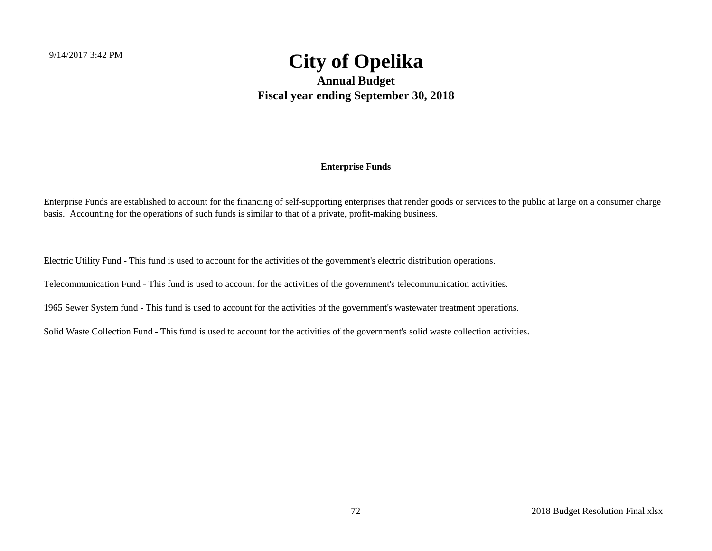**Annual Budget Fiscal year ending September 30, 2018**

#### **Enterprise Funds**

Enterprise Funds are established to account for the financing of self-supporting enterprises that render goods or services to the public at large on a consumer charge basis. Accounting for the operations of such funds is similar to that of a private, profit-making business.

Electric Utility Fund - This fund is used to account for the activities of the government's electric distribution operations.

Telecommunication Fund - This fund is used to account for the activities of the government's telecommunication activities.

1965 Sewer System fund - This fund is used to account for the activities of the government's wastewater treatment operations.

Solid Waste Collection Fund - This fund is used to account for the activities of the government's solid waste collection activities.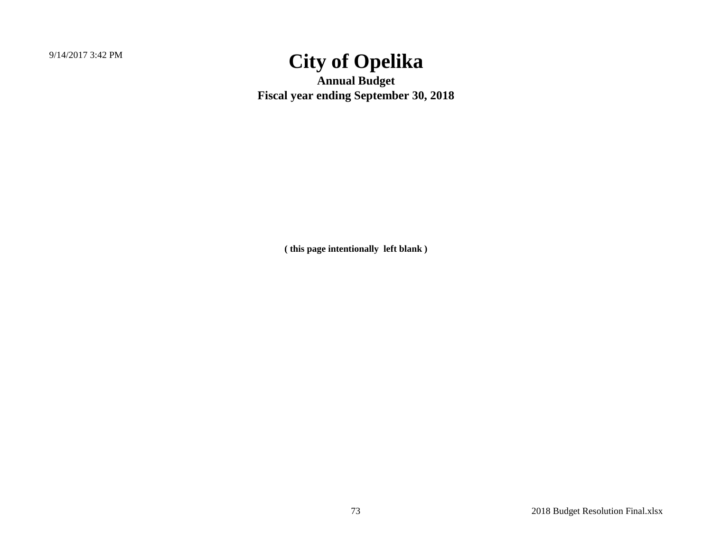9/14/2017 3:42 PM

## **City of Opelika**

**Annual Budget Fiscal year ending September 30, 2018**

**( this page intentionally left blank )**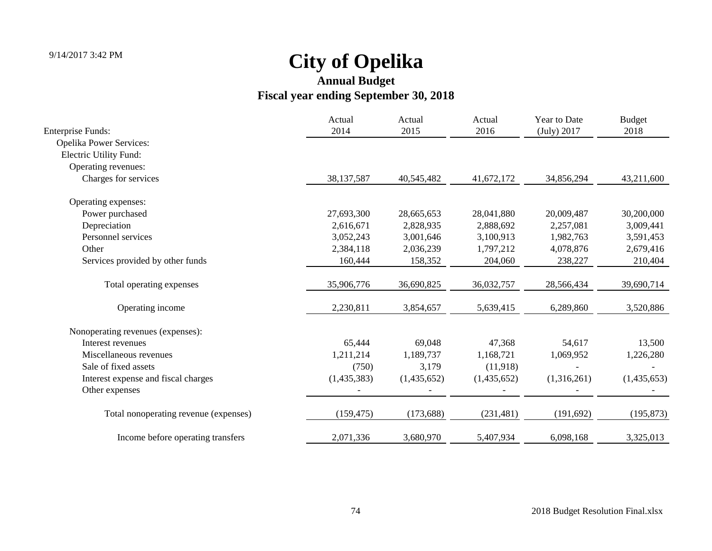| <b>Enterprise Funds:</b>              | Actual<br>2014 | Actual<br>2015 | Actual<br>2016 | Year to Date<br>(July) 2017 | <b>Budget</b><br>2018 |
|---------------------------------------|----------------|----------------|----------------|-----------------------------|-----------------------|
| <b>Opelika Power Services:</b>        |                |                |                |                             |                       |
| Electric Utility Fund:                |                |                |                |                             |                       |
| Operating revenues:                   |                |                |                |                             |                       |
| Charges for services                  | 38,137,587     | 40,545,482     | 41,672,172     | 34,856,294                  | 43,211,600            |
| Operating expenses:                   |                |                |                |                             |                       |
| Power purchased                       | 27,693,300     | 28,665,653     | 28,041,880     | 20,009,487                  | 30,200,000            |
| Depreciation                          | 2,616,671      | 2,828,935      | 2,888,692      | 2,257,081                   | 3,009,441             |
| Personnel services                    | 3,052,243      | 3,001,646      | 3,100,913      | 1,982,763                   | 3,591,453             |
| Other                                 | 2,384,118      | 2,036,239      | 1,797,212      | 4,078,876                   | 2,679,416             |
| Services provided by other funds      | 160,444        | 158,352        | 204,060        | 238,227                     | 210,404               |
| Total operating expenses              | 35,906,776     | 36,690,825     | 36,032,757     | 28,566,434                  | 39,690,714            |
| Operating income                      | 2,230,811      | 3,854,657      | 5,639,415      | 6,289,860                   | 3,520,886             |
| Nonoperating revenues (expenses):     |                |                |                |                             |                       |
| Interest revenues                     | 65,444         | 69,048         | 47,368         | 54,617                      | 13,500                |
| Miscellaneous revenues                | 1,211,214      | 1,189,737      | 1,168,721      | 1,069,952                   | 1,226,280             |
| Sale of fixed assets                  | (750)          | 3,179          | (11,918)       |                             |                       |
| Interest expense and fiscal charges   | (1,435,383)    | (1,435,652)    | (1,435,652)    | (1,316,261)                 | (1,435,653)           |
| Other expenses                        |                |                |                |                             |                       |
| Total nonoperating revenue (expenses) | (159, 475)     | (173, 688)     | (231, 481)     | (191, 692)                  | (195, 873)            |
| Income before operating transfers     | 2,071,336      | 3,680,970      | 5,407,934      | 6,098,168                   | 3,325,013             |
|                                       |                |                |                |                             |                       |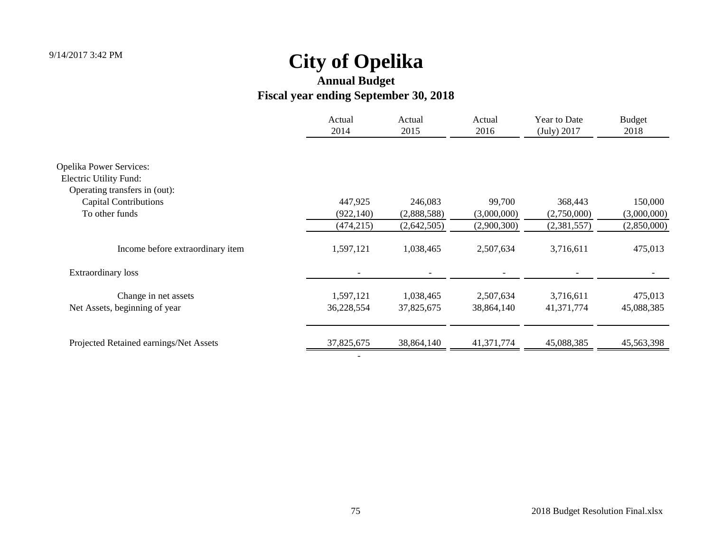### **Annual Budget Fiscal year ending September 30, 2018**

|                                                                 | Actual<br>2014 | Actual<br>2015 | Actual<br>2016 | Year to Date<br>(July) 2017 | <b>Budget</b><br>2018 |
|-----------------------------------------------------------------|----------------|----------------|----------------|-----------------------------|-----------------------|
| <b>Opelika Power Services:</b><br><b>Electric Utility Fund:</b> |                |                |                |                             |                       |
| Operating transfers in (out):                                   |                |                |                |                             |                       |
| <b>Capital Contributions</b>                                    | 447,925        | 246,083        | 99,700         | 368,443                     | 150,000               |
| To other funds                                                  | (922, 140)     | (2,888,588)    | (3,000,000)    | (2,750,000)                 | (3,000,000)           |
|                                                                 | (474, 215)     | (2,642,505)    | (2,900,300)    | (2,381,557)                 | (2,850,000)           |
| Income before extraordinary item                                | 1,597,121      | 1,038,465      | 2,507,634      | 3,716,611                   | 475,013               |
| <b>Extraordinary loss</b>                                       |                |                |                |                             |                       |
| Change in net assets                                            | 1,597,121      | 1,038,465      | 2,507,634      | 3,716,611                   | 475,013               |
| Net Assets, beginning of year                                   | 36,228,554     | 37,825,675     | 38,864,140     | 41,371,774                  | 45,088,385            |
| Projected Retained earnings/Net Assets                          | 37,825,675     | 38,864,140     | 41,371,774     | 45,088,385                  | 45,563,398            |
|                                                                 |                |                |                |                             |                       |

-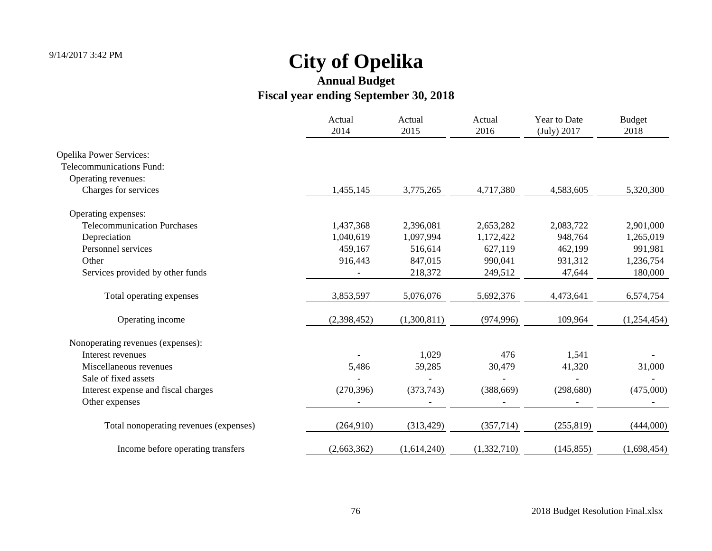|                                        | Actual<br>2014 | Actual<br>2015 | Actual<br>2016 | <b>Year to Date</b><br>(July) 2017 | <b>Budget</b><br>2018 |
|----------------------------------------|----------------|----------------|----------------|------------------------------------|-----------------------|
| <b>Opelika Power Services:</b>         |                |                |                |                                    |                       |
| Telecommunications Fund:               |                |                |                |                                    |                       |
| Operating revenues:                    |                |                |                |                                    |                       |
| Charges for services                   | 1,455,145      | 3,775,265      | 4,717,380      | 4,583,605                          | 5,320,300             |
| Operating expenses:                    |                |                |                |                                    |                       |
| <b>Telecommunication Purchases</b>     | 1,437,368      | 2,396,081      | 2,653,282      | 2,083,722                          | 2,901,000             |
| Depreciation                           | 1,040,619      | 1,097,994      | 1,172,422      | 948,764                            | 1,265,019             |
| Personnel services                     | 459,167        | 516,614        | 627,119        | 462,199                            | 991,981               |
| Other                                  | 916,443        | 847,015        | 990,041        | 931,312                            | 1,236,754             |
| Services provided by other funds       |                | 218,372        | 249,512        | 47,644                             | 180,000               |
| Total operating expenses               | 3,853,597      | 5,076,076      | 5,692,376      | 4,473,641                          | 6,574,754             |
| Operating income                       | (2,398,452)    | (1,300,811)    | (974, 996)     | 109,964                            | (1,254,454)           |
| Nonoperating revenues (expenses):      |                |                |                |                                    |                       |
| Interest revenues                      |                | 1,029          | 476            | 1,541                              |                       |
| Miscellaneous revenues                 | 5,486          | 59,285         | 30,479         | 41,320                             | 31,000                |
| Sale of fixed assets                   |                |                |                |                                    |                       |
| Interest expense and fiscal charges    | (270, 396)     | (373,743)      | (388, 669)     | (298, 680)                         | (475,000)             |
| Other expenses                         |                |                |                |                                    |                       |
| Total nonoperating revenues (expenses) | (264,910)      | (313, 429)     | (357, 714)     | (255, 819)                         | (444,000)             |
| Income before operating transfers      | (2,663,362)    | (1,614,240)    | (1,332,710)    | (145, 855)                         | (1,698,454)           |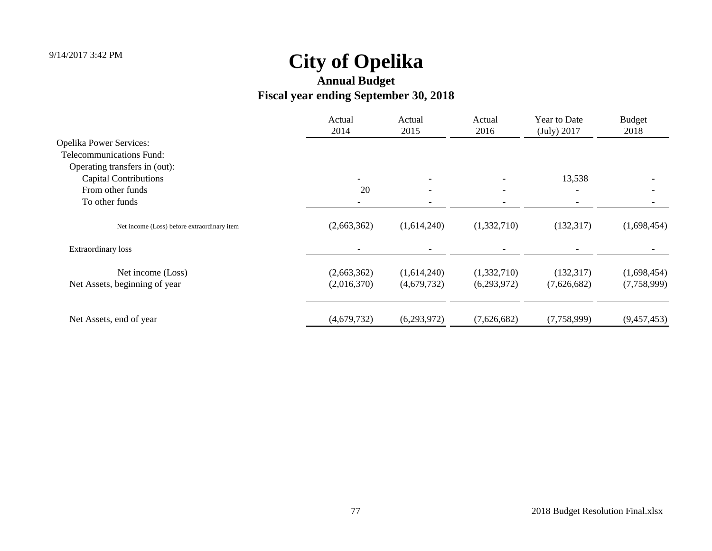|                                             | Actual<br>2014 | Actual<br>2015           | Actual<br>2016           | Year to Date<br>(July) 2017 | <b>Budget</b><br>2018 |
|---------------------------------------------|----------------|--------------------------|--------------------------|-----------------------------|-----------------------|
| <b>Opelika Power Services:</b>              |                |                          |                          |                             |                       |
| Telecommunications Fund:                    |                |                          |                          |                             |                       |
| Operating transfers in (out):               |                |                          |                          |                             |                       |
| <b>Capital Contributions</b>                |                | $\overline{\phantom{a}}$ |                          | 13,538                      |                       |
| From other funds                            | 20             | $\overline{\phantom{0}}$ | $\overline{\phantom{0}}$ |                             |                       |
| To other funds                              |                |                          |                          |                             |                       |
| Net income (Loss) before extraordinary item | (2,663,362)    | (1,614,240)              | (1,332,710)              | (132, 317)                  | (1,698,454)           |
| Extraordinary loss                          |                |                          |                          |                             |                       |
| Net income (Loss)                           | (2,663,362)    | (1,614,240)              | (1,332,710)              | (132, 317)                  | (1,698,454)           |
| Net Assets, beginning of year               | (2,016,370)    | (4,679,732)              | (6,293,972)              | (7,626,682)                 | (7,758,999)           |
| Net Assets, end of year                     | (4,679,732)    | (6,293,972)              | (7,626,682)              | (7,758,999)                 | (9,457,453)           |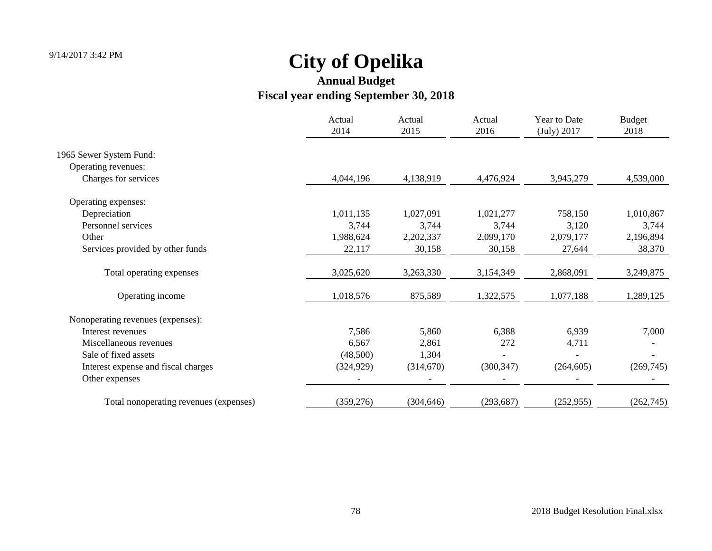|                                        | Actual<br>2014 | Actual<br>2015 | Actual<br>2016 | Year to Date<br>(July) 2017 | <b>Budget</b><br>2018 |
|----------------------------------------|----------------|----------------|----------------|-----------------------------|-----------------------|
| 1965 Sewer System Fund:                |                |                |                |                             |                       |
| Operating revenues:                    |                |                |                |                             |                       |
| Charges for services                   | 4,044,196      | 4,138,919      | 4,476,924      | 3,945,279                   | 4,539,000             |
| Operating expenses:                    |                |                |                |                             |                       |
| Depreciation                           | 1,011,135      | 1,027,091      | 1,021,277      | 758,150                     | 1,010,867             |
| Personnel services                     | 3,744          | 3,744          | 3,744          | 3,120                       | 3,744                 |
| Other                                  | 1,988,624      | 2,202,337      | 2,099,170      | 2,079,177                   | 2,196,894             |
| Services provided by other funds       | 22,117         | 30,158         | 30,158         | 27,644                      | 38,370                |
| Total operating expenses               | 3,025,620      | 3,263,330      | 3,154,349      | 2,868,091                   | 3,249,875             |
| Operating income                       | 1,018,576      | 875,589        | 1,322,575      | 1,077,188                   | 1,289,125             |
| Nonoperating revenues (expenses):      |                |                |                |                             |                       |
| Interest revenues                      | 7,586          | 5,860          | 6,388          | 6,939                       | 7,000                 |
| Miscellaneous revenues                 | 6,567          | 2,861          | 272            | 4,711                       |                       |
| Sale of fixed assets                   | (48,500)       | 1,304          |                |                             |                       |
| Interest expense and fiscal charges    | (324, 929)     | (314,670)      | (300, 347)     | (264, 605)                  | (269, 745)            |
| Other expenses                         |                |                |                |                             |                       |
| Total nonoperating revenues (expenses) | (359, 276)     | (304, 646)     | (293, 687)     | (252, 955)                  | (262, 745)            |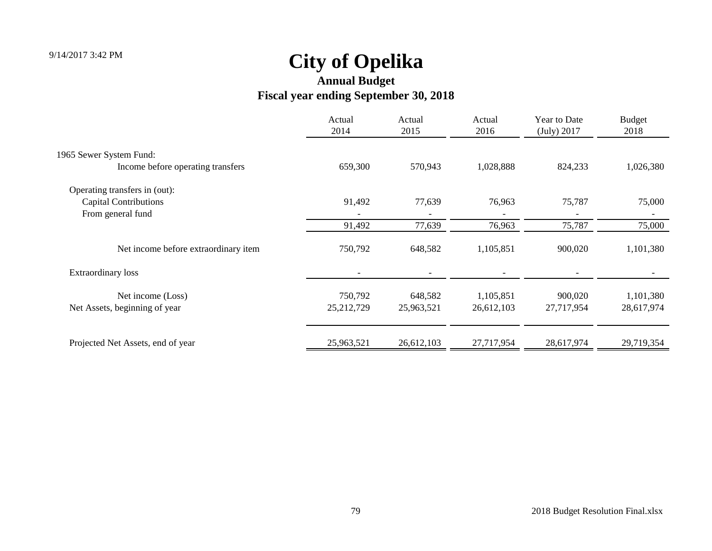|                                      | Actual<br>2014 | Actual<br>2015 | Actual<br>2016 | Year to Date<br>(July) 2017 | <b>Budget</b><br>2018 |
|--------------------------------------|----------------|----------------|----------------|-----------------------------|-----------------------|
| 1965 Sewer System Fund:              |                |                |                |                             |                       |
| Income before operating transfers    | 659,300        | 570,943        | 1,028,888      | 824,233                     | 1,026,380             |
| Operating transfers in (out):        |                |                |                |                             |                       |
| <b>Capital Contributions</b>         | 91,492         | 77,639         | 76,963         | 75,787                      | 75,000                |
| From general fund                    |                |                |                |                             |                       |
|                                      | 91,492         | 77,639         | 76,963         | 75,787                      | 75,000                |
| Net income before extraordinary item | 750,792        | 648,582        | 1,105,851      | 900,020                     | 1,101,380             |
| <b>Extraordinary loss</b>            |                |                |                |                             |                       |
| Net income (Loss)                    | 750,792        | 648,582        | 1,105,851      | 900,020                     | 1,101,380             |
| Net Assets, beginning of year        | 25, 212, 729   | 25,963,521     | 26,612,103     | 27,717,954                  | 28,617,974            |
|                                      |                |                |                |                             |                       |
| Projected Net Assets, end of year    | 25,963,521     | 26,612,103     | 27,717,954     | 28,617,974                  | 29,719,354            |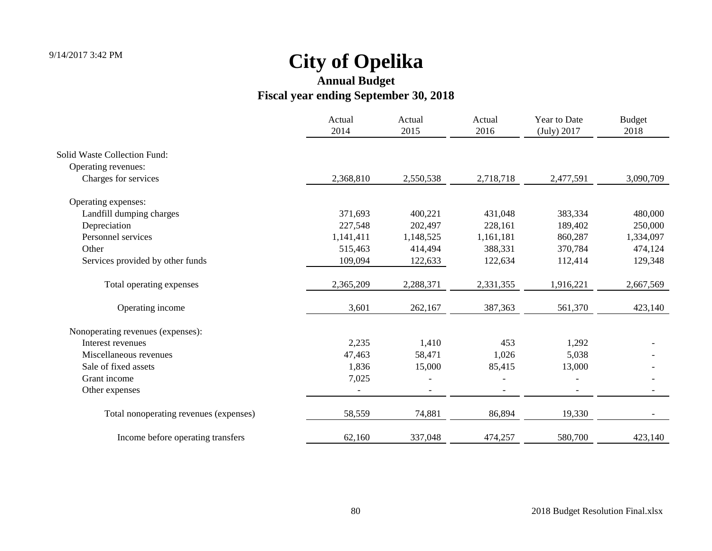|                                        | Actual<br>2014 | Actual<br>2015           | Actual<br>2016 | Year to Date<br>(July) 2017 | <b>Budget</b><br>2018 |
|----------------------------------------|----------------|--------------------------|----------------|-----------------------------|-----------------------|
| <b>Solid Waste Collection Fund:</b>    |                |                          |                |                             |                       |
| Operating revenues:                    |                |                          |                |                             |                       |
| Charges for services                   | 2,368,810      | 2,550,538                | 2,718,718      | 2,477,591                   | 3,090,709             |
| Operating expenses:                    |                |                          |                |                             |                       |
| Landfill dumping charges               | 371,693        | 400,221                  | 431,048        | 383,334                     | 480,000               |
| Depreciation                           | 227,548        | 202,497                  | 228,161        | 189,402                     | 250,000               |
| Personnel services                     | 1,141,411      | 1,148,525                | 1,161,181      | 860,287                     | 1,334,097             |
| Other                                  | 515,463        | 414,494                  | 388,331        | 370,784                     | 474,124               |
| Services provided by other funds       | 109,094        | 122,633                  | 122,634        | 112,414                     | 129,348               |
| Total operating expenses               | 2,365,209      | 2,288,371                | 2,331,355      | 1,916,221                   | 2,667,569             |
| Operating income                       | 3,601          | 262,167                  | 387,363        | 561,370                     | 423,140               |
| Nonoperating revenues (expenses):      |                |                          |                |                             |                       |
| Interest revenues                      | 2,235          | 1,410                    | 453            | 1,292                       |                       |
| Miscellaneous revenues                 | 47,463         | 58,471                   | 1,026          | 5,038                       |                       |
| Sale of fixed assets                   | 1,836          | 15,000                   | 85,415         | 13,000                      |                       |
| Grant income                           | 7,025          |                          |                |                             |                       |
| Other expenses                         |                | $\overline{\phantom{a}}$ |                | $\overline{\phantom{a}}$    |                       |
| Total nonoperating revenues (expenses) | 58,559         | 74,881                   | 86,894         | 19,330                      |                       |
| Income before operating transfers      | 62,160         | 337,048                  | 474,257        | 580,700                     | 423,140               |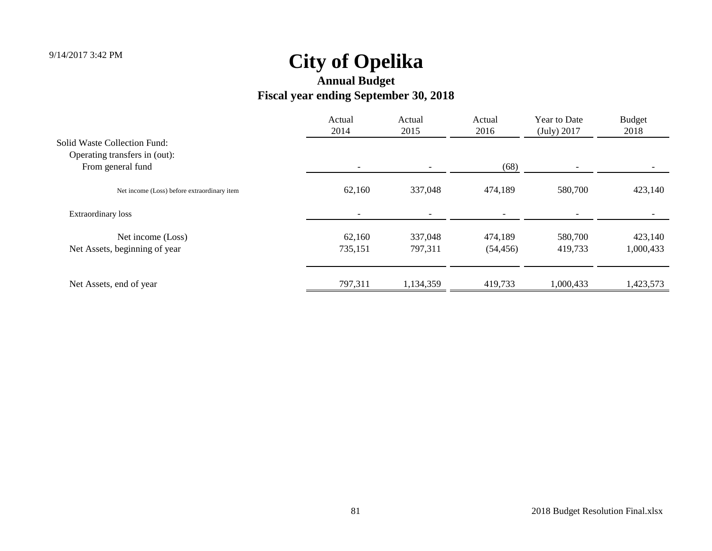|                                             | Actual<br>2014           | Actual<br>2015 | Actual<br>2016 | Year to Date<br>(July) 2017 | <b>Budget</b><br>2018 |
|---------------------------------------------|--------------------------|----------------|----------------|-----------------------------|-----------------------|
| Solid Waste Collection Fund:                |                          |                |                |                             |                       |
| Operating transfers in (out):               |                          |                |                |                             |                       |
| From general fund                           | $\overline{\phantom{a}}$ |                | (68)           |                             |                       |
| Net income (Loss) before extraordinary item | 62,160                   | 337,048        | 474,189        | 580,700                     | 423,140               |
| <b>Extraordinary loss</b>                   |                          |                |                |                             |                       |
| Net income (Loss)                           | 62,160                   | 337,048        | 474,189        | 580,700                     | 423,140               |
| Net Assets, beginning of year               | 735,151                  | 797,311        | (54, 456)      | 419,733                     | 1,000,433             |
|                                             |                          |                |                |                             |                       |
| Net Assets, end of year                     | 797,311                  | 1,134,359      | 419,733        | 1,000,433                   | 1,423,573             |
|                                             |                          |                |                |                             |                       |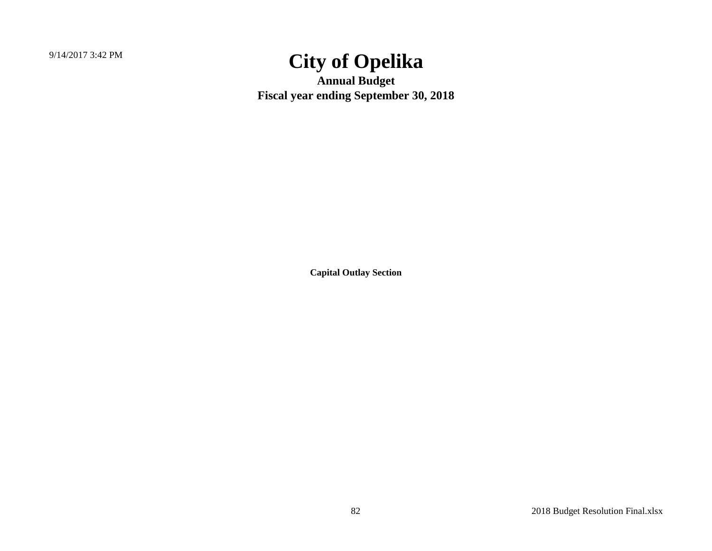9/14/2017 3:42 PM

# **City of Opelika**

**Annual Budget Fiscal year ending September 30, 2018**

**Capital Outlay Section**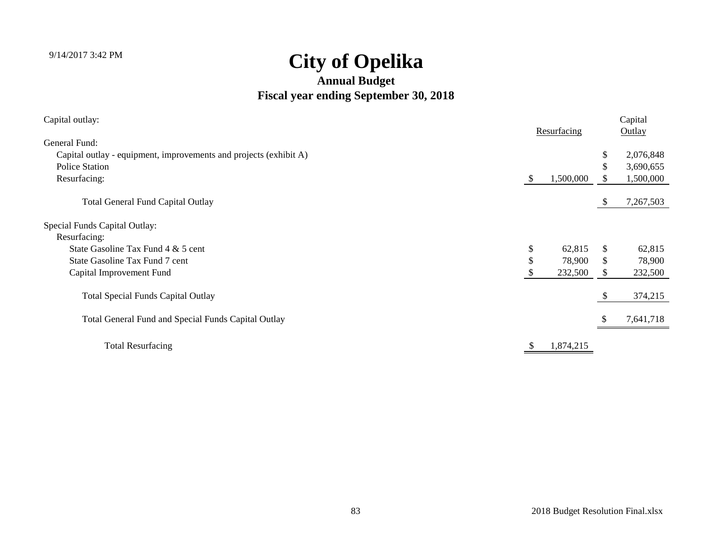| Capital outlay:                                                   |    |             |          | Capital   |
|-------------------------------------------------------------------|----|-------------|----------|-----------|
|                                                                   |    | Resurfacing |          | Outlay    |
| General Fund:                                                     |    |             |          |           |
| Capital outlay - equipment, improvements and projects (exhibit A) |    |             | S.       | 2,076,848 |
| <b>Police Station</b>                                             |    |             | \$       | 3,690,655 |
| Resurfacing:                                                      | S  | 1,500,000   |          | 1,500,000 |
| <b>Total General Fund Capital Outlay</b>                          |    |             | -SS      | 7,267,503 |
| Special Funds Capital Outlay:                                     |    |             |          |           |
| Resurfacing:                                                      |    |             |          |           |
| State Gasoline Tax Fund 4 & 5 cent                                | \$ | 62,815      | \$.      | 62,815    |
| State Gasoline Tax Fund 7 cent                                    | \$ | 78,900      | \$.      | 78,900    |
| Capital Improvement Fund                                          |    | 232,500     |          | 232,500   |
| <b>Total Special Funds Capital Outlay</b>                         |    |             | <b>S</b> | 374,215   |
| Total General Fund and Special Funds Capital Outlay               |    |             |          | 7,641,718 |
| <b>Total Resurfacing</b>                                          |    | 1,874,215   |          |           |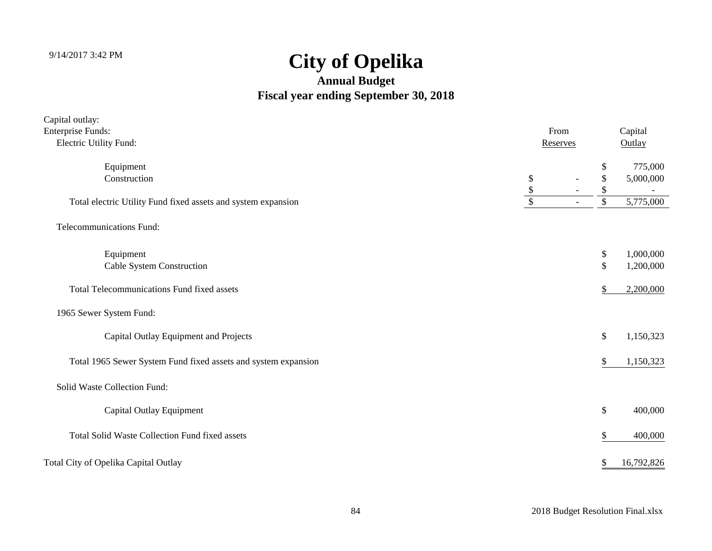| Capital outlay:                                                |          |          |          |                        |
|----------------------------------------------------------------|----------|----------|----------|------------------------|
| <b>Enterprise Funds:</b>                                       |          | From     |          | Capital                |
| Electric Utility Fund:                                         |          | Reserves |          | Outlay                 |
| Equipment<br>Construction                                      | \$       |          | \$<br>\$ | 775,000<br>5,000,000   |
| Total electric Utility Fund fixed assets and system expansion  | \$<br>\$ |          | \$<br>\$ | 5,775,000              |
| <b>Telecommunications Fund:</b>                                |          |          |          |                        |
| Equipment<br>Cable System Construction                         |          |          | \$<br>\$ | 1,000,000<br>1,200,000 |
| Total Telecommunications Fund fixed assets                     |          |          | \$       | 2,200,000              |
| 1965 Sewer System Fund:                                        |          |          |          |                        |
| Capital Outlay Equipment and Projects                          |          |          | \$       | 1,150,323              |
| Total 1965 Sewer System Fund fixed assets and system expansion |          |          | \$       | 1,150,323              |
| Solid Waste Collection Fund:                                   |          |          |          |                        |
| Capital Outlay Equipment                                       |          |          | \$       | 400,000                |
| <b>Total Solid Waste Collection Fund fixed assets</b>          |          |          | \$       | 400,000                |
| Total City of Opelika Capital Outlay                           |          |          | \$       | 16,792,826             |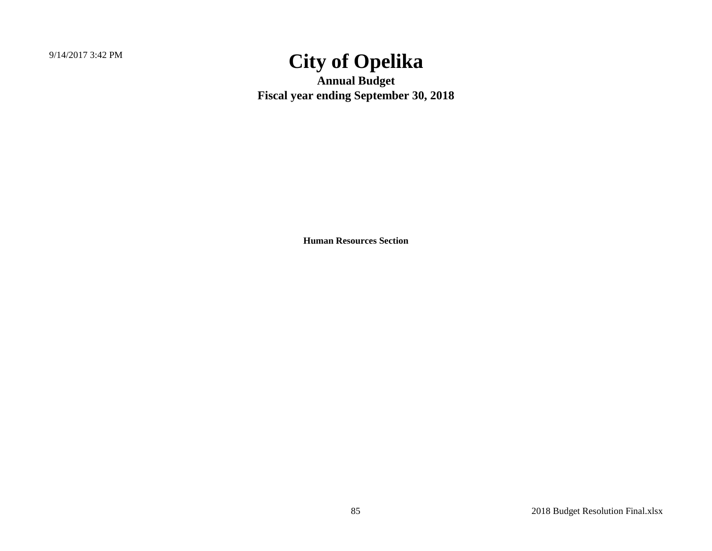9/14/2017 3:42 PM

# **City of Opelika**

**Annual Budget Fiscal year ending September 30, 2018**

**Human Resources Section**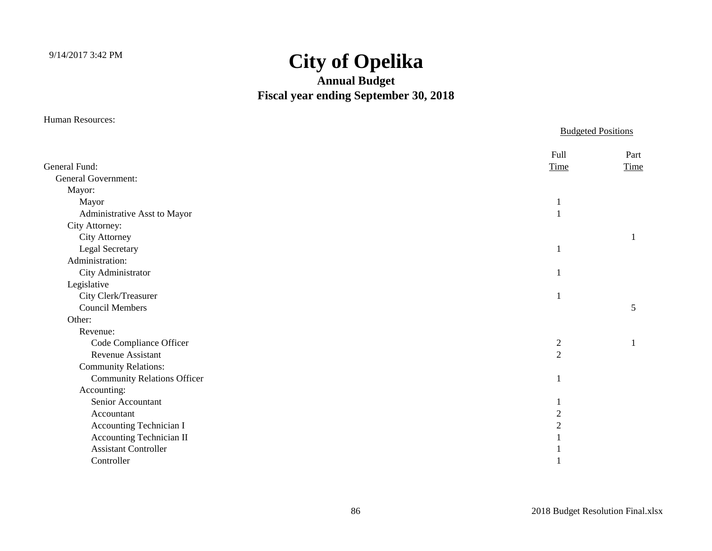### **Annual Budget Fiscal year ending September 30, 2018**

Human Resources:

|                                    | <b>Budgeted Positions</b> |              |
|------------------------------------|---------------------------|--------------|
| General Fund:                      | Full<br>Time              | Part<br>Time |
| <b>General Government:</b>         |                           |              |
| Mayor:                             |                           |              |
| Mayor                              |                           |              |
| Administrative Asst to Mayor       |                           |              |
| City Attorney:                     |                           |              |
| City Attorney                      |                           |              |
| Legal Secretary                    |                           |              |
| Administration:                    |                           |              |
| City Administrator                 |                           |              |
| Legislative                        |                           |              |
| City Clerk/Treasurer               |                           |              |
| <b>Council Members</b>             |                           | 5            |
| Other:                             |                           |              |
| Revenue:                           |                           |              |
| Code Compliance Officer            | $\mathbf{2}$              |              |
| <b>Revenue Assistant</b>           | $\overline{2}$            |              |
| <b>Community Relations:</b>        |                           |              |
| <b>Community Relations Officer</b> |                           |              |
| Accounting:                        |                           |              |
| Senior Accountant                  |                           |              |
| Accountant                         | $\overline{2}$            |              |
| Accounting Technician I            | $\overline{2}$            |              |
| Accounting Technician II           |                           |              |
| <b>Assistant Controller</b>        |                           |              |
| Controller                         |                           |              |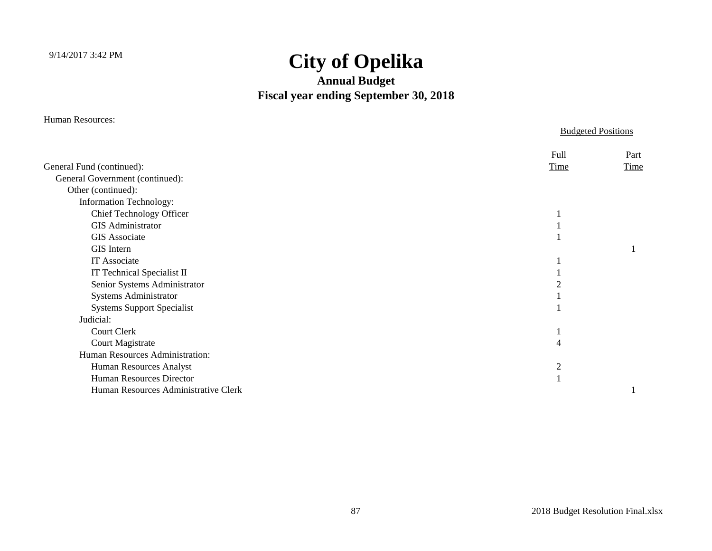#### **Annual Budget Fiscal year ending September 30, 2018**

Human Resources:

Budgeted Positions

|                                      | Full        | Part        |
|--------------------------------------|-------------|-------------|
| General Fund (continued):            | <b>Time</b> | <b>Time</b> |
| General Government (continued):      |             |             |
| Other (continued):                   |             |             |
| <b>Information Technology:</b>       |             |             |
| Chief Technology Officer             |             |             |
| <b>GIS Administrator</b>             |             |             |
| <b>GIS Associate</b>                 |             |             |
| GIS Intern                           |             |             |
| IT Associate                         |             |             |
| IT Technical Specialist II           |             |             |
| Senior Systems Administrator         |             |             |
| Systems Administrator                |             |             |
| <b>Systems Support Specialist</b>    |             |             |
| Judicial:                            |             |             |
| <b>Court Clerk</b>                   |             |             |
| <b>Court Magistrate</b>              |             |             |
| Human Resources Administration:      |             |             |
| Human Resources Analyst              | 2           |             |
| <b>Human Resources Director</b>      |             |             |
| Human Resources Administrative Clerk |             |             |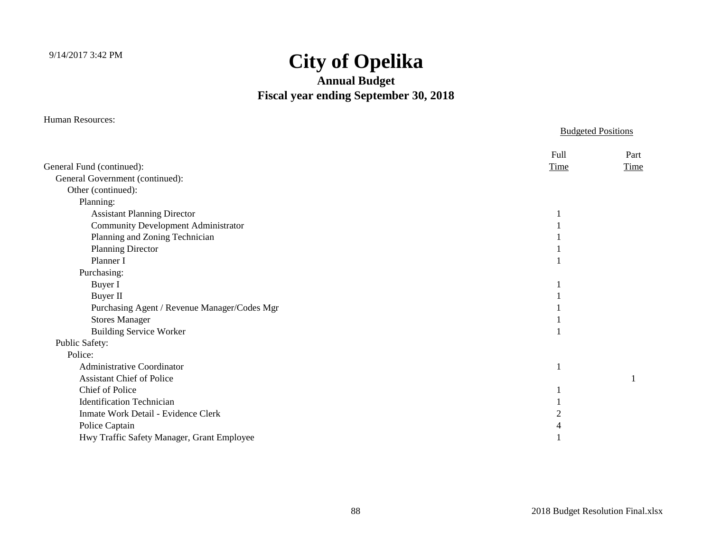#### **Annual Budget Fiscal year ending September 30, 2018**

Human Resources:

Budgeted Positions

|                                              | <b>Full</b> | Part |
|----------------------------------------------|-------------|------|
| General Fund (continued):                    | <b>Time</b> | Time |
| General Government (continued):              |             |      |
| Other (continued):                           |             |      |
| Planning:                                    |             |      |
| <b>Assistant Planning Director</b>           |             |      |
| <b>Community Development Administrator</b>   |             |      |
| Planning and Zoning Technician               |             |      |
| <b>Planning Director</b>                     |             |      |
| Planner I                                    |             |      |
| Purchasing:                                  |             |      |
| Buyer I                                      |             |      |
| Buyer II                                     |             |      |
| Purchasing Agent / Revenue Manager/Codes Mgr |             |      |
| <b>Stores Manager</b>                        |             |      |
| <b>Building Service Worker</b>               |             |      |
| Public Safety:                               |             |      |
| Police:                                      |             |      |
| Administrative Coordinator                   |             |      |
| <b>Assistant Chief of Police</b>             |             |      |
| Chief of Police                              |             |      |
| <b>Identification Technician</b>             |             |      |
| Inmate Work Detail - Evidence Clerk          |             |      |
| Police Captain                               |             |      |
| Hwy Traffic Safety Manager, Grant Employee   |             |      |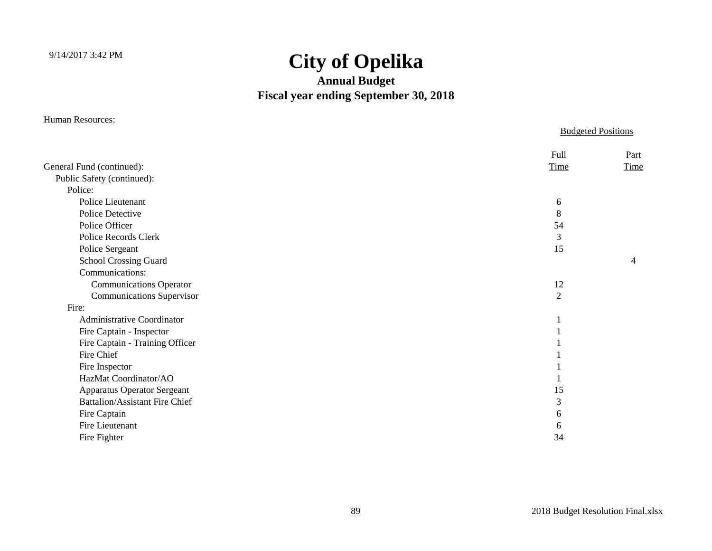### **Annual Budget Fiscal year ending September 30, 2018**

Human Resources:

|                                       | <b>Budgeted Positions</b> |                |
|---------------------------------------|---------------------------|----------------|
|                                       | Full                      | Part           |
| General Fund (continued):             | Time                      | Time           |
| Public Safety (continued):            |                           |                |
| Police:                               |                           |                |
| Police Lieutenant                     | 6                         |                |
| Police Detective                      | 8                         |                |
| Police Officer                        | 54                        |                |
| Police Records Clerk                  | $\mathfrak{Z}$            |                |
| Police Sergeant                       | 15                        |                |
| School Crossing Guard                 |                           | $\overline{4}$ |
| Communications:                       |                           |                |
| <b>Communications Operator</b>        | 12                        |                |
| <b>Communications Supervisor</b>      | $\overline{2}$            |                |
| Fire:                                 |                           |                |
| <b>Administrative Coordinator</b>     |                           |                |
| Fire Captain - Inspector              |                           |                |
| Fire Captain - Training Officer       |                           |                |
| Fire Chief                            |                           |                |
| Fire Inspector                        |                           |                |
| HazMat Coordinator/AO                 |                           |                |
| <b>Apparatus Operator Sergeant</b>    | 15                        |                |
| <b>Battalion/Assistant Fire Chief</b> | 3                         |                |
| Fire Captain                          | 6                         |                |
| Fire Lieutenant                       | 6                         |                |
| Fire Fighter                          | 34                        |                |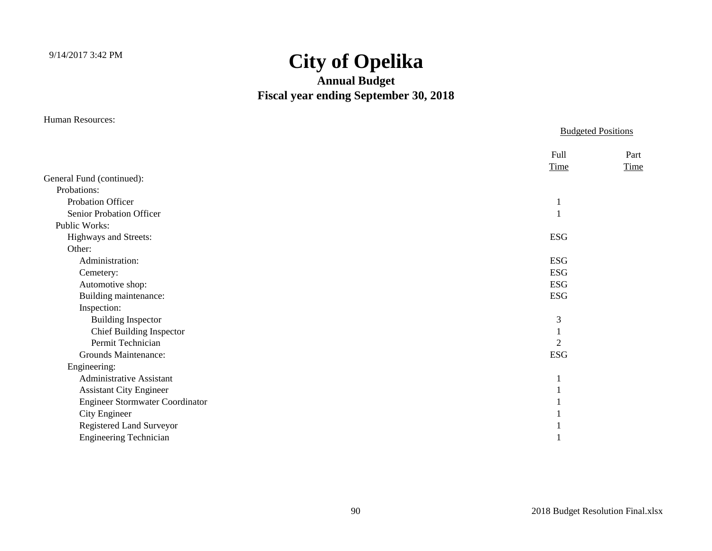### **Annual Budget Fiscal year ending September 30, 2018**

Human Resources:

|                                        | <b>Budgeted Positions</b>    |  |
|----------------------------------------|------------------------------|--|
|                                        | Full<br>Part<br>Time<br>Time |  |
| General Fund (continued):              |                              |  |
| Probations:                            |                              |  |
| Probation Officer                      | л                            |  |
| Senior Probation Officer               |                              |  |
| Public Works:                          |                              |  |
| Highways and Streets:                  | <b>ESG</b>                   |  |
| Other:                                 |                              |  |
| Administration:                        | <b>ESG</b>                   |  |
| Cemetery:                              | <b>ESG</b>                   |  |
| Automotive shop:                       | <b>ESG</b>                   |  |
| Building maintenance:                  | <b>ESG</b>                   |  |
| Inspection:                            |                              |  |
| <b>Building Inspector</b>              | 3                            |  |
| <b>Chief Building Inspector</b>        |                              |  |
| Permit Technician                      | 2                            |  |
| Grounds Maintenance:                   | <b>ESG</b>                   |  |
| Engineering:                           |                              |  |
| <b>Administrative Assistant</b>        |                              |  |
| <b>Assistant City Engineer</b>         |                              |  |
| <b>Engineer Stormwater Coordinator</b> |                              |  |
| City Engineer                          |                              |  |
| Registered Land Surveyor               |                              |  |
| <b>Engineering Technician</b>          |                              |  |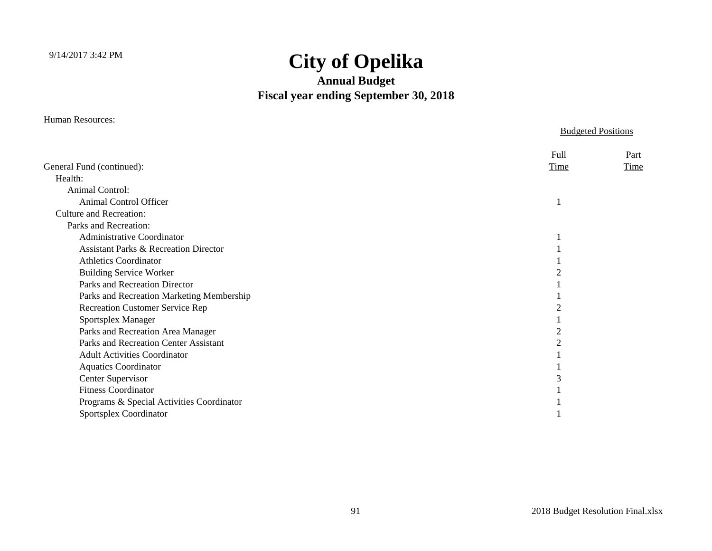### **Annual Budget Fiscal year ending September 30, 2018**

Human Resources:

Budgeted Positions

|                                                  | Full | Part |
|--------------------------------------------------|------|------|
| General Fund (continued):                        | Time | Time |
| Health:                                          |      |      |
| <b>Animal Control:</b>                           |      |      |
| Animal Control Officer                           |      |      |
| <b>Culture and Recreation:</b>                   |      |      |
| Parks and Recreation:                            |      |      |
| <b>Administrative Coordinator</b>                |      |      |
| <b>Assistant Parks &amp; Recreation Director</b> |      |      |
| <b>Athletics Coordinator</b>                     |      |      |
| <b>Building Service Worker</b>                   |      |      |
| Parks and Recreation Director                    |      |      |
| Parks and Recreation Marketing Membership        |      |      |
| <b>Recreation Customer Service Rep</b>           |      |      |
| Sportsplex Manager                               |      |      |
| Parks and Recreation Area Manager                |      |      |
| Parks and Recreation Center Assistant            |      |      |
| <b>Adult Activities Coordinator</b>              |      |      |
| <b>Aquatics Coordinator</b>                      |      |      |
| Center Supervisor                                |      |      |
| <b>Fitness Coordinator</b>                       |      |      |
| Programs & Special Activities Coordinator        |      |      |
| Sportsplex Coordinator                           |      |      |
|                                                  |      |      |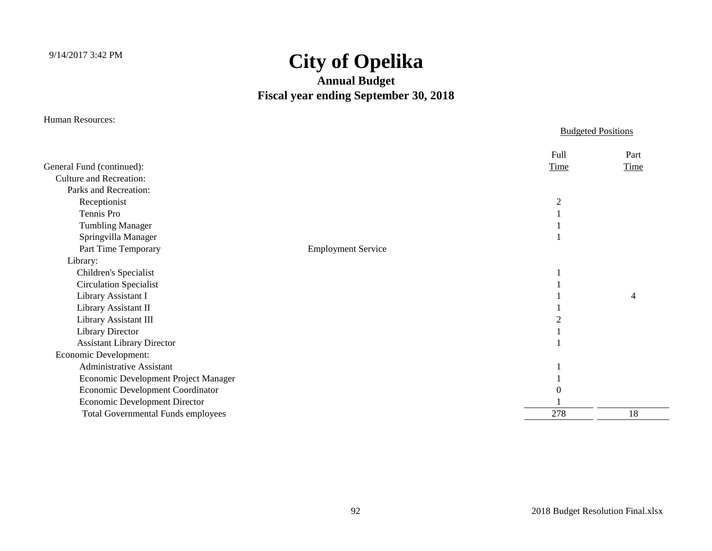#### **Annual Budget Fiscal year ending September 30, 2018**

Human Resources:

#### Budgeted Positions Full PartGeneral Fund (continued): Time Time Culture and Recreation: Parks and Recreation: Receptionist 2 Tennis Pro $\sim$  1 Tumbling Manager 1 Springvilla Manager 1 Part Time Temporary Employment Service Library: Children's Specialist 1 Circulation Specialist 1 Library Assistant I 1 and 1 4 4 and 1 4 4 and 1 4 4 4 and 1 4 4 and 1 4 4  $\frac{1}{4}$  1 and 1 4 4  $\frac{1}{4}$  1 and 1 4  $\frac{1}{4}$  1 and 1  $\frac{1}{4}$  1 and 1  $\frac{1}{4}$  1 and 1  $\frac{1}{4}$  1 and 1  $\frac{1}{4}$  1 and 1  $\frac{1}{4}$  1 and Library Assistant II 1 Library Assistant III 2 Library Director 1 Assistant Library Director 1 Economic Development: Administrative Assistant 1 Economic Development Project Manager 1 Economic Development Coordinator 0 Economic Development Director 1 Total Governmental Funds employees 278 278 18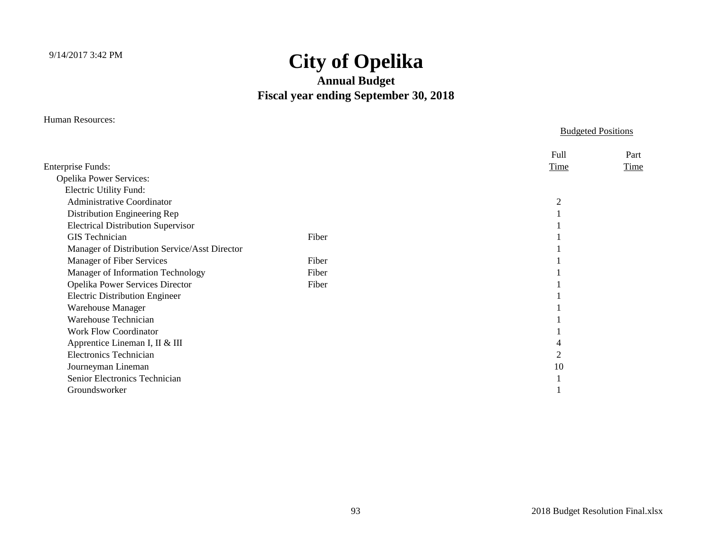#### **Annual Budget Fiscal year ending September 30, 2018**

Human Resources:

Budgeted Positions

|                                               |       | <b>Full</b> | Part |
|-----------------------------------------------|-------|-------------|------|
| <b>Enterprise Funds:</b>                      |       | Time        | Time |
| Opelika Power Services:                       |       |             |      |
| Electric Utility Fund:                        |       |             |      |
| <b>Administrative Coordinator</b>             |       | 2           |      |
| Distribution Engineering Rep                  |       |             |      |
| <b>Electrical Distribution Supervisor</b>     |       |             |      |
| <b>GIS</b> Technician                         | Fiber |             |      |
| Manager of Distribution Service/Asst Director |       |             |      |
| Manager of Fiber Services                     | Fiber |             |      |
| Manager of Information Technology             | Fiber |             |      |
| Opelika Power Services Director               | Fiber |             |      |
| <b>Electric Distribution Engineer</b>         |       |             |      |
| <b>Warehouse Manager</b>                      |       |             |      |
| Warehouse Technician                          |       |             |      |
| <b>Work Flow Coordinator</b>                  |       |             |      |
| Apprentice Lineman I, II & III                |       |             |      |
| <b>Electronics Technician</b>                 |       |             |      |
| Journeyman Lineman                            |       | 10          |      |
| Senior Electronics Technician                 |       |             |      |
| Groundsworker                                 |       |             |      |
|                                               |       |             |      |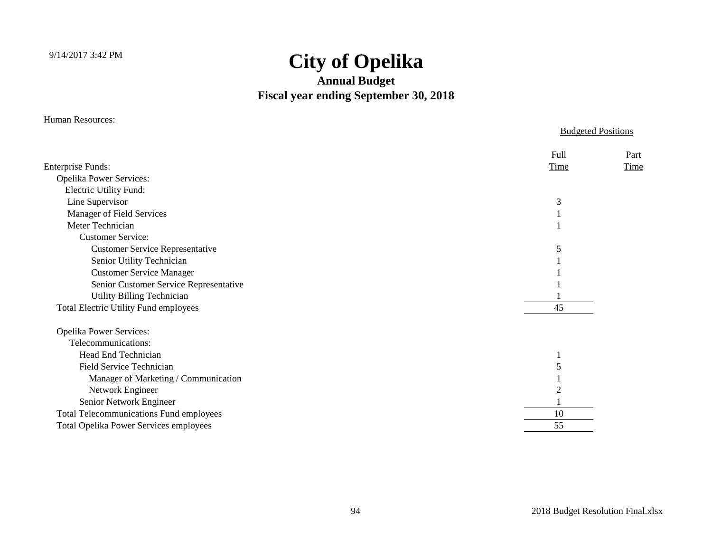#### **Annual Budget Fiscal year ending September 30, 2018**

Human Resources:

#### Budgeted Positions Full PartEnterprise Funds: Time Time Time Time Opelika Power Services: Electric Utility Fund: Line Supervisor 3 Manager of Field Services 1 Meter Techniciann  $\sim$  1 Customer Service:Customer Service Representative 5 Senior Utility Technician 1 Customer Service Manager 1 Senior Customer Service Representative 1 Utility Billing Technician 1 Total Electric Utility Fund employees 45 Opelika Power Services: Telecommunications: Head End Techniciann and  $\frac{1}{1}$  Field Service Techniciann  $\sim$  5 Manager of Marketing / Communication 1 Network Engineer 2 Senior Network Engineer 1 Total Telecommunications Fund employees 10 Total Opelika Power Services employees 55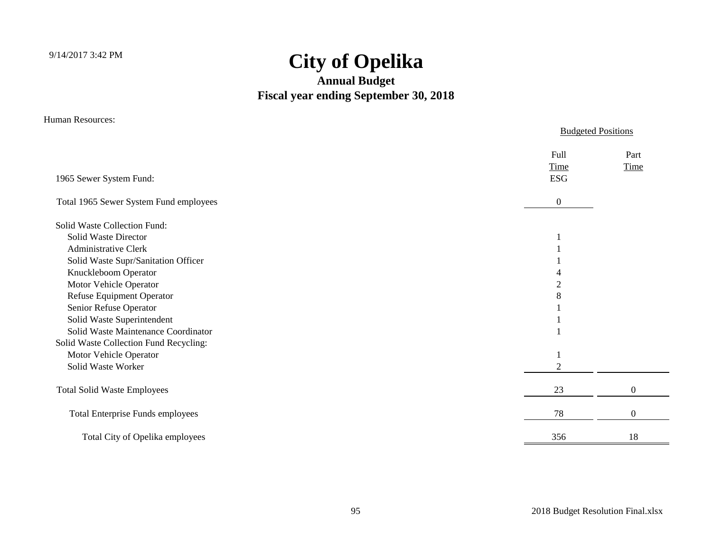### **Annual Budget Fiscal year ending September 30, 2018**

Human Resources:

|                                         |                            | <b>Budgeted Positions</b> |
|-----------------------------------------|----------------------------|---------------------------|
| 1965 Sewer System Fund:                 | Full<br>Time<br><b>ESG</b> | Part<br>Time              |
| Total 1965 Sewer System Fund employees  | $\theta$                   |                           |
| Solid Waste Collection Fund:            |                            |                           |
| Solid Waste Director                    |                            |                           |
| <b>Administrative Clerk</b>             |                            |                           |
| Solid Waste Supr/Sanitation Officer     |                            |                           |
| Knuckleboom Operator                    |                            |                           |
| Motor Vehicle Operator                  | 2                          |                           |
| Refuse Equipment Operator               | 8                          |                           |
| Senior Refuse Operator                  |                            |                           |
| Solid Waste Superintendent              |                            |                           |
| Solid Waste Maintenance Coordinator     |                            |                           |
| Solid Waste Collection Fund Recycling:  |                            |                           |
| Motor Vehicle Operator                  |                            |                           |
| Solid Waste Worker                      | 2                          |                           |
| <b>Total Solid Waste Employees</b>      | 23                         | $\boldsymbol{0}$          |
| <b>Total Enterprise Funds employees</b> | 78                         | $\overline{0}$            |
| Total City of Opelika employees         | 356                        | 18                        |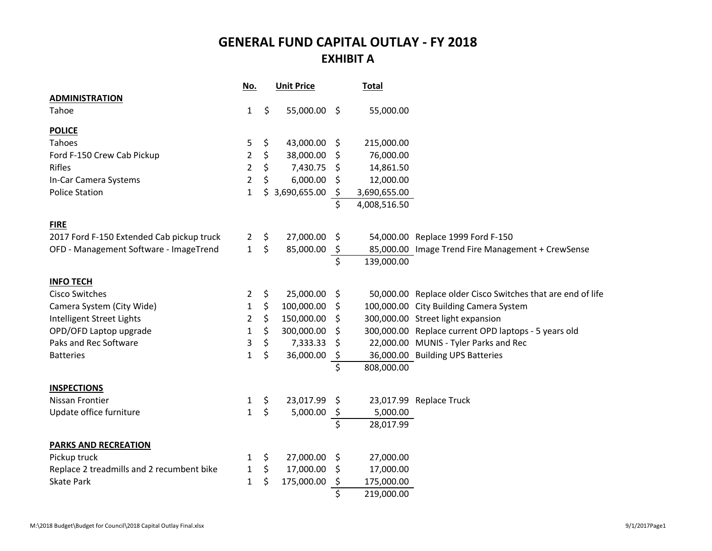#### **GENERAL FUND CAPITAL OUTLAY - FY 2018 EXHIBIT A**

|                                           | No.            | <b>Unit Price</b>  |         | <b>Total</b> |                                                             |
|-------------------------------------------|----------------|--------------------|---------|--------------|-------------------------------------------------------------|
| <b>ADMINISTRATION</b>                     |                |                    |         |              |                                                             |
| Tahoe                                     | $\mathbf{1}$   | \$<br>55,000.00 \$ |         | 55,000.00    |                                                             |
| <b>POLICE</b>                             |                |                    |         |              |                                                             |
| Tahoes                                    | 5              | \$<br>43,000.00    | $\zeta$ | 215,000.00   |                                                             |
| Ford F-150 Crew Cab Pickup                | 2              | \$<br>38,000.00    | \$      | 76,000.00    |                                                             |
| Rifles                                    | 2              | \$<br>7,430.75     | \$.     | 14,861.50    |                                                             |
| In-Car Camera Systems                     | 2              | \$<br>6,000.00     | \$      | 12,000.00    |                                                             |
| <b>Police Station</b>                     | $\mathbf{1}$   | \$<br>3,690,655.00 | \$      | 3,690,655.00 |                                                             |
|                                           |                |                    | \$      | 4,008,516.50 |                                                             |
| <b>FIRE</b>                               |                |                    |         |              |                                                             |
| 2017 Ford F-150 Extended Cab pickup truck | $\overline{2}$ | \$<br>27,000.00    | -S      |              | 54,000.00 Replace 1999 Ford F-150                           |
| OFD - Management Software - ImageTrend    | $\mathbf{1}$   | \$<br>85,000.00    | $\zeta$ |              | 85,000.00 Image Trend Fire Management + CrewSense           |
|                                           |                |                    | \$      | 139,000.00   |                                                             |
| <b>INFO TECH</b>                          |                |                    |         |              |                                                             |
| <b>Cisco Switches</b>                     | 2              | \$<br>25,000.00    | \$      |              | 50,000.00 Replace older Cisco Switches that are end of life |
| Camera System (City Wide)                 | 1              | \$<br>100,000.00   | -Ş      |              | 100,000.00 City Building Camera System                      |
| Intelligent Street Lights                 | 2              | \$<br>150,000.00   | \$.     |              | 300,000.00 Street light expansion                           |
| OPD/OFD Laptop upgrade                    | 1              | \$<br>300,000.00   | S       |              | 300,000.00 Replace current OPD laptops - 5 years old        |
| Paks and Rec Software                     | 3              | \$<br>7,333.33     | S       |              | 22,000.00 MUNIS - Tyler Parks and Rec                       |
| <b>Batteries</b>                          | 1              | \$<br>36,000.00    | \$      |              | 36,000.00 Building UPS Batteries                            |
|                                           |                |                    | \$      | 808,000.00   |                                                             |
| <b>INSPECTIONS</b>                        |                |                    |         |              |                                                             |
| Nissan Frontier                           | 1              | \$<br>23,017.99    | \$      |              | 23,017.99 Replace Truck                                     |
| Update office furniture                   | $\mathbf{1}$   | \$<br>5,000.00     | \$      | 5,000.00     |                                                             |
|                                           |                |                    | \$      | 28,017.99    |                                                             |
| <b>PARKS AND RECREATION</b>               |                |                    |         |              |                                                             |
| Pickup truck                              | 1              | \$<br>27,000.00    | \$      | 27,000.00    |                                                             |
| Replace 2 treadmills and 2 recumbent bike | 1              | \$<br>17,000.00    | Ş       | 17,000.00    |                                                             |
| <b>Skate Park</b>                         | 1              | \$<br>175,000.00   | \$      | 175,000.00   |                                                             |
|                                           |                |                    | \$      | 219,000.00   |                                                             |